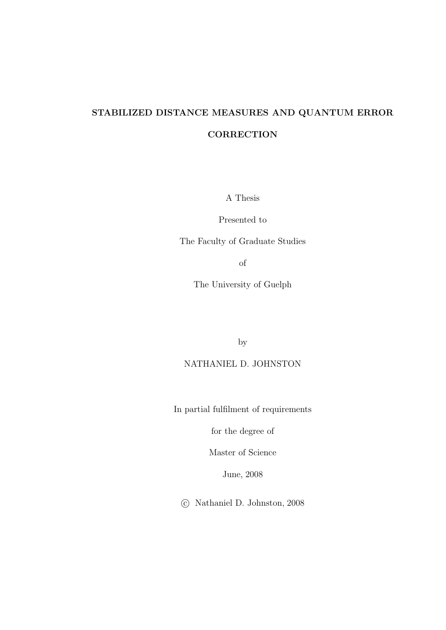## STABILIZED DISTANCE MEASURES AND QUANTUM ERROR **CORRECTION**

A Thesis

Presented to

The Faculty of Graduate Studies

of

The University of Guelph

by

NATHANIEL D. JOHNSTON

In partial fulfilment of requirements

for the degree of

Master of Science

June, 2008

c Nathaniel D. Johnston, 2008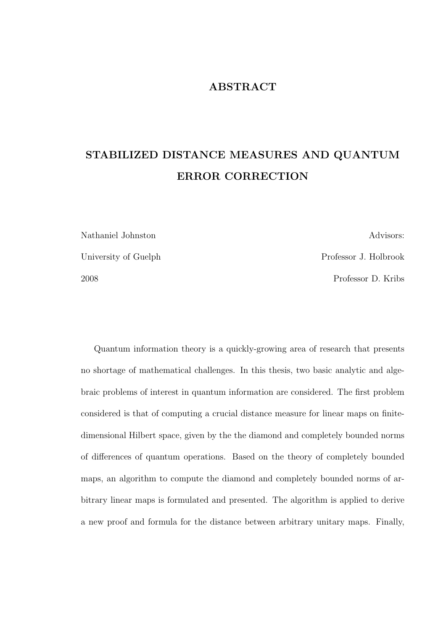#### ABSTRACT

# STABILIZED DISTANCE MEASURES AND QUANTUM ERROR CORRECTION

Nathaniel Johnston Advisors: University of Guelph Professor J. Holbrook 2008 Professor D. Kribs

Quantum information theory is a quickly-growing area of research that presents no shortage of mathematical challenges. In this thesis, two basic analytic and algebraic problems of interest in quantum information are considered. The first problem considered is that of computing a crucial distance measure for linear maps on finitedimensional Hilbert space, given by the the diamond and completely bounded norms of differences of quantum operations. Based on the theory of completely bounded maps, an algorithm to compute the diamond and completely bounded norms of arbitrary linear maps is formulated and presented. The algorithm is applied to derive a new proof and formula for the distance between arbitrary unitary maps. Finally,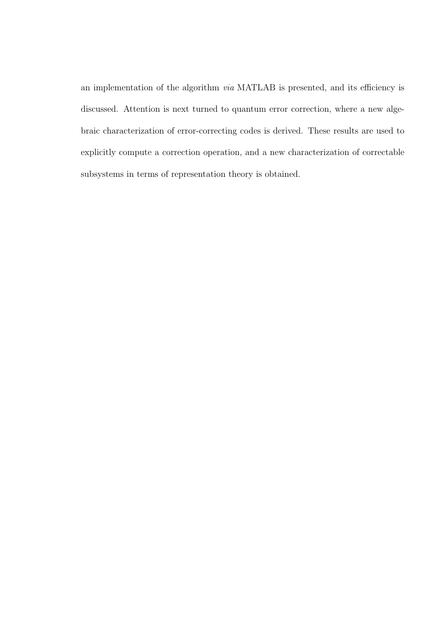an implementation of the algorithm via MATLAB is presented, and its efficiency is discussed. Attention is next turned to quantum error correction, where a new algebraic characterization of error-correcting codes is derived. These results are used to explicitly compute a correction operation, and a new characterization of correctable subsystems in terms of representation theory is obtained.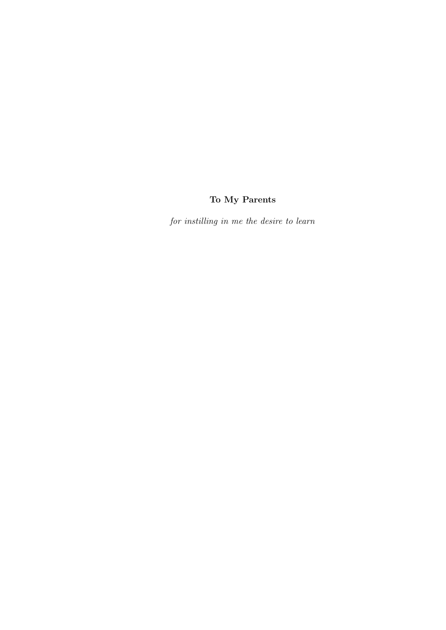## To My Parents

for instilling in me the desire to learn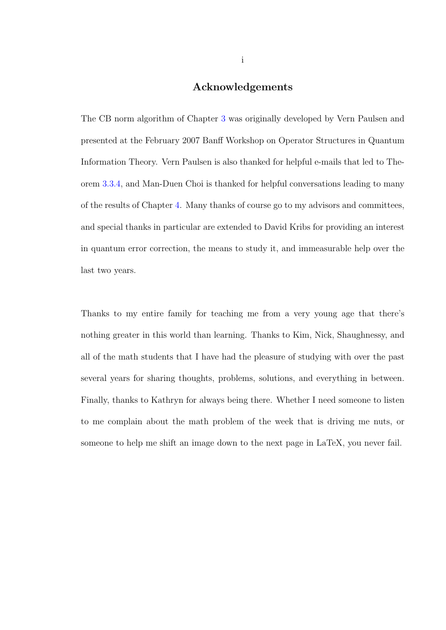#### Acknowledgements

The CB norm algorithm of Chapter [3](#page-29-0) was originally developed by Vern Paulsen and presented at the February 2007 Banff Workshop on Operator Structures in Quantum Information Theory. Vern Paulsen is also thanked for helpful e-mails that led to Theorem [3.3.4,](#page-44-0) and Man-Duen Choi is thanked for helpful conversations leading to many of the results of Chapter [4.](#page-57-0) Many thanks of course go to my advisors and committees, and special thanks in particular are extended to David Kribs for providing an interest in quantum error correction, the means to study it, and immeasurable help over the last two years.

Thanks to my entire family for teaching me from a very young age that there's nothing greater in this world than learning. Thanks to Kim, Nick, Shaughnessy, and all of the math students that I have had the pleasure of studying with over the past several years for sharing thoughts, problems, solutions, and everything in between. Finally, thanks to Kathryn for always being there. Whether I need someone to listen to me complain about the math problem of the week that is driving me nuts, or someone to help me shift an image down to the next page in LaTeX, you never fail.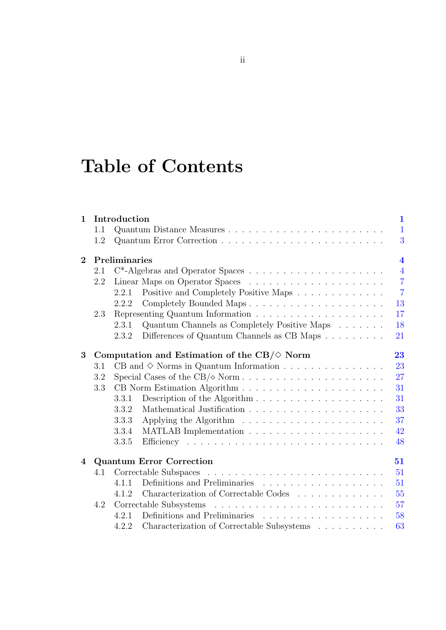# Table of Contents

| $\mathbf{1}$   |               | Introduction                                         |                                                                                                                        | $\mathbf{1}$   |  |  |
|----------------|---------------|------------------------------------------------------|------------------------------------------------------------------------------------------------------------------------|----------------|--|--|
|                | 1.1           |                                                      |                                                                                                                        | $\mathbf{1}$   |  |  |
|                | 1.2           |                                                      |                                                                                                                        | 3              |  |  |
| $\overline{2}$ | Preliminaries |                                                      |                                                                                                                        |                |  |  |
|                | 2.1           |                                                      |                                                                                                                        | $\overline{4}$ |  |  |
|                | 2.2           |                                                      |                                                                                                                        | $\overline{7}$ |  |  |
|                |               | 2.2.1                                                | Positive and Completely Positive Maps                                                                                  | $\overline{7}$ |  |  |
|                |               | 2.2.2                                                |                                                                                                                        | 13             |  |  |
|                | 2.3           |                                                      |                                                                                                                        | 17             |  |  |
|                |               | 2.3.1                                                | Quantum Channels as Completely Positive Maps                                                                           | 18             |  |  |
|                |               | 2.3.2                                                | Differences of Quantum Channels as CB Maps $\ldots \ldots \ldots$                                                      | 21             |  |  |
| 3              |               | Computation and Estimation of the $CB/\Diamond$ Norm |                                                                                                                        |                |  |  |
|                | 3.1           |                                                      |                                                                                                                        | 23             |  |  |
|                | 3.2           | 27                                                   |                                                                                                                        |                |  |  |
|                | 3.3           |                                                      |                                                                                                                        |                |  |  |
|                |               | 3.3.1                                                |                                                                                                                        | 31             |  |  |
|                |               | 3.3.2                                                |                                                                                                                        | 33             |  |  |
|                |               | 3.3.3                                                |                                                                                                                        | 37             |  |  |
|                |               | 3.3.4                                                |                                                                                                                        | 42             |  |  |
|                |               | 3.3.5                                                |                                                                                                                        | 48             |  |  |
| 4              |               |                                                      | <b>Quantum Error Correction</b>                                                                                        | 51             |  |  |
|                | 4.1           |                                                      | Correctable Subspaces<br>$\mathcal{A}$ , and the set of the set of the set of the set of the set of the set of the set | 51             |  |  |
|                |               | 4.1.1                                                |                                                                                                                        | 51             |  |  |
|                |               | 4.1.2                                                | Characterization of Correctable Codes                                                                                  | 55             |  |  |
|                | 4.2           |                                                      |                                                                                                                        | 57             |  |  |
|                |               | 4.2.1                                                |                                                                                                                        | 58             |  |  |
|                |               | 4.2.2                                                | Characterization of Correctable Subsystems $\hfill\ldots\ldots\ldots\ldots$                                            | 63             |  |  |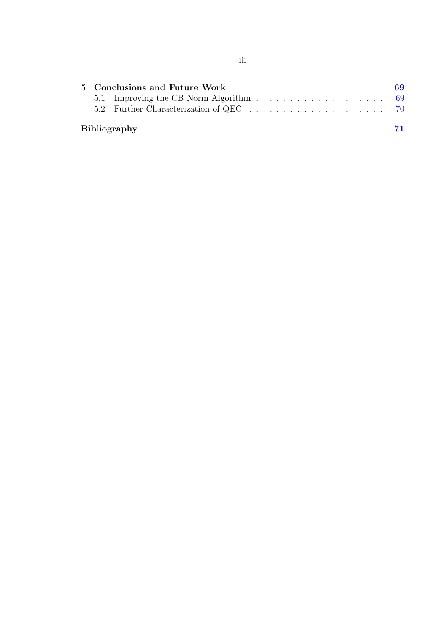| 5 Conclusions and Future Work |                     |    |  |  |
|-------------------------------|---------------------|----|--|--|
|                               |                     |    |  |  |
|                               |                     |    |  |  |
|                               | <b>Bibliography</b> | 71 |  |  |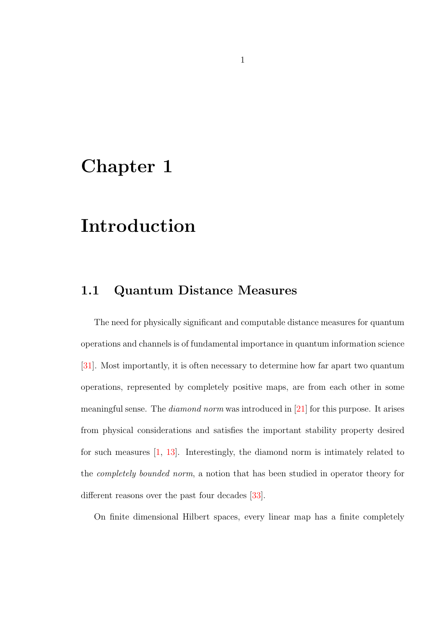# <span id="page-7-0"></span>Chapter 1

# Introduction

## <span id="page-7-1"></span>1.1 Quantum Distance Measures

The need for physically significant and computable distance measures for quantum operations and channels is of fundamental importance in quantum information science [\[31\]](#page-80-0). Most importantly, it is often necessary to determine how far apart two quantum operations, represented by completely positive maps, are from each other in some meaningful sense. The diamond norm was introduced in [\[21\]](#page-79-0) for this purpose. It arises from physical considerations and satisfies the important stability property desired for such measures [\[1,](#page-77-1) [13\]](#page-78-0). Interestingly, the diamond norm is intimately related to the completely bounded norm, a notion that has been studied in operator theory for different reasons over the past four decades [\[33\]](#page-81-0).

On finite dimensional Hilbert spaces, every linear map has a finite completely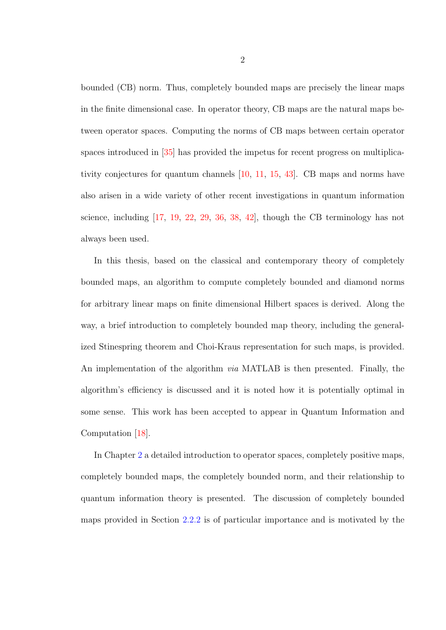bounded (CB) norm. Thus, completely bounded maps are precisely the linear maps in the finite dimensional case. In operator theory, CB maps are the natural maps between operator spaces. Computing the norms of CB maps between certain operator spaces introduced in [\[35\]](#page-81-1) has provided the impetus for recent progress on multiplicativity conjectures for quantum channels [\[10,](#page-78-1) [11,](#page-78-2) [15,](#page-79-1) [43\]](#page-82-0). CB maps and norms have also arisen in a wide variety of other recent investigations in quantum information science, including [\[17,](#page-79-2) [19,](#page-79-3) [22,](#page-79-4) [29,](#page-80-1) [36,](#page-81-2) [38,](#page-81-3) [42\]](#page-81-4), though the CB terminology has not always been used.

In this thesis, based on the classical and contemporary theory of completely bounded maps, an algorithm to compute completely bounded and diamond norms for arbitrary linear maps on finite dimensional Hilbert spaces is derived. Along the way, a brief introduction to completely bounded map theory, including the generalized Stinespring theorem and Choi-Kraus representation for such maps, is provided. An implementation of the algorithm via MATLAB is then presented. Finally, the algorithm's efficiency is discussed and it is noted how it is potentially optimal in some sense. This work has been accepted to appear in Quantum Information and Computation [\[18\]](#page-79-5).

In Chapter [2](#page-10-0) a detailed introduction to operator spaces, completely positive maps, completely bounded maps, the completely bounded norm, and their relationship to quantum information theory is presented. The discussion of completely bounded maps provided in Section [2.2.2](#page-19-0) is of particular importance and is motivated by the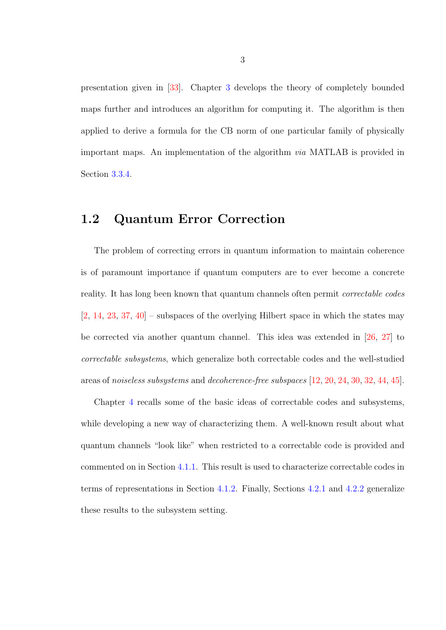presentation given in [\[33\]](#page-81-0). Chapter [3](#page-29-0) develops the theory of completely bounded maps further and introduces an algorithm for computing it. The algorithm is then applied to derive a formula for the CB norm of one particular family of physically important maps. An implementation of the algorithm via MATLAB is provided in Section [3.3.4.](#page-48-0)

## <span id="page-9-0"></span>1.2 Quantum Error Correction

The problem of correcting errors in quantum information to maintain coherence is of paramount importance if quantum computers are to ever become a concrete reality. It has long been known that quantum channels often permit correctable codes  $[2, 14, 23, 37, 40]$  $[2, 14, 23, 37, 40]$  $[2, 14, 23, 37, 40]$  $[2, 14, 23, 37, 40]$  $[2, 14, 23, 37, 40]$  $[2, 14, 23, 37, 40]$  $[2, 14, 23, 37, 40]$  $[2, 14, 23, 37, 40]$  $[2, 14, 23, 37, 40]$  – subspaces of the overlying Hilbert space in which the states may be corrected via another quantum channel. This idea was extended in [\[26,](#page-80-2) [27\]](#page-80-3) to correctable subsystems, which generalize both correctable codes and the well-studied areas of noiseless subsystems and decoherence-free subspaces [\[12,](#page-78-3) [20,](#page-79-8) [24,](#page-80-4) [30,](#page-80-5) [32,](#page-80-6) [44,](#page-82-1) [45\]](#page-82-2).

Chapter [4](#page-57-0) recalls some of the basic ideas of correctable codes and subsystems, while developing a new way of characterizing them. A well-known result about what quantum channels "look like" when restricted to a correctable code is provided and commented on in Section [4.1.1.](#page-57-2) This result is used to characterize correctable codes in terms of representations in Section [4.1.2.](#page-61-0) Finally, Sections [4.2.1](#page-64-0) and [4.2.2](#page-69-0) generalize these results to the subsystem setting.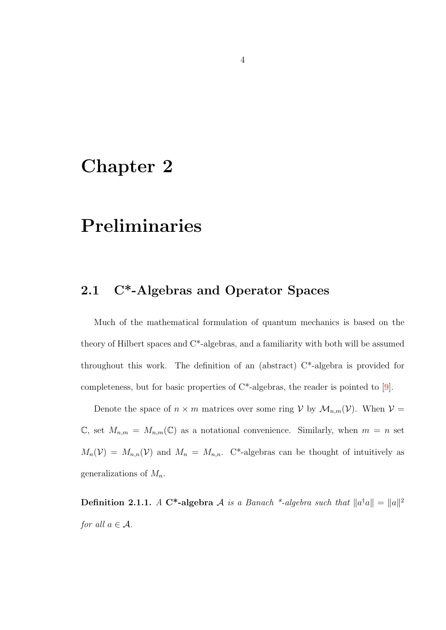# <span id="page-10-0"></span>Chapter 2

# Preliminaries

## <span id="page-10-1"></span>2.1 C\*-Algebras and Operator Spaces

Much of the mathematical formulation of quantum mechanics is based on the theory of Hilbert spaces and C\*-algebras, and a familiarity with both will be assumed throughout this work. The definition of an (abstract) C\*-algebra is provided for completeness, but for basic properties of C\*-algebras, the reader is pointed to [\[9\]](#page-78-4).

Denote the space of  $n \times m$  matrices over some ring V by  $\mathcal{M}_{n,m}(\mathcal{V})$ . When  $\mathcal{V} =$  $\mathbb{C}$ , set  $M_{n,m} = M_{n,m}(\mathbb{C})$  as a notational convenience. Similarly, when  $m = n$  set  $M_n(\mathcal{V}) = M_{n,n}(\mathcal{V})$  and  $M_n = M_{n,n}$ . C\*-algebras can be thought of intuitively as generalizations of  $M_n$ .

**Definition 2.1.1.** A C<sup>\*</sup>-algebra A is a Banach <sup>\*</sup>-algebra such that  $||a^{\dagger}a|| = ||a||^2$ for all  $a \in \mathcal{A}$ .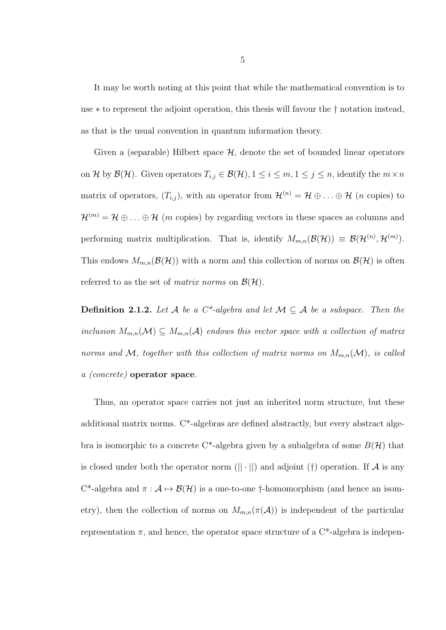It may be worth noting at this point that while the mathematical convention is to use ∗ to represent the adjoint operation, this thesis will favour the † notation instead, as that is the usual convention in quantum information theory.

Given a (separable) Hilbert space  $\mathcal{H}$ , denote the set of bounded linear operators on H by  $\mathcal{B}(\mathcal{H})$ . Given operators  $T_{i,j} \in \mathcal{B}(\mathcal{H}), 1 \leq i \leq m, 1 \leq j \leq n$ , identify the  $m \times n$ matrix of operators,  $(T_{i,j})$ , with an operator from  $\mathcal{H}^{(n)} = \mathcal{H} \oplus \ldots \oplus \mathcal{H}$  (*n* copies) to  $\mathcal{H}^{(m)} = \mathcal{H} \oplus \ldots \oplus \mathcal{H}$  (*m* copies) by regarding vectors in these spaces as columns and performing matrix multiplication. That is, identify  $M_{m,n}(\mathcal{B}(\mathcal{H})) \equiv \mathcal{B}(\mathcal{H}^{(n)}, \mathcal{H}^{(m)})$ . This endows  $M_{m,n}(\mathcal{B}(\mathcal{H}))$  with a norm and this collection of norms on  $\mathcal{B}(\mathcal{H})$  is often referred to as the set of *matrix norms* on  $\mathcal{B}(\mathcal{H})$ .

**Definition 2.1.2.** Let A be a  $C^*$ -algebra and let  $M \subseteq A$  be a subspace. Then the inclusion  $M_{m,n}(\mathcal{M}) \subseteq M_{m,n}(\mathcal{A})$  endows this vector space with a collection of matrix norms and M, together with this collection of matrix norms on  $M_{m,n}(\mathcal{M})$ , is called a (concrete) operator space.

Thus, an operator space carries not just an inherited norm structure, but these additional matrix norms. C\*-algebras are defined abstractly, but every abstract algebra is isomorphic to a concrete C<sup>\*</sup>-algebra given by a subalgebra of some  $B(\mathcal{H})$  that is closed under both the operator norm  $(|| \cdot ||)$  and adjoint (†) operation. If A is any C<sup>\*</sup>-algebra and  $\pi : A \mapsto \mathcal{B}(\mathcal{H})$  is a one-to-one †-homomorphism (and hence an isometry), then the collection of norms on  $M_{m,n}(\pi(\mathcal{A}))$  is independent of the particular representation  $\pi$ , and hence, the operator space structure of a C<sup>\*</sup>-algebra is indepen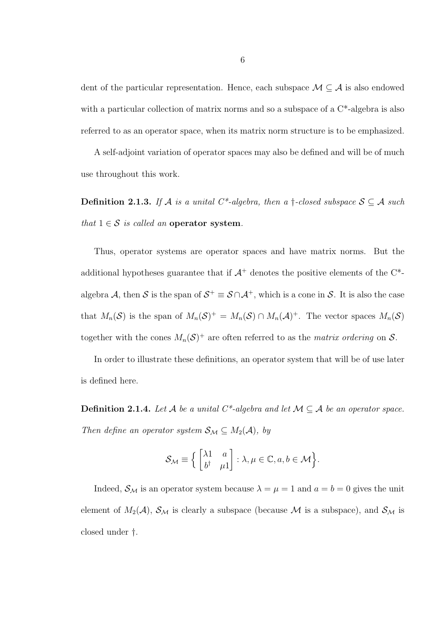dent of the particular representation. Hence, each subspace  $\mathcal{M} \subseteq \mathcal{A}$  is also endowed with a particular collection of matrix norms and so a subspace of a  $C^*$ -algebra is also referred to as an operator space, when its matrix norm structure is to be emphasized.

A self-adjoint variation of operator spaces may also be defined and will be of much use throughout this work.

Definition 2.1.3. If A is a unital C<sup>\*</sup>-algebra, then a  $\dagger$ -closed subspace  $S \subseteq A$  such that  $1 \in S$  is called an operator system.

Thus, operator systems are operator spaces and have matrix norms. But the additional hypotheses guarantee that if  $A^+$  denotes the positive elements of the  $C^*$ algebra A, then S is the span of  $S^+ \equiv S \cap A^+$ , which is a cone in S. It is also the case that  $M_n(\mathcal{S})$  is the span of  $M_n(\mathcal{S})^+ = M_n(\mathcal{S}) \cap M_n(\mathcal{A})^+$ . The vector spaces  $M_n(\mathcal{S})$ together with the cones  $M_n(\mathcal{S})^+$  are often referred to as the *matrix ordering* on  $\mathcal{S}$ .

In order to illustrate these definitions, an operator system that will be of use later is defined here.

<span id="page-12-0"></span>Definition 2.1.4. Let  $A$  be a unital  $C^*$ -algebra and let  $M \subseteq A$  be an operator space. Then define an operator system  $S_M \subseteq M_2(\mathcal{A})$ , by

$$
\mathcal{S}_{\mathcal{M}} \equiv \left\{ \begin{bmatrix} \lambda 1 & a \\ b^{\dagger} & \mu 1 \end{bmatrix} : \lambda, \mu \in \mathbb{C}, a, b \in \mathcal{M} \right\}.
$$

Indeed,  $S_M$  is an operator system because  $\lambda = \mu = 1$  and  $a = b = 0$  gives the unit element of  $M_2(\mathcal{A})$ ,  $\mathcal{S}_\mathcal{M}$  is clearly a subspace (because  $\mathcal M$  is a subspace), and  $\mathcal{S}_\mathcal{M}$  is closed under †.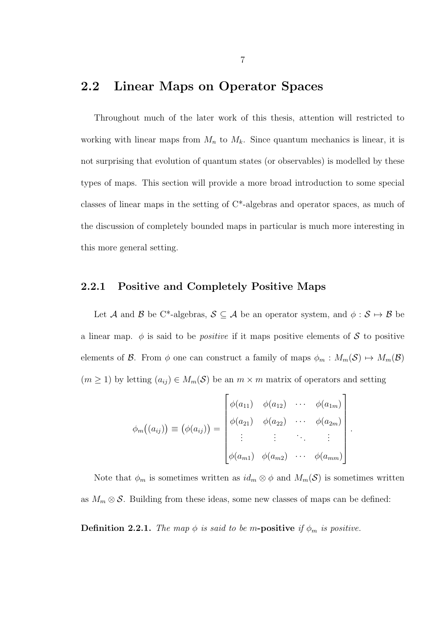## <span id="page-13-0"></span>2.2 Linear Maps on Operator Spaces

Throughout much of the later work of this thesis, attention will restricted to working with linear maps from  $M_n$  to  $M_k$ . Since quantum mechanics is linear, it is not surprising that evolution of quantum states (or observables) is modelled by these types of maps. This section will provide a more broad introduction to some special classes of linear maps in the setting of C\*-algebras and operator spaces, as much of the discussion of completely bounded maps in particular is much more interesting in this more general setting.

#### <span id="page-13-1"></span>2.2.1 Positive and Completely Positive Maps

Let A and B be C<sup>\*</sup>-algebras,  $S \subseteq A$  be an operator system, and  $\phi : S \mapsto B$  be a linear map.  $\phi$  is said to be *positive* if it maps positive elements of S to positive elements of B. From  $\phi$  one can construct a family of maps  $\phi_m : M_m(\mathcal{S}) \mapsto M_m(\mathcal{B})$  $(m \ge 1)$  by letting  $(a_{ij}) \in M_m(\mathcal{S})$  be an  $m \times m$  matrix of operators and setting

$$
\phi_m((a_{ij})) \equiv (\phi(a_{ij})) = \begin{bmatrix} \phi(a_{11}) & \phi(a_{12}) & \cdots & \phi(a_{1m}) \\ \phi(a_{21}) & \phi(a_{22}) & \cdots & \phi(a_{2m}) \\ \vdots & \vdots & \ddots & \vdots \\ \phi(a_{m1}) & \phi(a_{m2}) & \cdots & \phi(a_{mm}) \end{bmatrix}
$$

.

Note that  $\phi_m$  is sometimes written as  $id_m \otimes \phi$  and  $M_m(\mathcal{S})$  is sometimes written as  $M_m \otimes \mathcal{S}$ . Building from these ideas, some new classes of maps can be defined:

<span id="page-13-2"></span>**Definition 2.2.1.** The map  $\phi$  is said to be m-positive if  $\phi_m$  is positive.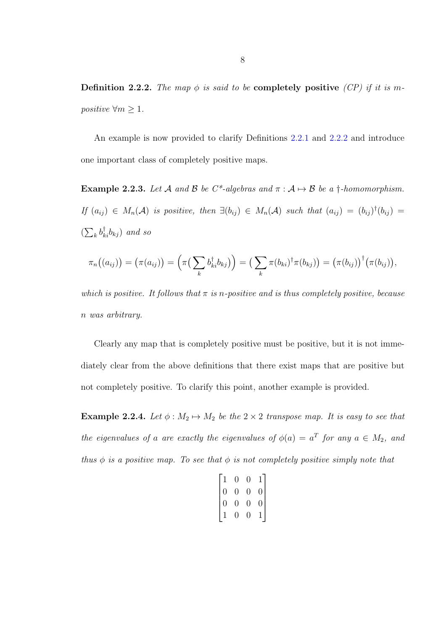<span id="page-14-0"></span>Definition 2.2.2. The map  $\phi$  is said to be completely positive (CP) if it is mpositive  $\forall m \geq 1$ .

An example is now provided to clarify Definitions [2.2.1](#page-13-2) and [2.2.2](#page-14-0) and introduce one important class of completely positive maps.

<span id="page-14-2"></span>**Example 2.2.3.** Let A and B be  $C^*$ -algebras and  $\pi : A \mapsto B$  be a †-homomorphism. If  $(a_{ij}) \in M_n(\mathcal{A})$  is positive, then  $\exists (b_{ij}) \in M_n(\mathcal{A})$  such that  $(a_{ij}) = (b_{ij})^{\dagger} (b_{ij}) =$  $(\sum_{k} b^{\dagger}_{ki} b_{kj})$  and so

$$
\pi_n((a_{ij})) = (\pi(a_{ij})) = (\pi(\sum_k b_{ki}^{\dagger} b_{kj})) = (\sum_k \pi(b_{ki})^{\dagger} \pi(b_{kj})) = (\pi(b_{ij}))^{\dagger} (\pi(b_{ij})),
$$

which is positive. It follows that  $\pi$  is n-positive and is thus completely positive, because n was arbitrary.

Clearly any map that is completely positive must be positive, but it is not immediately clear from the above definitions that there exist maps that are positive but not completely positive. To clarify this point, another example is provided.

<span id="page-14-1"></span>Example 2.2.4. Let  $\phi : M_2 \mapsto M_2$  be the  $2 \times 2$  transpose map. It is easy to see that the eigenvalues of a are exactly the eigenvalues of  $\phi(a) = a^T$  for any  $a \in M_2$ , and thus  $\phi$  is a positive map. To see that  $\phi$  is not completely positive simply note that

$$
\begin{bmatrix} 1 & 0 & 0 & 1 \\ 0 & 0 & 0 & 0 \\ 0 & 0 & 0 & 0 \\ 1 & 0 & 0 & 1 \end{bmatrix}
$$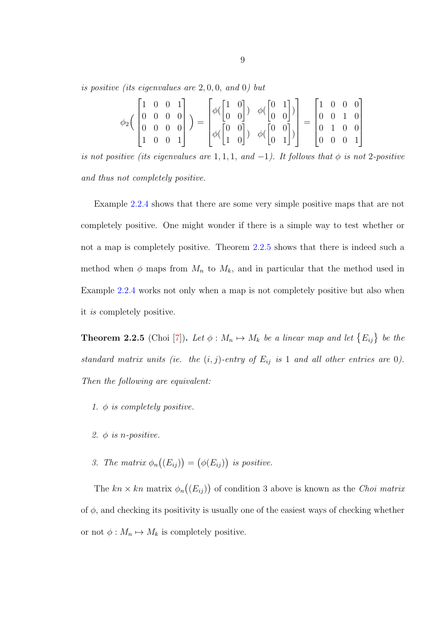is positive (its eigenvalues are 2, 0, 0, and 0) but

$$
\phi_2\begin{pmatrix} 1 & 0 & 0 & 1 \\ 0 & 0 & 0 & 0 \\ 0 & 0 & 0 & 0 \\ 1 & 0 & 0 & 1 \end{pmatrix} = \begin{bmatrix} \phi(\begin{bmatrix} 1 & 0 \\ 0 & 0 \end{bmatrix}) & \phi(\begin{bmatrix} 0 & 1 \\ 0 & 0 \end{bmatrix}) \\ \phi(\begin{bmatrix} 0 & 0 \\ 1 & 0 \end{bmatrix}) & \phi(\begin{bmatrix} 0 & 0 \\ 0 & 0 \end{bmatrix}) \\ \phi(\begin{bmatrix} 0 & 0 \\ 0 & 1 \end{bmatrix}) & \phi(\begin{bmatrix} 0 & 0 \\ 0 & 1 \end{bmatrix}) \end{bmatrix} = \begin{bmatrix} 1 & 0 & 0 & 0 \\ 0 & 0 & 1 & 0 \\ 0 & 1 & 0 & 0 \\ 0 & 0 & 0 & 1 \end{bmatrix}
$$

is not positive (its eigenvalues are 1, 1, 1, and -1). It follows that  $\phi$  is not 2-positive and thus not completely positive.

Example [2.2.4](#page-14-1) shows that there are some very simple positive maps that are not completely positive. One might wonder if there is a simple way to test whether or not a map is completely positive. Theorem [2.2.5](#page-15-0) shows that there is indeed such a method when  $\phi$  maps from  $M_n$  to  $M_k$ , and in particular that the method used in Example [2.2.4](#page-14-1) works not only when a map is not completely positive but also when it is completely positive.

<span id="page-15-0"></span>**Theorem 2.2.5** (Choi [\[7\]](#page-78-5)). Let  $\phi : M_n \mapsto M_k$  be a linear map and let  $\{E_{ij}\}\,$  be the standard matrix units (ie. the  $(i, j)$ -entry of  $E_{ij}$  is 1 and all other entries are 0). Then the following are equivalent:

- 1.  $\phi$  is completely positive.
- 2.  $\phi$  is *n*-positive.
- 3. The matrix  $\phi_n((E_{ij})) = (\phi(E_{ij}))$  is positive.

The  $kn \times kn$  matrix  $\phi_n((E_{ij}))$  of condition 3 above is known as the *Choi matrix* of  $\phi$ , and checking its positivity is usually one of the easiest ways of checking whether or not  $\phi : M_n \mapsto M_k$  is completely positive.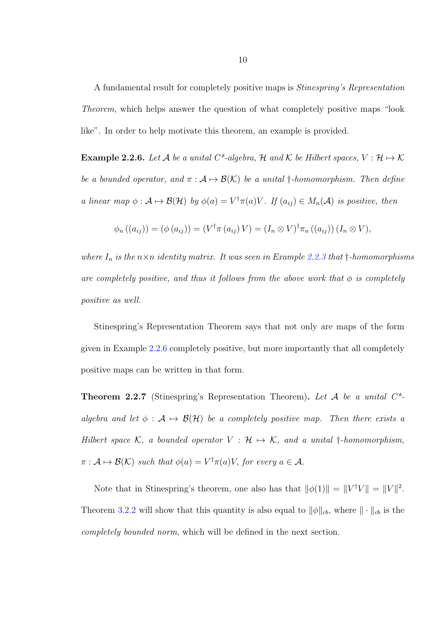A fundamental result for completely positive maps is Stinespring's Representation Theorem, which helps answer the question of what completely positive maps "look like". In order to help motivate this theorem, an example is provided.

<span id="page-16-0"></span>**Example 2.2.6.** Let A be a unital C<sup>\*</sup>-algebra, H and K be Hilbert spaces,  $V : \mathcal{H} \mapsto \mathcal{K}$ be a bounded operator, and  $\pi : A \mapsto \mathcal{B}(\mathcal{K})$  be a unital †-homomorphism. Then define a linear map  $\phi : A \mapsto \mathcal{B}(\mathcal{H})$  by  $\phi(a) = V^{\dagger} \pi(a) V$ . If  $(a_{ij}) \in M_n(\mathcal{A})$  is positive, then

$$
\phi_n((a_{ij})) = (\phi(a_{ij})) = (V^{\dagger} \pi(a_{ij}) V) = (I_n \otimes V)^{\dagger} \pi_n((a_{ij})) (I_n \otimes V),
$$

where  $I_n$  is the  $n \times n$  identity matrix. It was seen in Example [2.2.3](#page-14-2) that  $\dagger$ -homomorphisms are completely positive, and thus it follows from the above work that  $\phi$  is completely positive as well.

Stinespring's Representation Theorem says that not only are maps of the form given in Example [2.2.6](#page-16-0) completely positive, but more importantly that all completely positive maps can be written in that form.

<span id="page-16-1"></span>**Theorem 2.2.7** (Stinespring's Representation Theorem). Let A be a unital  $C^*$ algebra and let  $\phi : A \mapsto \mathcal{B}(\mathcal{H})$  be a completely positive map. Then there exists a Hilbert space  $\mathcal{K}$ , a bounded operator  $V : \mathcal{H} \mapsto \mathcal{K}$ , and a unital †-homomorphism,  $\pi : A \mapsto \mathcal{B}(\mathcal{K})$  such that  $\phi(a) = V^{\dagger} \pi(a)V$ , for every  $a \in \mathcal{A}$ .

Note that in Stinespring's theorem, one also has that  $\|\phi(1)\| = \|V^{\dagger}V\| = \|V\|^2$ . Theorem [3.2.2](#page-34-0) will show that this quantity is also equal to  $\|\phi\|_{cb}$ , where  $\|\cdot\|_{cb}$  is the completely bounded norm, which will be defined in the next section.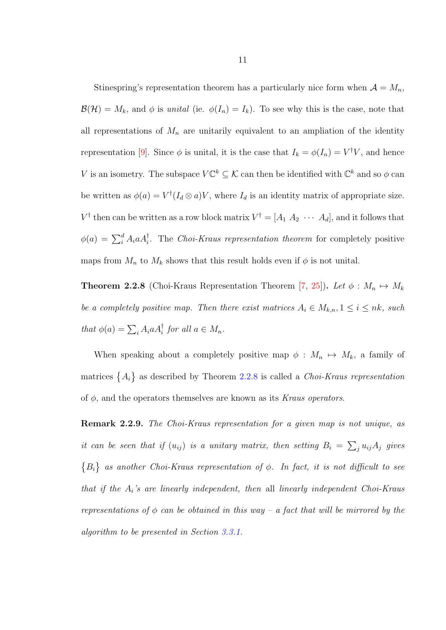Stinespring's representation theorem has a particularly nice form when  $A = M_n$ ,  $\mathcal{B}(\mathcal{H}) = M_k$ , and  $\phi$  is unital (ie.  $\phi(I_n) = I_k$ ). To see why this is the case, note that all representations of  $M_n$  are unitarily equivalent to an ampliation of the identity representation [\[9\]](#page-78-4). Since  $\phi$  is unital, it is the case that  $I_k = \phi(I_n) = V^{\dagger}V$ , and hence V is an isometry. The subspace  $V\mathbb{C}^k \subseteq \mathcal{K}$  can then be identified with  $\mathbb{C}^k$  and so  $\phi$  can be written as  $\phi(a) = V^{\dagger}(I_a \otimes a)V$ , where  $I_a$  is an identity matrix of appropriate size.  $V^{\dagger}$  then can be written as a row block matrix  $V^{\dagger} = [A_1 \ A_2 \ \cdots \ A_d]$ , and it follows that  $\phi(a) = \sum_{i=1}^{d} A_i a A_i^{\dagger}$ . The *Choi-Kraus representation theorem* for completely positive maps from  $M_n$  to  $M_k$  shows that this result holds even if  $\phi$  is not unital.

<span id="page-17-0"></span>**Theorem 2.2.8** (Choi-Kraus Representation Theorem [\[7,](#page-78-5) [25\]](#page-80-7)). Let  $\phi : M_n \mapsto M_k$ be a completely positive map. Then there exist matrices  $A_i \in M_{k,n}, 1 \leq i \leq nk$ , such that  $\phi(a) = \sum_i A_i a A_i^{\dagger}$  for all  $a \in M_n$ .

When speaking about a completely positive map  $\phi : M_n \mapsto M_k$ , a family of matrices  $\{A_i\}$  as described by Theorem [2.2.8](#page-17-0) is called a *Choi-Kraus representation* of  $\phi$ , and the operators themselves are known as its Kraus operators.

<span id="page-17-1"></span>Remark 2.2.9. The Choi-Kraus representation for a given map is not unique, as it can be seen that if  $(u_{ij})$  is a unitary matrix, then setting  $B_i = \sum_j u_{ij} A_j$  gives  ${B_i}$  as another Choi-Kraus representation of  $\phi$ . In fact, it is not difficult to see that if the  $A_i$ 's are linearly independent, then all linearly independent Choi-Kraus representations of  $\phi$  can be obtained in this way – a fact that will be mirrored by the algorithm to be presented in Section [3.3.1.](#page-37-1)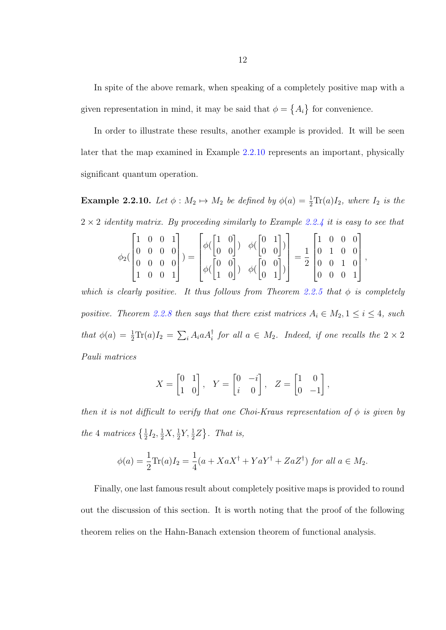In spite of the above remark, when speaking of a completely positive map with a given representation in mind, it may be said that  $\phi = \{A_i\}$  for convenience.

In order to illustrate these results, another example is provided. It will be seen later that the map examined in Example [2.2.10](#page-18-0) represents an important, physically significant quantum operation.

<span id="page-18-0"></span>**Example 2.2.10.** Let  $\phi : M_2 \mapsto M_2$  be defined by  $\phi(a) = \frac{1}{2} \text{Tr}(a) I_2$ , where  $I_2$  is the  $2 \times 2$  identity matrix. By proceeding similarly to Example [2.2.4](#page-14-1) it is easy to see that

$$
\phi_2(\begin{bmatrix} 1 & 0 & 0 & 1 \\ 0 & 0 & 0 & 0 \\ 0 & 0 & 0 & 0 \\ 1 & 0 & 0 & 1 \end{bmatrix}) = \begin{bmatrix} \phi(\begin{bmatrix} 1 & 0 \\ 0 & 0 \end{bmatrix}) & \phi(\begin{bmatrix} 0 & 1 \\ 0 & 0 \end{bmatrix}) \\ \phi(\begin{bmatrix} 0 & 0 \\ 1 & 0 \end{bmatrix}) & \phi(\begin{bmatrix} 0 & 0 \\ 0 & 0 \end{bmatrix}) \\ \phi(\begin{bmatrix} 0 & 0 \\ 0 & 1 \end{bmatrix}) & \phi(\begin{bmatrix} 0 & 0 \\ 0 & 1 \end{bmatrix}) \end{bmatrix} = \frac{1}{2} \begin{bmatrix} 1 & 0 & 0 & 0 \\ 0 & 1 & 0 & 0 \\ 0 & 0 & 1 & 0 \\ 0 & 0 & 0 & 1 \end{bmatrix},
$$

which is clearly positive. It thus follows from Theorem [2.2.5](#page-15-0) that  $\phi$  is completely positive. Theorem [2.2.8](#page-17-0) then says that there exist matrices  $A_i \in M_2, 1 \leq i \leq 4$ , such that  $\phi(a) = \frac{1}{2} \text{Tr}(a) I_2 = \sum_i A_i a A_i^{\dagger}$  for all  $a \in M_2$ . Indeed, if one recalls the  $2 \times 2$ Pauli matrices

$$
X = \begin{bmatrix} 0 & 1 \\ 1 & 0 \end{bmatrix}, \quad Y = \begin{bmatrix} 0 & -i \\ i & 0 \end{bmatrix}, \quad Z = \begin{bmatrix} 1 & 0 \\ 0 & -1 \end{bmatrix},
$$

then it is not difficult to verify that one Choi-Kraus representation of  $\phi$  is given by the 4 matrices  $\{\frac{1}{2}I_2, \frac{1}{2}X, \frac{1}{2}Y, \frac{1}{2}Z\}$ . That is,

$$
\phi(a) = \frac{1}{2}\text{Tr}(a)I_2 = \frac{1}{4}(a + XaX^{\dagger} + YaY^{\dagger} + ZaZ^{\dagger}) \text{ for all } a \in M_2.
$$

Finally, one last famous result about completely positive maps is provided to round out the discussion of this section. It is worth noting that the proof of the following theorem relies on the Hahn-Banach extension theorem of functional analysis.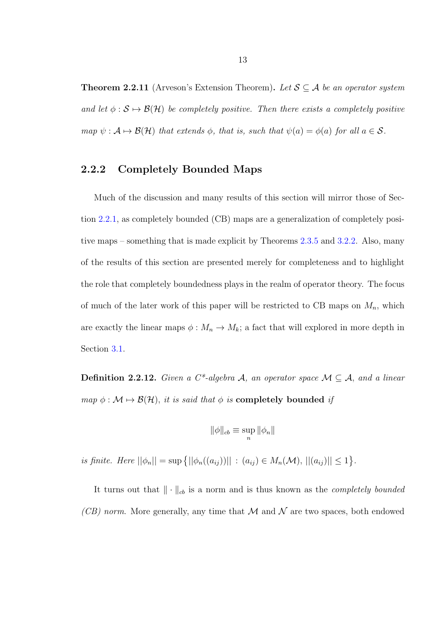**Theorem 2.2.11** (Arveson's Extension Theorem). Let  $S \subseteq A$  be an operator system and let  $\phi : \mathcal{S} \mapsto \mathcal{B}(\mathcal{H})$  be completely positive. Then there exists a completely positive map  $\psi : \mathcal{A} \mapsto \mathcal{B}(\mathcal{H})$  that extends  $\phi$ , that is, such that  $\psi(a) = \phi(a)$  for all  $a \in \mathcal{S}$ .

#### <span id="page-19-0"></span>2.2.2 Completely Bounded Maps

Much of the discussion and many results of this section will mirror those of Section [2.2.1,](#page-13-1) as completely bounded (CB) maps are a generalization of completely positive maps – something that is made explicit by Theorems [2.3.5](#page-27-1) and [3.2.2.](#page-34-0) Also, many of the results of this section are presented merely for completeness and to highlight the role that completely boundedness plays in the realm of operator theory. The focus of much of the later work of this paper will be restricted to CB maps on  $M_n$ , which are exactly the linear maps  $\phi : M_n \to M_k$ ; a fact that will explored in more depth in Section [3.1.](#page-29-1)

<span id="page-19-1"></span>Definition 2.2.12. Given a  $C^*$ -algebra A, an operator space  $\mathcal{M} \subseteq \mathcal{A}$ , and a linear map  $\phi : \mathcal{M} \mapsto \mathcal{B}(\mathcal{H})$ , it is said that  $\phi$  is **completely bounded** if

$$
\|\phi\|_{cb} \equiv \sup_n \|\phi_n\|
$$

is finite. Here  $||\phi_n|| = \sup \{ ||\phi_n((a_{ij}))|| : (a_{ij}) \in M_n(\mathcal{M}), ||(a_{ij})|| \leq 1 \}.$ 

It turns out that  $\|\cdot\|_{cb}$  is a norm and is thus known as the *completely bounded* (CB) norm. More generally, any time that  $\mathcal M$  and  $\mathcal N$  are two spaces, both endowed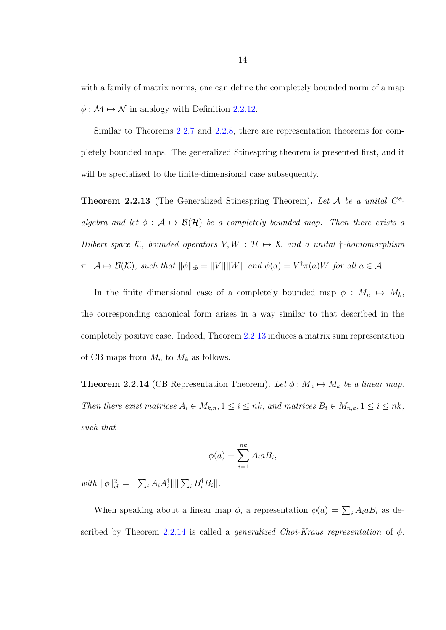with a family of matrix norms, one can define the completely bounded norm of a map  $\phi : \mathcal{M} \mapsto \mathcal{N}$  in analogy with Definition [2.2.12.](#page-19-1)

Similar to Theorems [2.2.7](#page-16-1) and [2.2.8,](#page-17-0) there are representation theorems for completely bounded maps. The generalized Stinespring theorem is presented first, and it will be specialized to the finite-dimensional case subsequently.

<span id="page-20-0"></span>**Theorem 2.2.13** (The Generalized Stinespring Theorem). Let A be a unital  $C^*$ algebra and let  $\phi : A \mapsto \mathcal{B}(\mathcal{H})$  be a completely bounded map. Then there exists a Hilbert space  $K$ , bounded operators  $V, W : H \mapsto K$  and a unital †-homomorphism  $\pi: \mathcal{A} \mapsto \mathcal{B}(\mathcal{K})$ , such that  $\|\phi\|_{cb} = \|V\| \|W\|$  and  $\phi(a) = V^{\dagger} \pi(a)W$  for all  $a \in \mathcal{A}$ .

In the finite dimensional case of a completely bounded map  $\phi : M_n \mapsto M_k$ , the corresponding canonical form arises in a way similar to that described in the completely positive case. Indeed, Theorem [2.2.13](#page-20-0) induces a matrix sum representation of CB maps from  $M_n$  to  $M_k$  as follows.

<span id="page-20-1"></span>**Theorem 2.2.14** (CB Representation Theorem). Let  $\phi : M_n \mapsto M_k$  be a linear map. Then there exist matrices  $A_i \in M_{k,n}, 1 \leq i \leq nk$ , and matrices  $B_i \in M_{n,k}, 1 \leq i \leq nk$ , such that

$$
\phi(a) = \sum_{i=1}^{nk} A_i a B_i,
$$

with  $\|\phi\|_{cb}^2 = \|\sum_i A_i A_i^{\dagger}$  $\frac{\dagger}{i}$ || ||  $\sum_i B_i^{\dagger} B_i$ ||.

When speaking about a linear map  $\phi$ , a representation  $\phi(a) = \sum_i A_i a B_i$  as de-scribed by Theorem [2.2.14](#page-20-1) is called a *generalized Choi-Kraus representation* of  $\phi$ .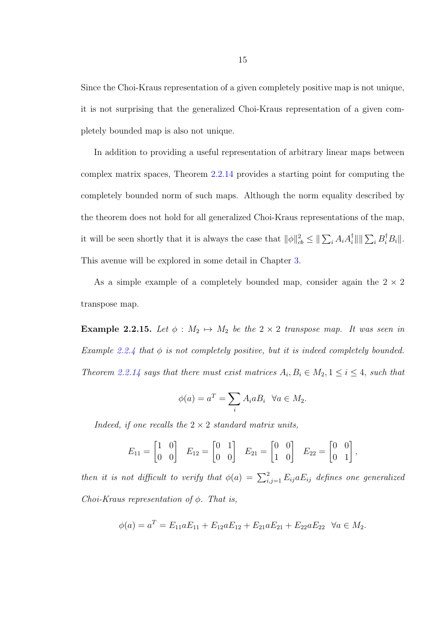Since the Choi-Kraus representation of a given completely positive map is not unique, it is not surprising that the generalized Choi-Kraus representation of a given completely bounded map is also not unique.

In addition to providing a useful representation of arbitrary linear maps between complex matrix spaces, Theorem [2.2.14](#page-20-1) provides a starting point for computing the completely bounded norm of such maps. Although the norm equality described by the theorem does not hold for all generalized Choi-Kraus representations of the map, it will be seen shortly that it is always the case that  $\|\phi\|_{cb}^2 \leq \|\sum_i A_i A_i^{\dagger}$  $\frac{1}{i}$ || ||  $\sum_i B_i^{\dagger} B_i$ ||. This avenue will be explored in some detail in Chapter [3.](#page-29-0)

As a simple example of a completely bounded map, consider again the  $2 \times 2$ transpose map.

Example 2.2.15. Let  $\phi : M_2 \mapsto M_2$  be the  $2 \times 2$  transpose map. It was seen in Example [2.2.4](#page-14-1) that  $\phi$  is not completely positive, but it is indeed completely bounded. Theorem [2.2.14](#page-20-1) says that there must exist matrices  $A_i, B_i \in M_2, 1 \leq i \leq 4$ , such that

$$
\phi(a) = a^T = \sum_i A_i a B_i \quad \forall a \in M_2.
$$

Indeed, if one recalls the  $2 \times 2$  standard matrix units,

$$
E_{11} = \begin{bmatrix} 1 & 0 \\ 0 & 0 \end{bmatrix} \quad E_{12} = \begin{bmatrix} 0 & 1 \\ 0 & 0 \end{bmatrix} \quad E_{21} = \begin{bmatrix} 0 & 0 \\ 1 & 0 \end{bmatrix} \quad E_{22} = \begin{bmatrix} 0 & 0 \\ 0 & 1 \end{bmatrix},
$$

then it is not difficult to verify that  $\phi(a) = \sum_{i,j=1}^{2} E_{ij} a E_{ij}$  defines one generalized Choi-Kraus representation of  $\phi$ . That is,

$$
\phi(a) = a^T = E_{11}aE_{11} + E_{12}aE_{12} + E_{21}aE_{21} + E_{22}aE_{22} \quad \forall a \in M_2.
$$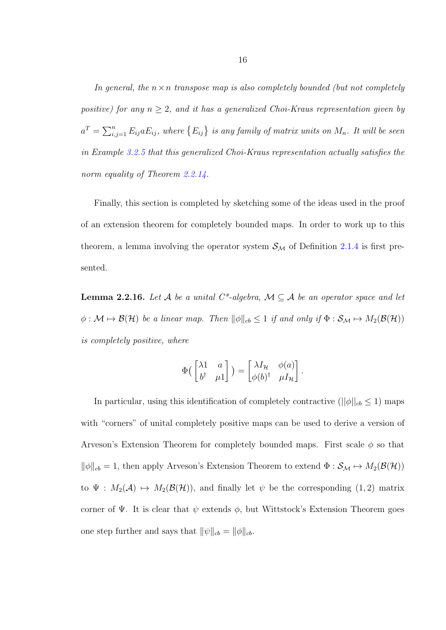In general, the  $n \times n$  transpose map is also completely bounded (but not completely positive) for any  $n \geq 2$ , and it has a generalized Choi-Kraus representation given by  $a^T = \sum_{i,j=1}^n E_{ij} a E_{ij}$ , where  $\{E_{ij}\}$  is any family of matrix units on  $M_n$ . It will be seen in Example [3.2.5](#page-36-0) that this generalized Choi-Kraus representation actually satisfies the norm equality of Theorem [2.2.14.](#page-20-1)

Finally, this section is completed by sketching some of the ideas used in the proof of an extension theorem for completely bounded maps. In order to work up to this theorem, a lemma involving the operator system  $S_M$  of Definition [2.1.4](#page-12-0) is first presented.

**Lemma 2.2.16.** Let A be a unital  $C^*$ -algebra,  $M \subseteq A$  be an operator space and let  $\phi : \mathcal{M} \mapsto \mathcal{B}(\mathcal{H})$  be a linear map. Then  $\|\phi\|_{cb} \leq 1$  if and only if  $\Phi : \mathcal{S}_{\mathcal{M}} \mapsto M_2(\mathcal{B}(\mathcal{H}))$ is completely positive, where

$$
\Phi\begin{pmatrix} \lambda 1 & a \\ b^{\dagger} & \mu 1 \end{pmatrix} = \begin{bmatrix} \lambda I_{\mathcal{H}} & \phi(a) \\ \phi(b)^{\dagger} & \mu I_{\mathcal{H}} \end{bmatrix}.
$$

In particular, using this identification of completely contractive  $(||\phi||_{cb} \leq 1)$  maps with "corners" of unital completely positive maps can be used to derive a version of Arveson's Extension Theorem for completely bounded maps. First scale  $\phi$  so that  $\|\phi\|_{cb} = 1$ , then apply Arveson's Extension Theorem to extend  $\Phi : \mathcal{S}_M \mapsto M_2(\mathcal{B}(\mathcal{H}))$ to  $\Psi : M_2(\mathcal{A}) \mapsto M_2(\mathcal{B}(\mathcal{H}))$ , and finally let  $\psi$  be the corresponding (1, 2) matrix corner of Ψ. It is clear that  $\psi$  extends  $\phi$ , but Wittstock's Extension Theorem goes one step further and says that  $\|\psi\|_{cb} = \|\phi\|_{cb}.$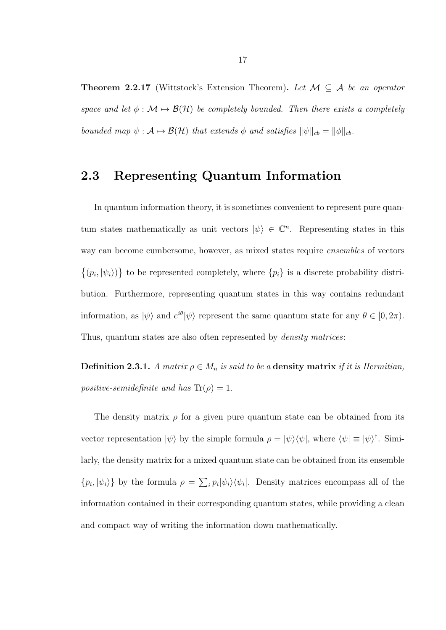**Theorem 2.2.17** (Wittstock's Extension Theorem). Let  $M \subseteq A$  be an operator space and let  $\phi : \mathcal{M} \mapsto \mathcal{B}(\mathcal{H})$  be completely bounded. Then there exists a completely bounded map  $\psi : \mathcal{A} \mapsto \mathcal{B}(\mathcal{H})$  that extends  $\phi$  and satisfies  $\|\psi\|_{cb} = \|\phi\|_{cb}$ .

## <span id="page-23-0"></span>2.3 Representing Quantum Information

In quantum information theory, it is sometimes convenient to represent pure quantum states mathematically as unit vectors  $|\psi\rangle \in \mathbb{C}^n$ . Representing states in this way can become cumbersome, however, as mixed states require ensembles of vectors  $\{(p_i, |\psi_i\rangle)\}\)$  to be represented completely, where  $\{p_i\}$  is a discrete probability distribution. Furthermore, representing quantum states in this way contains redundant information, as  $|\psi\rangle$  and  $e^{i\theta}|\psi\rangle$  represent the same quantum state for any  $\theta \in [0, 2\pi)$ . Thus, quantum states are also often represented by *density matrices*:

**Definition 2.3.1.** A matrix  $\rho \in M_n$  is said to be a **density matrix** if it is Hermitian, positive-semidefinite and has  $Tr(\rho) = 1$ .

The density matrix  $\rho$  for a given pure quantum state can be obtained from its vector representation  $|\psi\rangle$  by the simple formula  $\rho = |\psi\rangle\langle\psi|$ , where  $\langle\psi| \equiv |\psi\rangle^{\dagger}$ . Similarly, the density matrix for a mixed quantum state can be obtained from its ensemble  $\{p_i, |\psi_i\rangle\}$  by the formula  $\rho = \sum_i p_i |\psi_i\rangle \langle \psi_i|$ . Density matrices encompass all of the information contained in their corresponding quantum states, while providing a clean and compact way of writing the information down mathematically.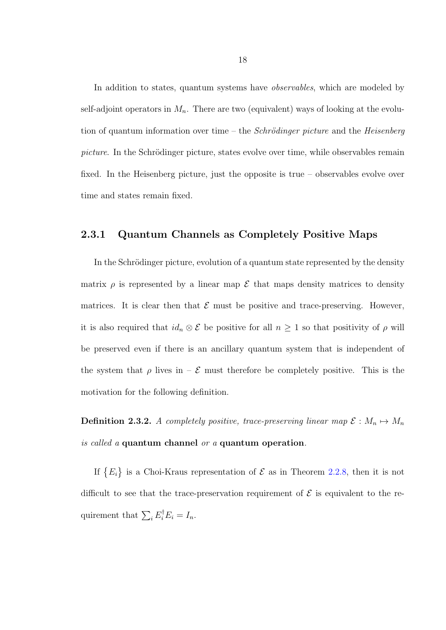In addition to states, quantum systems have *observables*, which are modeled by self-adjoint operators in  $M_n$ . There are two (equivalent) ways of looking at the evolution of quantum information over time – the *Schrödinger picture* and the *Heisenberg* picture. In the Schrödinger picture, states evolve over time, while observables remain fixed. In the Heisenberg picture, just the opposite is true – observables evolve over time and states remain fixed.

#### <span id="page-24-0"></span>2.3.1 Quantum Channels as Completely Positive Maps

In the Schrödinger picture, evolution of a quantum state represented by the density matrix  $\rho$  is represented by a linear map  $\mathcal E$  that maps density matrices to density matrices. It is clear then that  $\mathcal E$  must be positive and trace-preserving. However, it is also required that  $id_n \otimes \mathcal{E}$  be positive for all  $n \geq 1$  so that positivity of  $\rho$  will be preserved even if there is an ancillary quantum system that is independent of the system that  $\rho$  lives in –  $\mathcal E$  must therefore be completely positive. This is the motivation for the following definition.

**Definition 2.3.2.** A completely positive, trace-preserving linear map  $\mathcal{E}: M_n \mapsto M_n$ is called a quantum channel or a quantum operation.

If  ${E_i}$  is a Choi-Kraus representation of  $\mathcal E$  as in Theorem [2.2.8,](#page-17-0) then it is not difficult to see that the trace-preservation requirement of  $\mathcal E$  is equivalent to the requirement that  $\sum_i E_i^{\dagger} E_i = I_n$ .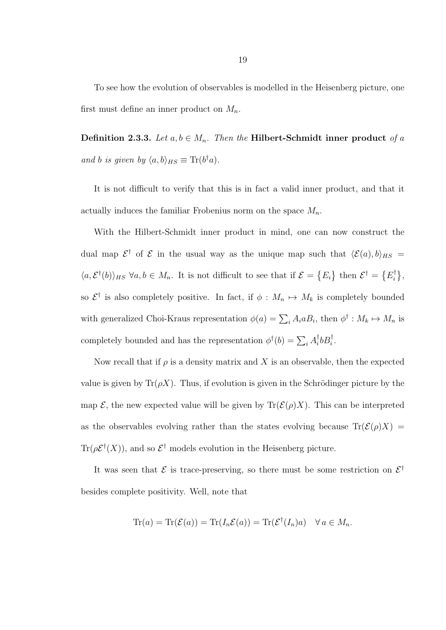To see how the evolution of observables is modelled in the Heisenberg picture, one first must define an inner product on  $M_n$ .

Definition 2.3.3. Let  $a, b \in M_n$ . Then the Hilbert-Schmidt inner product of a and b is given by  $\langle a, b \rangle_{HS} \equiv \text{Tr}(b^{\dagger}a)$ .

It is not difficult to verify that this is in fact a valid inner product, and that it actually induces the familiar Frobenius norm on the space  $M_n$ .

With the Hilbert-Schmidt inner product in mind, one can now construct the dual map  $\mathcal{E}^{\dagger}$  of  $\mathcal{E}$  in the usual way as the unique map such that  $\langle \mathcal{E}(a), b \rangle_{HS} =$  $\langle a, \mathcal{E}^{\dagger}(b) \rangle_{HS}$   $\forall a, b \in M_n$ . It is not difficult to see that if  $\mathcal{E} = \{E_i\}$  then  $\mathcal{E}^{\dagger} = \{E_i^{\dagger}\}$  $\begin{matrix} \phi^\dagger\ \vdots \end{matrix}$ so  $\mathcal{E}^{\dagger}$  is also completely positive. In fact, if  $\phi : M_n \mapsto M_k$  is completely bounded with generalized Choi-Kraus representation  $\phi(a) = \sum_i A_i a B_i$ , then  $\phi^{\dagger} : M_k \mapsto M_n$  is completely bounded and has the representation  $\phi^{\dagger}(b) = \sum_i A_i^{\dagger}$  $i^{\dagger}bB_i^{\dagger}$ .

Now recall that if  $\rho$  is a density matrix and X is an observable, then the expected value is given by  $\text{Tr}(\rho X)$ . Thus, if evolution is given in the Schrödinger picture by the map  $\mathcal{E}$ , the new expected value will be given by  $\text{Tr}(\mathcal{E}(\rho)X)$ . This can be interpreted as the observables evolving rather than the states evolving because  $\text{Tr}(\mathcal{E}(\rho)X)$  =  $\text{Tr}(\rho \mathcal{E}^{\dagger}(X))$ , and so  $\mathcal{E}^{\dagger}$  models evolution in the Heisenberg picture.

It was seen that  $\mathcal E$  is trace-preserving, so there must be some restriction on  $\mathcal E^{\dagger}$ besides complete positivity. Well, note that

$$
\operatorname{Tr}(a) = \operatorname{Tr}(\mathcal{E}(a)) = \operatorname{Tr}(I_n \mathcal{E}(a)) = \operatorname{Tr}(\mathcal{E}^\dagger(I_n)a) \quad \forall \, a \in M_n.
$$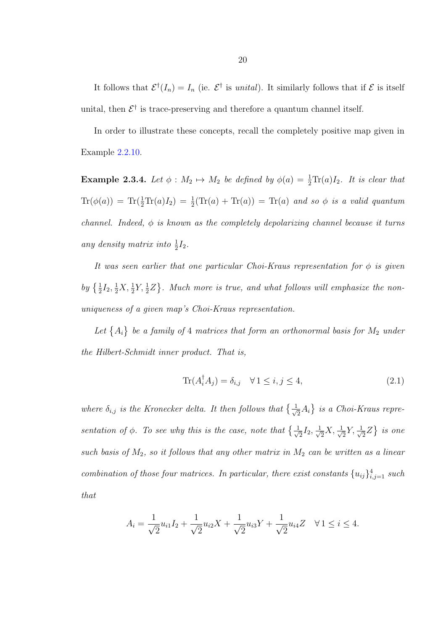It follows that  $\mathcal{E}^{\dagger}(I_n) = I_n$  (ie.  $\mathcal{E}^{\dagger}$  is unital). It similarly follows that if  $\mathcal{E}$  is itself unital, then  $\mathcal{E}^{\dagger}$  is trace-preserving and therefore a quantum channel itself.

In order to illustrate these concepts, recall the completely positive map given in Example [2.2.10.](#page-18-0)

**Example 2.3.4.** Let  $\phi : M_2 \mapsto M_2$  be defined by  $\phi(a) = \frac{1}{2} \text{Tr}(a) I_2$ . It is clear that  $\text{Tr}(\phi(a)) = \text{Tr}(\frac{1}{2}\text{Tr}(a)I_2) = \frac{1}{2}(\text{Tr}(a) + \text{Tr}(a)) = \text{Tr}(a)$  and so  $\phi$  is a valid quantum channel. Indeed,  $\phi$  is known as the completely depolarizing channel because it turns any density matrix into  $\frac{1}{2}I_2$ .

It was seen earlier that one particular Choi-Kraus representation for  $\phi$  is given by  $\{\frac{1}{2}I_2, \frac{1}{2}X, \frac{1}{2}Y, \frac{1}{2}Z\}$ . Much more is true, and what follows will emphasize the nonuniqueness of a given map's Choi-Kraus representation.

Let  $\{A_i\}$  be a family of 4 matrices that form an orthonormal basis for  $M_2$  under the Hilbert-Schmidt inner product. That is,

<span id="page-26-0"></span>
$$
\operatorname{Tr}(A_i^{\dagger} A_j) = \delta_{i,j} \quad \forall \, 1 \le i, j \le 4,\tag{2.1}
$$

where  $\delta_{i,j}$  is the Kronecker delta. It then follows that  $\{\frac{1}{\sqrt{n}}\}$  $\{\overline{z}A_i\}$  is a Choi-Kraus representation of  $\phi$ . To see why this is the case, note that  $\{\frac{1}{\sqrt{2}}\}$  $\frac{1}{2}I_2, \frac{1}{\sqrt{2}}$  $\frac{1}{2}X, \frac{1}{\sqrt{2}}$  $\frac{1}{2}Y, \frac{1}{\sqrt{2}}$  $\{\overline{z}Z\}$  is one such basis of  $M_2$ , so it follows that any other matrix in  $M_2$  can be written as a linear combination of those four matrices. In particular, there exist constants  ${u_{ij}}_{i,j=1}^4$  such that

$$
A_i = \frac{1}{\sqrt{2}} u_{i1} I_2 + \frac{1}{\sqrt{2}} u_{i2} X + \frac{1}{\sqrt{2}} u_{i3} Y + \frac{1}{\sqrt{2}} u_{i4} Z \quad \forall 1 \le i \le 4.
$$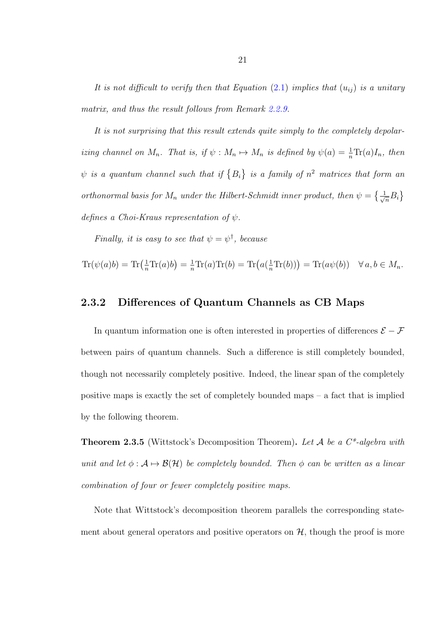It is not difficult to verify then that Equation  $(2.1)$  implies that  $(u_{ij})$  is a unitary matrix, and thus the result follows from Remark [2.2.9.](#page-17-1)

It is not surprising that this result extends quite simply to the completely depolarizing channel on  $M_n$ . That is, if  $\psi : M_n \mapsto M_n$  is defined by  $\psi(a) = \frac{1}{n} \text{Tr}(a) I_n$ , then  $\psi$  is a quantum channel such that if  $\{B_i\}$  is a family of  $n^2$  matrices that form an orthonormal basis for  $M_n$  under the Hilbert-Schmidt inner product, then  $\psi = \{\frac{1}{\sqrt{n}}B_i\}$ defines a Choi-Kraus representation of  $\psi$ .

Finally, it is easy to see that  $\psi = \psi^{\dagger}$ , because

$$
\operatorname{Tr}(\psi(a)b) = \operatorname{Tr}(\frac{1}{n}\operatorname{Tr}(a)b) = \frac{1}{n}\operatorname{Tr}(a)\operatorname{Tr}(b) = \operatorname{Tr}(a(\frac{1}{n}\operatorname{Tr}(b))) = \operatorname{Tr}(a\psi(b)) \quad \forall a, b \in M_n.
$$

#### <span id="page-27-0"></span>2.3.2 Differences of Quantum Channels as CB Maps

In quantum information one is often interested in properties of differences  $\mathcal{E} - \mathcal{F}$ between pairs of quantum channels. Such a difference is still completely bounded, though not necessarily completely positive. Indeed, the linear span of the completely positive maps is exactly the set of completely bounded maps – a fact that is implied by the following theorem.

<span id="page-27-1"></span>**Theorem 2.3.5** (Wittstock's Decomposition Theorem). Let  $A$  be a  $C^*$ -algebra with unit and let  $\phi : A \mapsto \mathcal{B}(\mathcal{H})$  be completely bounded. Then  $\phi$  can be written as a linear combination of four or fewer completely positive maps.

Note that Wittstock's decomposition theorem parallels the corresponding statement about general operators and positive operators on  $H$ , though the proof is more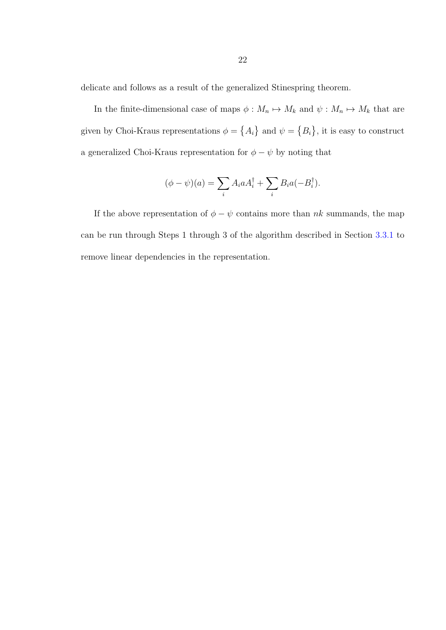delicate and follows as a result of the generalized Stinespring theorem.

In the finite-dimensional case of maps  $\phi : M_n \mapsto M_k$  and  $\psi : M_n \mapsto M_k$  that are given by Choi-Kraus representations  $\phi = \{A_i\}$  and  $\psi = \{B_i\}$ , it is easy to construct a generalized Choi-Kraus representation for  $\phi-\psi$  by noting that

$$
(\phi - \psi)(a) = \sum_i A_i a A_i^{\dagger} + \sum_i B_i a (-B_i^{\dagger}).
$$

If the above representation of  $\phi - \psi$  contains more than  $nk$  summands, the map can be run through Steps 1 through 3 of the algorithm described in Section [3.3.1](#page-37-1) to remove linear dependencies in the representation.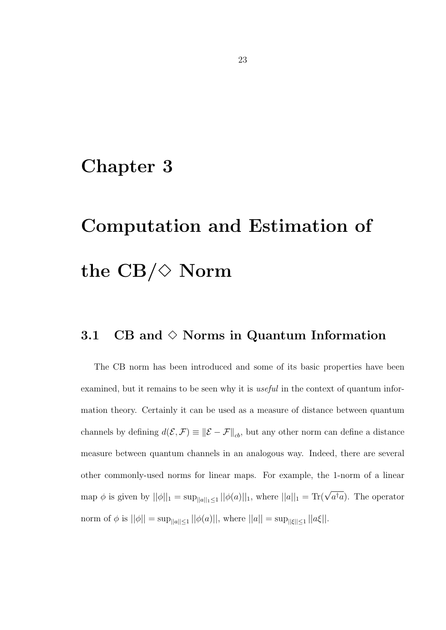# <span id="page-29-0"></span>Chapter 3

# Computation and Estimation of the  $CB/\Diamond$  Norm

## <span id="page-29-1"></span>3.1 CB and  $\diamond$  Norms in Quantum Information

The CB norm has been introduced and some of its basic properties have been examined, but it remains to be seen why it is *useful* in the context of quantum information theory. Certainly it can be used as a measure of distance between quantum channels by defining  $d(\mathcal{E}, \mathcal{F}) \equiv \|\mathcal{E} - \mathcal{F}\|_{cb}$ , but any other norm can define a distance measure between quantum channels in an analogous way. Indeed, there are several other commonly-used norms for linear maps. For example, the 1-norm of a linear map  $\phi$  is given by  $||\phi||_1 = \sup_{||a||_1 \leq 1} ||\phi(a)||_1$ , where  $||a||_1 = \text{Tr}(\sqrt{a^{\dagger}a})$ . The operator norm of  $\phi$  is  $||\phi|| = \sup_{||a|| \le 1} ||\phi(a)||$ , where  $||a|| = \sup_{||\xi|| \le 1} ||a\xi||$ .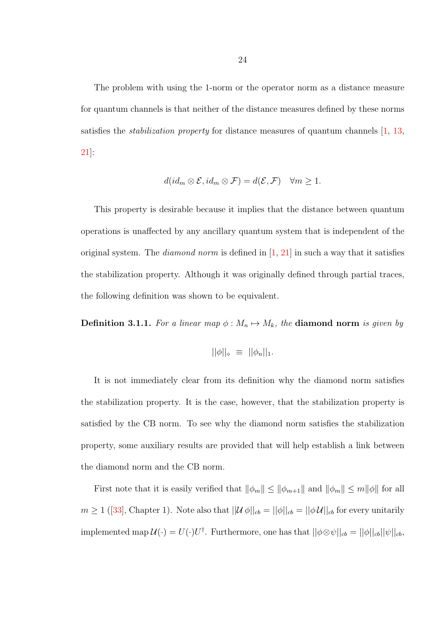The problem with using the 1-norm or the operator norm as a distance measure for quantum channels is that neither of the distance measures defined by these norms satisfies the stabilization property for distance measures of quantum channels [\[1,](#page-77-1) [13,](#page-78-0) [21\]](#page-79-0):

$$
d(id_m \otimes \mathcal{E}, id_m \otimes \mathcal{F}) = d(\mathcal{E}, \mathcal{F}) \quad \forall m \ge 1.
$$

This property is desirable because it implies that the distance between quantum operations is unaffected by any ancillary quantum system that is independent of the original system. The *diamond norm* is defined in  $[1, 21]$  $[1, 21]$  in such a way that it satisfies the stabilization property. Although it was originally defined through partial traces, the following definition was shown to be equivalent.

**Definition 3.1.1.** For a linear map  $\phi : M_n \mapsto M_k$ , the **diamond norm** is given by

$$
||\phi||_{\diamond} \equiv ||\phi_n||_1.
$$

It is not immediately clear from its definition why the diamond norm satisfies the stabilization property. It is the case, however, that the stabilization property is satisfied by the CB norm. To see why the diamond norm satisfies the stabilization property, some auxiliary results are provided that will help establish a link between the diamond norm and the CB norm.

First note that it is easily verified that  $\|\phi_m\| \le \|\phi_{m+1}\|$  and  $\|\phi_m\| \le m\|\phi\|$  for all  $m \ge 1$  $m \ge 1$  $m \ge 1$  ([\[33\]](#page-81-0), Chapter 1). Note also that  $||\mathcal{U}\phi||_{cb} = ||\phi||_{cb} = ||\phi\mathcal{U}||_{cb}$  for every unitarily implemented map  $\mathcal{U}(\cdot) = U(\cdot)U^{\dagger}$ . Furthermore, one has that  $||\phi \otimes \psi||_{cb} = ||\phi||_{cb}||\psi||_{cb}$ ,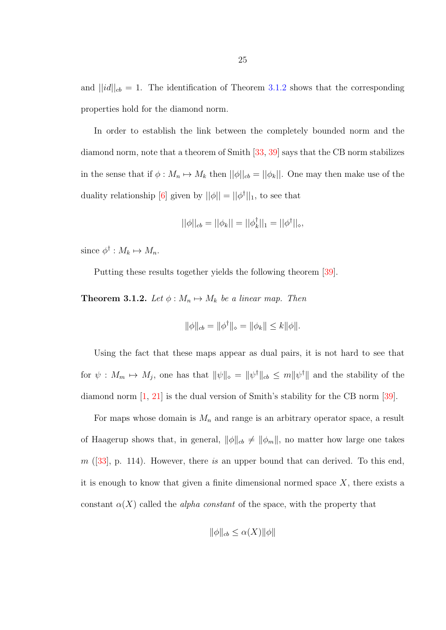and  $||id||_{cb} = 1$ . The identification of Theorem [3.1.2](#page-31-0) shows that the corresponding properties hold for the diamond norm.

In order to establish the link between the completely bounded norm and the diamond norm, note that a theorem of Smith [\[33,](#page-81-0) [39\]](#page-81-7) says that the CB norm stabilizes in the sense that if  $\phi : M_n \mapsto M_k$  then  $||\phi||_{cb} = ||\phi_k||$ . One may then make use of the duality relationship [\[6\]](#page-78-6) given by  $||\phi|| = ||\phi^{\dagger}||_1$ , to see that

$$
||\phi||_{cb} = ||\phi_k|| = ||\phi_k^{\dagger}||_1 = ||\phi^{\dagger}||_{\diamond},
$$

since  $\phi^{\dagger}: M_k \mapsto M_n$ .

Putting these results together yields the following theorem [\[39\]](#page-81-7).

<span id="page-31-0"></span>**Theorem 3.1.2.** Let  $\phi : M_n \mapsto M_k$  be a linear map. Then

$$
\|\phi\|_{cb} = \|\phi^{\dagger}\|_{\diamond} = \|\phi_k\| \le k \|\phi\|.
$$

Using the fact that these maps appear as dual pairs, it is not hard to see that for  $\psi: M_m \mapsto M_j$ , one has that  $\|\psi\|_{\infty} = \|\psi^{\dagger}\|_{cb} \le m\|\psi^{\dagger}\|$  and the stability of the diamond norm [\[1,](#page-77-1) [21\]](#page-79-0) is the dual version of Smith's stability for the CB norm [\[39\]](#page-81-7).

For maps whose domain is  $M_n$  and range is an arbitrary operator space, a result of Haagerup shows that, in general,  $\|\phi\|_{cb} \neq \|\phi_m\|$ , no matter how large one takes  $m$  ([\[33\]](#page-81-0), p. 114). However, there is an upper bound that can derived. To this end, it is enough to know that given a finite dimensional normed space  $X$ , there exists a constant  $\alpha(X)$  called the *alpha constant* of the space, with the property that

$$
\|\phi\|_{cb} \le \alpha(X)\|\phi\|
$$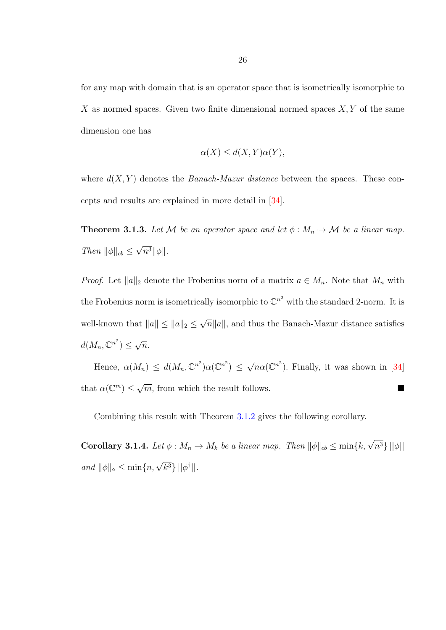for any map with domain that is an operator space that is isometrically isomorphic to X as normed spaces. Given two finite dimensional normed spaces  $X, Y$  of the same dimension one has

$$
\alpha(X) \le d(X, Y)\alpha(Y),
$$

where  $d(X, Y)$  denotes the *Banach-Mazur distance* between the spaces. These concepts and results are explained in more detail in [\[34\]](#page-81-8).

**Theorem 3.1.3.** Let M be an operator space and let  $\phi : M_n \mapsto M$  be a linear map. Then  $\|\phi\|_{cb} \leq$ √  $n^3\|\phi\|.$ 

*Proof.* Let  $||a||_2$  denote the Frobenius norm of a matrix  $a \in M_n$ . Note that  $M_n$  with the Frobenius norm is isometrically isomorphic to  $\mathbb{C}^{n^2}$  with the standard 2-norm. It is well-known that  $||a|| \le ||a||_2 \le$ √  $\overline{n}||a||$ , and thus the Banach-Mazur distance satisfies  $d(M_n,\mathbb{C}^{n^2}) \leq$ √  $\overline{n}$ .

Hence,  $\alpha(M_n) \leq d(M_n, \mathbb{C}^{n^2}) \alpha(\mathbb{C}^{n^2}) \leq$  $\sqrt{n}\alpha(\mathbb{C}^{n^2})$ . Finally, it was shown in [\[34\]](#page-81-8) that  $\alpha(\mathbb{C}^m) \leq \sqrt{m}$ , from which the result follows.

Combining this result with Theorem [3.1.2](#page-31-0) gives the following corollary.

**Corollary 3.1.4.** Let  $\phi : M_n \to M_k$  be a linear map. Then  $\|\phi\|_{cb} \le \min\{k, \sqrt{n^3}\}\|\phi\|$ and  $\|\phi\|_{\infty} \leq \min\{n, \sqrt{k^3}\} ||\phi^{\dagger}||.$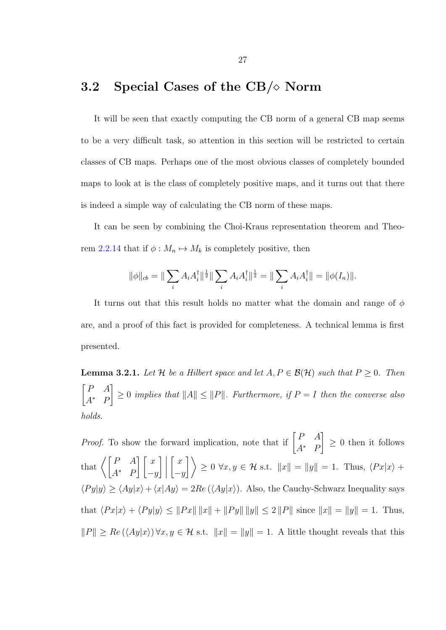## <span id="page-33-0"></span>3.2 Special Cases of the CB/ $\diamond$  Norm

It will be seen that exactly computing the CB norm of a general CB map seems to be a very difficult task, so attention in this section will be restricted to certain classes of CB maps. Perhaps one of the most obvious classes of completely bounded maps to look at is the class of completely positive maps, and it turns out that there is indeed a simple way of calculating the CB norm of these maps.

It can be seen by combining the Choi-Kraus representation theorem and Theo-rem [2.2.14](#page-20-1) that if  $\phi : M_n \mapsto M_k$  is completely positive, then

$$
\|\phi\|_{cb} = \|\sum_i A_i A_i^{\dagger} \|^{\frac{1}{2}} \|\sum_i A_i A_i^{\dagger} \|^{\frac{1}{2}} = \|\sum_i A_i A_i^{\dagger} \| = \|\phi(I_n)\|.
$$

It turns out that this result holds no matter what the domain and range of  $\phi$ are, and a proof of this fact is provided for completeness. A technical lemma is first presented.

<span id="page-33-1"></span>**Lemma 3.2.1.** Let H be a Hilbert space and let  $A, P \in \mathcal{B}(\mathcal{H})$  such that  $P \ge 0$ . Then  $\lceil P \quad A$  $A^*$  F 1  $\geq 0$  implies that  $||A|| \leq ||P||$ . Furthermore, if  $P = I$  then the converse also holds.

*Proof.* To show the forward implication, note that if  $\begin{bmatrix} P & A \\ A^* & D \end{bmatrix}$  $A^*$  F 1  $\geq 0$  then it follows that  $\left\langle \begin{array}{cc} P & A \\ \frac{1}{2} & P \end{array} \right\rangle$  $A^*$  F  $\lceil x \rceil$  $-y$  $\Big] \Big|$  $\lceil x \rceil$  $-y$  $\left| \begin{array}{c} \end{array} \right| \geq 0 \,\forall x,y \in \mathcal{H} \text{ s.t. } \|x\| = \|y\| = 1. \text{ Thus, } \langle Px|x \rangle +$  $\langle Py|y\rangle \ge \langle Ay|x\rangle + \langle x|Ay\rangle = 2Re(\langle Ay|x\rangle)$ . Also, the Cauchy-Schwarz Inequality says that  $\langle Px|x\rangle + \langle Py|y\rangle \le ||Px|| \, ||x|| + ||Py|| \, ||y|| \le 2 ||P||$  since  $||x|| = ||y|| = 1$ . Thus,  $||P|| \ge Re \left( \langle Ay | x \rangle \right) \forall x, y \in \mathcal{H}$  s.t.  $||x|| = ||y|| = 1$ . A little thought reveals that this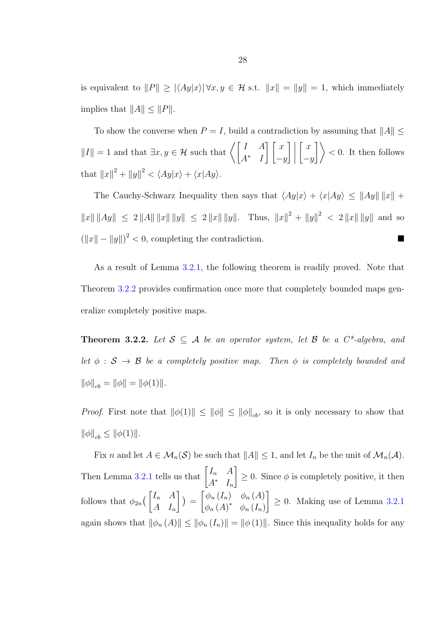is equivalent to  $||P|| \ge |\langle Ay|x\rangle| \forall x, y \in \mathcal{H}$  s.t.  $||x|| = ||y|| = 1$ , which immediately implies that  $||A|| \leq ||P||$ .

To show the converse when  $P = I$ , build a contradiction by assuming that  $||A|| \leq$  $||I|| = 1$  and that  $\exists x, y \in \mathcal{H}$  such that  $\left\langle \begin{array}{cc} I & A \\ A^* & I \end{array} \right\rangle$  $A^*$  I  $\bigcap x$  $-y$  $\Big] \, \Big|$  $\lceil x \rceil$  $-y$  $\Big\}$  < 0. It then follows that  $||x||^2 + ||y||^2 < \langle Ay|x\rangle + \langle x|Ay\rangle$ .

The Cauchy-Schwarz Inequality then says that  $\langle Ay|x\rangle + \langle x|Ay\rangle \le ||Ay|| ||x|| +$  $||x|| ||Ay|| \leq 2 ||A|| ||x|| ||y|| \leq 2 ||x|| ||y||.$  Thus,  $||x||^2 + ||y||^2 < 2 ||x|| ||y||$  and so  $(||x|| - ||y||)^2 < 0$ , completing the contradiction.

As a result of Lemma [3.2.1,](#page-33-1) the following theorem is readily proved. Note that Theorem [3.2.2](#page-34-0) provides confirmation once more that completely bounded maps generalize completely positive maps.

<span id="page-34-0"></span>**Theorem 3.2.2.** Let  $S \subseteq A$  be an operator system, let B be a  $C^*$ -algebra, and let  $\phi : S \rightarrow B$  be a completely positive map. Then  $\phi$  is completely bounded and  $\|\phi\|_{cb} = \|\phi\| = \|\phi(1)\|.$ 

*Proof.* First note that  $\|\phi(1)\| \le \|\phi\| \le \|\phi\|_{cb}$ , so it is only necessary to show that  $\|\phi\|_{cb} \le \|\phi(1)\|.$ 

Fix n and let  $A \in \mathcal{M}_n(\mathcal{S})$  be such that  $||A|| \leq 1$ , and let  $I_n$  be the unit of  $\mathcal{M}_n(\mathcal{A})$ . Then Lemma [3.2.1](#page-33-1) tells us that  $\begin{bmatrix} I_n & A \\ A_{n-1} & A_{n-1} \end{bmatrix}$  $A^*$   $I_n$ 1  $\geq 0$ . Since  $\phi$  is completely positive, it then follows that  $\phi_{2n}(\begin{bmatrix} I_n & A \\ A & I \end{bmatrix})$  $A$   $I_n$  $\Big\}$ ) =  $\lceil \phi_n(I_n) \quad \phi_n(A) \rceil$  $\phi_n(A)^*$   $\phi_n(I_n)$ 1  $\geq$  0. Making use of Lemma [3.2.1](#page-33-1) again shows that  $\|\phi_n(A)\| \le \|\phi_n(I_n)\| = \|\phi(1)\|$ . Since this inequality holds for any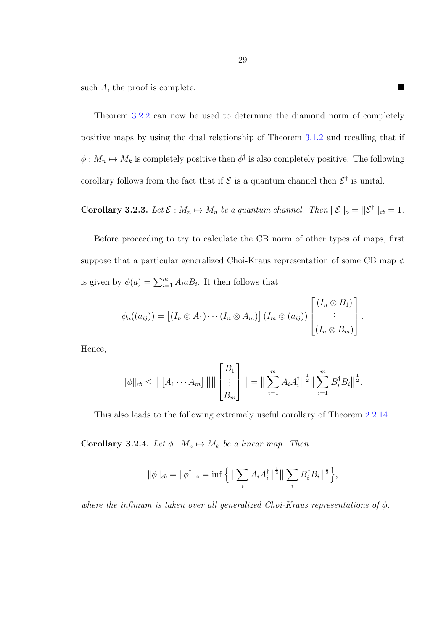such A, the proof is complete.

Theorem [3.2.2](#page-34-0) can now be used to determine the diamond norm of completely positive maps by using the dual relationship of Theorem [3.1.2](#page-31-0) and recalling that if  $\phi: M_n \mapsto M_k$  is completely positive then  $\phi^{\dagger}$  is also completely positive. The following corollary follows from the fact that if  $\mathcal E$  is a quantum channel then  $\mathcal E^{\dagger}$  is unital.

**Corollary 3.2.3.** Let  $\mathcal{E}: M_n \mapsto M_n$  be a quantum channel. Then  $||\mathcal{E}||_{\infty} = ||\mathcal{E}^{\dagger}||_{cb} = 1$ .

Before proceeding to try to calculate the CB norm of other types of maps, first suppose that a particular generalized Choi-Kraus representation of some CB map  $\phi$ is given by  $\phi(a) = \sum_{i=1}^{m} A_i a B_i$ . It then follows that

$$
\phi_n((a_{ij})) = \left[ (I_n \otimes A_1) \cdots (I_n \otimes A_m) \right] (I_m \otimes (a_{ij})) \begin{bmatrix} (I_n \otimes B_1) \\ \vdots \\ (I_n \otimes B_m) \end{bmatrix}.
$$

Hence,

$$
\|\phi\|_{cb} \leq \left\| \left[ A_1 \cdots A_m \right] \right\| \right\| \left[ \left[ \begin{matrix} B_1 \\ \vdots \\ B_m \end{matrix} \right] \right\| = \left\| \sum_{i=1}^m A_i A_i^{\dagger} \right\| ^{\frac{1}{2}} \left\| \sum_{i=1}^m B_i^{\dagger} B_i \right\| ^{\frac{1}{2}}.
$$

This also leads to the following extremely useful corollary of Theorem [2.2.14.](#page-20-1)

Corollary 3.2.4. Let  $\phi : M_n \mapsto M_k$  be a linear map. Then

$$
\|\phi\|_{cb} = \|\phi^{\dagger}\|_{\diamond} = \inf \left\{ \left\| \sum_{i} A_{i} A_{i}^{\dagger} \right\|^{\frac{1}{2}} \right\| \sum_{i} B_{i}^{\dagger} B_{i} \right\|^{\frac{1}{2}} \right\},\
$$

where the infimum is taken over all generalized Choi-Kraus representations of  $\phi$ .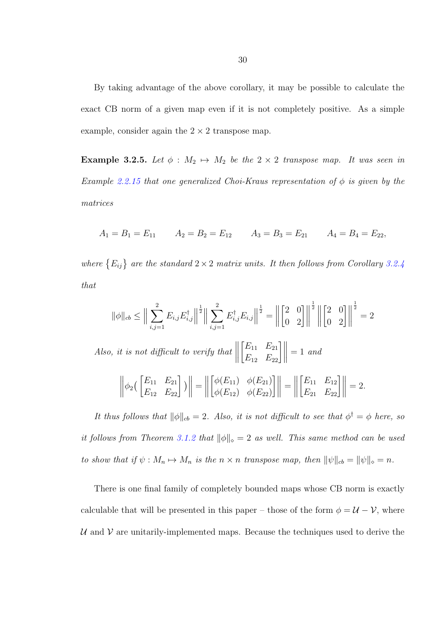By taking advantage of the above corollary, it may be possible to calculate the exact CB norm of a given map even if it is not completely positive. As a simple example, consider again the  $2 \times 2$  transpose map.

Example 3.2.5. Let  $\phi : M_2 \mapsto M_2$  be the  $2 \times 2$  transpose map. It was seen in Example [2.2.15](#page-21-0) that one generalized Choi-Kraus representation of  $\phi$  is given by the matrices

$$
A_1 = B_1 = E_{11} \qquad A_2 = B_2 = E_{12} \qquad A_3 = B_3 = E_{21} \qquad A_4 = B_4 = E_{22},
$$

where  ${E_{ij}}$  are the standard  $2 \times 2$  matrix units. It then follows from Corollary [3.2.4](#page-35-0) that

$$
\|\phi\|_{cb} \le \Big\|\sum_{i,j=1}^{2} E_{i,j} E_{i,j}^{\dagger}\Big\|^{\frac{1}{2}} \Big\|\sum_{i,j=1}^{2} E_{i,j}^{\dagger} E_{i,j}\Big\|^{\frac{1}{2}} = \Big\|\begin{bmatrix} 2 & 0 \\ 0 & 2 \end{bmatrix}\Big\|^{\frac{1}{2}} \Big\|\begin{bmatrix} 2 & 0 \\ 0 & 2 \end{bmatrix}\Big\|^{\frac{1}{2}} = 2
$$
  
Also, it is not difficult to verify that  $\Big\|\begin{bmatrix} E_{11} & E_{21} \\ E_{12} & E_{22} \end{bmatrix}\Big\| = 1$  and  

$$
\Big\|\phi_2\Big(\begin{bmatrix} E_{11} & E_{21} \\ E_{12} & E_{22} \end{bmatrix}\Big)\Big\| = \Big\|\begin{bmatrix} \phi(E_{11}) & \phi(E_{21}) \\ \phi(E_{12}) & \phi(E_{22}) \end{bmatrix}\Big\| = \Big\|\begin{bmatrix} E_{11} & E_{12} \\ E_{21} & E_{22} \end{bmatrix}\Big\| = 2.
$$

It thus follows that  $\|\phi\|_{cb} = 2$ . Also, it is not difficult to see that  $\phi^{\dagger} = \phi$  here, so it follows from Theorem [3.1.2](#page-31-0) that  $\|\phi\|_{\infty} = 2$  as well. This same method can be used to show that if  $\psi : M_n \mapsto M_n$  is the  $n \times n$  transpose map, then  $\|\psi\|_{cb} = \|\psi\|_{cb} = n$ .

There is one final family of completely bounded maps whose CB norm is exactly calculable that will be presented in this paper – those of the form  $\phi = \mathcal{U} - \mathcal{V}$ , where  $U$  and  $V$  are unitarily-implemented maps. Because the techniques used to derive the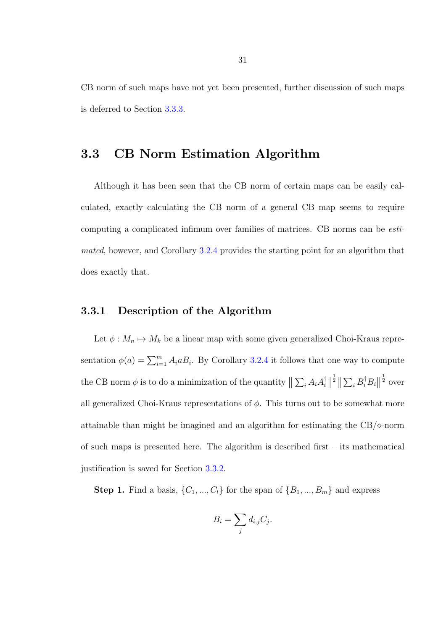CB norm of such maps have not yet been presented, further discussion of such maps is deferred to Section [3.3.3.](#page-43-0)

## 3.3 CB Norm Estimation Algorithm

Although it has been seen that the CB norm of certain maps can be easily calculated, exactly calculating the CB norm of a general CB map seems to require computing a complicated infimum over families of matrices. CB norms can be estimated, however, and Corollary [3.2.4](#page-35-0) provides the starting point for an algorithm that does exactly that.

### <span id="page-37-0"></span>3.3.1 Description of the Algorithm

Let  $\phi: M_n \mapsto M_k$  be a linear map with some given generalized Choi-Kraus representation  $\phi(a) = \sum_{i=1}^{m} A_i a B_i$ . By Corollary [3.2.4](#page-35-0) it follows that one way to compute the CB norm  $\phi$  is to do a minimization of the quantity  $\|\sum_i A_i A_i^{\dagger}$  $\frac{1}{i}$  $\frac{1}{2} \left\| \sum_i B_i^{\dagger} B_i \right\|$  $rac{1}{2}$  over all generalized Choi-Kraus representations of  $\phi$ . This turns out to be somewhat more attainable than might be imagined and an algorithm for estimating the  $CB/\diamond$ -norm of such maps is presented here. The algorithm is described first – its mathematical justification is saved for Section [3.3.2.](#page-39-0)

**Step 1.** Find a basis,  $\{C_1, ..., C_l\}$  for the span of  $\{B_1, ..., B_m\}$  and express

$$
B_i = \sum_j d_{i,j} C_j.
$$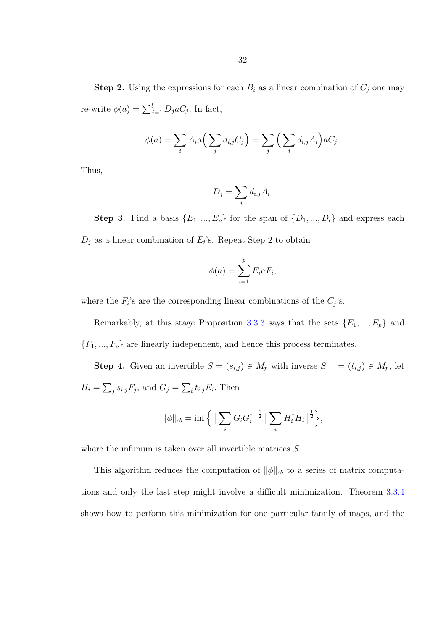**Step 2.** Using the expressions for each  $B_i$  as a linear combination of  $C_j$  one may re-write  $\phi(a) = \sum_{j=1}^{l} D_j a C_j$ . In fact,

$$
\phi(a) = \sum_i A_i a \Big( \sum_j d_{i,j} C_j \Big) = \sum_j \Big( \sum_i d_{i,j} A_i \Big) a C_j.
$$

Thus,

$$
D_j = \sum_i d_{i,j} A_i.
$$

**Step 3.** Find a basis  $\{E_1, ..., E_p\}$  for the span of  $\{D_1, ..., D_l\}$  and express each  $D_j$  as a linear combination of  $E_i$ 's. Repeat Step 2 to obtain

$$
\phi(a) = \sum_{i=1}^p E_i a F_i,
$$

where the  $F_i$ 's are the corresponding linear combinations of the  $C_j$ 's.

Remarkably, at this stage Proposition [3.3.3](#page-42-0) says that the sets  $\{E_1, ..., E_p\}$  and  ${F_1, ..., F_p}$  are linearly independent, and hence this process terminates.

**Step 4.** Given an invertible  $S = (s_{i,j}) \in M_p$  with inverse  $S^{-1} = (t_{i,j}) \in M_p$ , let  $H_i = \sum_j s_{i,j} F_j$ , and  $G_j = \sum_i t_{i,j} E_i$ . Then

$$
\|\phi\|_{cb} = \inf \left\{ \left\| \sum_{i} G_{i} G_{i}^{\dagger} \right\|^{\frac{1}{2}} \right\| \sum_{i} H_{i}^{\dagger} H_{i} \right\|^{\frac{1}{2}} \right\},\
$$

where the infimum is taken over all invertible matrices  $S$ .

This algorithm reduces the computation of  $\|\phi\|_{cb}$  to a series of matrix computations and only the last step might involve a difficult minimization. Theorem [3.3.4](#page-44-0) shows how to perform this minimization for one particular family of maps, and the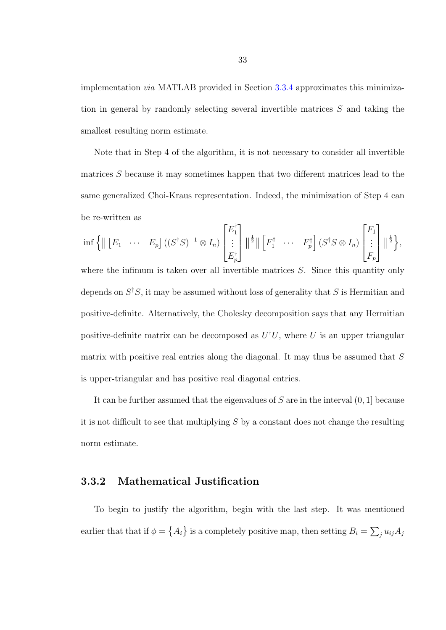implementation via MATLAB provided in Section [3.3.4](#page-48-0) approximates this minimization in general by randomly selecting several invertible matrices S and taking the smallest resulting norm estimate.

Note that in Step 4 of the algorithm, it is not necessary to consider all invertible matrices S because it may sometimes happen that two different matrices lead to the same generalized Choi-Kraus representation. Indeed, the minimization of Step 4 can be re-written as

$$
\inf \left\{ \parallel \begin{bmatrix} E_1 & \cdots & E_p \end{bmatrix} \left( (S^{\dagger} S)^{-1} \otimes I_n \right) \begin{bmatrix} E_1^{\dagger} \\ \vdots \\ E_p^{\dagger} \end{bmatrix} \parallel^{\frac{1}{2}} \parallel \begin{bmatrix} F_1^{\dagger} & \cdots & F_p^{\dagger} \end{bmatrix} \left( S^{\dagger} S \otimes I_n \right) \begin{bmatrix} F_1 \\ \vdots \\ F_p \end{bmatrix} \parallel^{\frac{1}{2}} \right\},\right\}
$$

where the infimum is taken over all invertible matrices  $S$ . Since this quantity only depends on  $S^{\dagger}S$ , it may be assumed without loss of generality that S is Hermitian and positive-definite. Alternatively, the Cholesky decomposition says that any Hermitian positive-definite matrix can be decomposed as  $U^{\dagger}U$ , where U is an upper triangular matrix with positive real entries along the diagonal. It may thus be assumed that  $S$ is upper-triangular and has positive real diagonal entries.

It can be further assumed that the eigenvalues of  $S$  are in the interval  $(0, 1]$  because it is not difficult to see that multiplying  $S$  by a constant does not change the resulting norm estimate.

### <span id="page-39-0"></span>3.3.2 Mathematical Justification

To begin to justify the algorithm, begin with the last step. It was mentioned earlier that that if  $\phi = \{A_i\}$  is a completely positive map, then setting  $B_i = \sum_j u_{ij} A_j$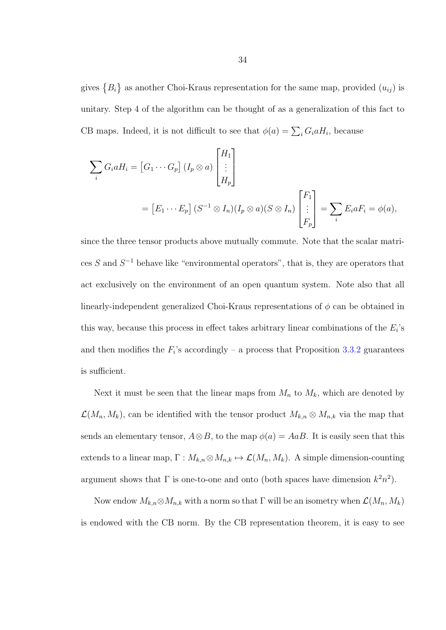gives  ${B_i}$  as another Choi-Kraus representation for the same map, provided  $(u_{ij})$  is unitary. Step 4 of the algorithm can be thought of as a generalization of this fact to CB maps. Indeed, it is not difficult to see that  $\phi(a) = \sum_i G_i a H_i$ , because

$$
\sum_{i} G_i a H_i = [G_1 \cdots G_p] (I_p \otimes a) \begin{bmatrix} H_1 \\ \vdots \\ H_p \end{bmatrix}
$$
  
=  $[E_1 \cdots E_p] (S^{-1} \otimes I_n) (I_p \otimes a) (S \otimes I_n) \begin{bmatrix} F_1 \\ \vdots \\ F_p \end{bmatrix} = \sum_{i} E_i a F_i = \phi(a),$ 

since the three tensor products above mutually commute. Note that the scalar matrices S and  $S^{-1}$  behave like "environmental operators", that is, they are operators that act exclusively on the environment of an open quantum system. Note also that all linearly-independent generalized Choi-Kraus representations of  $\phi$  can be obtained in this way, because this process in effect takes arbitrary linear combinations of the  $E_i$ 's and then modifies the  $F_i$ 's accordingly – a process that Proposition [3.3.2](#page-42-1) guarantees is sufficient.

Next it must be seen that the linear maps from  $M_n$  to  $M_k$ , which are denoted by  $\mathcal{L}(M_n, M_k)$ , can be identified with the tensor product  $M_{k,n} \otimes M_{n,k}$  via the map that sends an elementary tensor,  $A \otimes B$ , to the map  $\phi(a) = A a B$ . It is easily seen that this extends to a linear map,  $\Gamma : M_{k,n} \otimes M_{n,k} \mapsto \mathcal{L}(M_n, M_k)$ . A simple dimension-counting argument shows that  $\Gamma$  is one-to-one and onto (both spaces have dimension  $k^2n^2$ ).

Now endow  $M_{k,n} \otimes M_{n,k}$  with a norm so that  $\Gamma$  will be an isometry when  $\mathcal{L}(M_n, M_k)$ is endowed with the CB norm. By the CB representation theorem, it is easy to see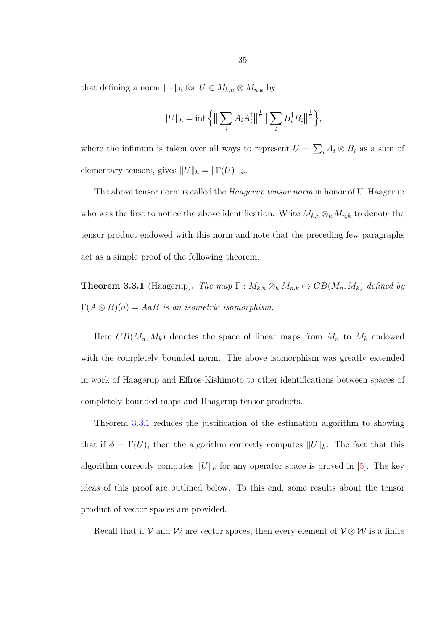that defining a norm  $\|\cdot\|_h$  for  $U \in M_{k,n} \otimes M_{n,k}$  by

$$
||U||_h = \inf \left\{ \left\| \sum_i A_i A_i^{\dagger} \right\|^{\frac{1}{2}} \right\| \sum_i B_i^{\dagger} B_i \left\|^{\frac{1}{2}} \right\},\
$$

where the infimum is taken over all ways to represent  $U = \sum_i A_i \otimes B_i$  as a sum of elementary tensors, gives  $||U||_h = ||\Gamma(U)||_{cb}$ .

The above tensor norm is called the *Haagerup tensor norm* in honor of U. Haagerup who was the first to notice the above identification. Write  $M_{k,n} \otimes_h M_{n,k}$  to denote the tensor product endowed with this norm and note that the preceding few paragraphs act as a simple proof of the following theorem.

<span id="page-41-0"></span>**Theorem 3.3.1** (Haagerup). The map  $\Gamma : M_{k,n} \otimes_h M_{n,k} \to CB(M_n, M_k)$  defined by  $\Gamma(A \otimes B)(a) = A a B$  is an isometric isomorphism.

Here  $CB(M_n, M_k)$  denotes the space of linear maps from  $M_n$  to  $M_k$  endowed with the completely bounded norm. The above isomorphism was greatly extended in work of Haagerup and Effros-Kishimoto to other identifications between spaces of completely bounded maps and Haagerup tensor products.

Theorem [3.3.1](#page-41-0) reduces the justification of the estimation algorithm to showing that if  $\phi = \Gamma(U)$ , then the algorithm correctly computes  $||U||_h$ . The fact that this algorithm correctly computes  $||U||_h$  for any operator space is proved in [\[5\]](#page-77-0). The key ideas of this proof are outlined below. To this end, some results about the tensor product of vector spaces are provided.

Recall that if  $V$  and  $W$  are vector spaces, then every element of  $V \otimes W$  is a finite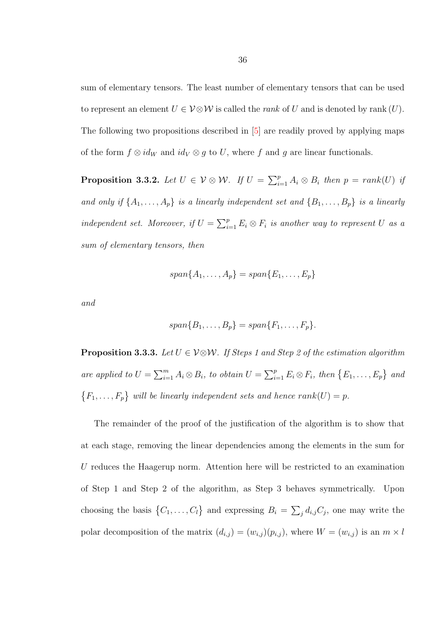sum of elementary tensors. The least number of elementary tensors that can be used to represent an element  $U \in V \otimes W$  is called the *rank* of U and is denoted by rank  $(U)$ . The following two propositions described in [\[5\]](#page-77-0) are readily proved by applying maps of the form  $f \otimes id_W$  and  $id_V \otimes g$  to U, where f and g are linear functionals.

<span id="page-42-1"></span>**Proposition 3.3.2.** Let  $U \in V \otimes W$ . If  $U = \sum_{i=1}^{p} A_i \otimes B_i$  then  $p = rank(U)$  if and only if  $\{A_1, \ldots, A_p\}$  is a linearly independent set and  $\{B_1, \ldots, B_p\}$  is a linearly independent set. Moreover, if  $U = \sum_{i=1}^{p} E_i \otimes F_i$  is another way to represent U as a sum of elementary tensors, then

$$
span{A_1,\ldots,A_p}=span{E_1,\ldots,E_p}
$$

and

$$
span\{B_1,\ldots,B_p\}=span\{F_1,\ldots,F_p\}.
$$

<span id="page-42-0"></span>**Proposition 3.3.3.** Let  $U \in V \otimes W$ . If Steps 1 and Step 2 of the estimation algorithm are applied to  $U = \sum_{i=1}^{m} A_i \otimes B_i$ , to obtain  $U = \sum_{i=1}^{p} E_i \otimes F_i$ , then  $\{E_1, \ldots, E_p\}$  and  $\{F_1, \ldots, F_p\}$  will be linearly independent sets and hence  $rank(U) = p$ .

The remainder of the proof of the justification of the algorithm is to show that at each stage, removing the linear dependencies among the elements in the sum for U reduces the Haagerup norm. Attention here will be restricted to an examination of Step 1 and Step 2 of the algorithm, as Step 3 behaves symmetrically. Upon choosing the basis  $\{C_1, \ldots, C_l\}$  and expressing  $B_i = \sum_j d_{i,j} C_j$ , one may write the polar decomposition of the matrix  $(d_{i,j}) = (w_{i,j})(p_{i,j})$ , where  $W = (w_{i,j})$  is an  $m \times l$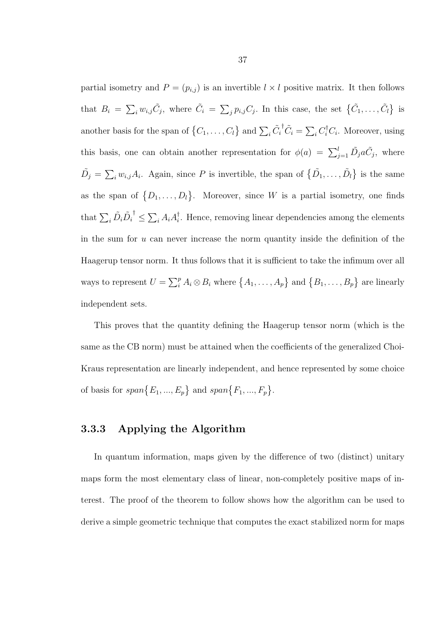partial isometry and  $P = (p_{i,j})$  is an invertible  $l \times l$  positive matrix. It then follows that  $B_i = \sum_i w_{i,j} \tilde{C}_j$ , where  $\tilde{C}_i = \sum_j p_{i,j} C_j$ . In this case, the set  $\{\tilde{C}_1, \ldots, \tilde{C}_l\}$  is another basis for the span of  $\{C_1, \ldots, C_l\}$  and  $\sum_i \tilde{C}_i$ <sup>†</sup> $\tilde{C}_i = \sum_i C_i^{\dagger} C_i$ . Moreover, using this basis, one can obtain another representation for  $\phi(a) = \sum_{j=1}^{l} \tilde{D}_j a \tilde{C}_j$ , where  $\tilde{D}_j = \sum_i w_{i,j} A_i$ . Again, since P is invertible, the span of  $\{ \tilde{D}_1, \ldots, \tilde{D}_l \}$  is the same as the span of  $\{D_1, \ldots, D_l\}$ . Moreover, since W is a partial isometry, one finds that  $\sum_i \tilde{D}_i \tilde{D}_i$  $\big\vert^{\dagger} \leq \sum_{i} A_{i} A_{i}^{\dagger}$  $\overline{i}$ . Hence, removing linear dependencies among the elements in the sum for  $u$  can never increase the norm quantity inside the definition of the Haagerup tensor norm. It thus follows that it is sufficient to take the infimum over all ways to represent  $U = \sum_i^p A_i \otimes B_i$  where  $\{A_1, \ldots, A_p\}$  and  $\{B_1, \ldots, B_p\}$  are linearly independent sets.

This proves that the quantity defining the Haagerup tensor norm (which is the same as the CB norm) must be attained when the coefficients of the generalized Choi-Kraus representation are linearly independent, and hence represented by some choice of basis for  $span\{E_1, ..., E_p\}$  and  $span\{F_1, ..., F_p\}$ .

### <span id="page-43-0"></span>3.3.3 Applying the Algorithm

In quantum information, maps given by the difference of two (distinct) unitary maps form the most elementary class of linear, non-completely positive maps of interest. The proof of the theorem to follow shows how the algorithm can be used to derive a simple geometric technique that computes the exact stabilized norm for maps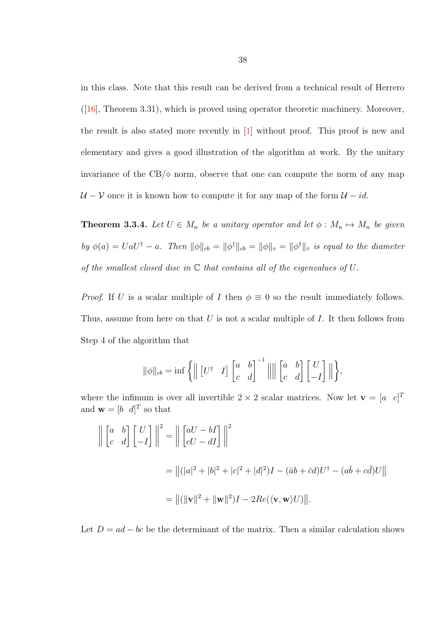in this class. Note that this result can be derived from a technical result of Herrero ([\[16\]](#page-79-0), Theorem 3.31), which is proved using operator theoretic machinery. Moreover, the result is also stated more recently in [\[1\]](#page-77-1) without proof. This proof is new and elementary and gives a good illustration of the algorithm at work. By the unitary invariance of the  $CB/\diamond$  norm, observe that one can compute the norm of any map  $U - V$  once it is known how to compute it for any map of the form  $U - id$ .

<span id="page-44-0"></span>**Theorem 3.3.4.** Let  $U \in M_n$  be a unitary operator and let  $\phi : M_n \mapsto M_n$  be given by  $\phi(a) = U a U^{\dagger} - a$ . Then  $\|\phi\|_{cb} = \|\phi^{\dagger}\|_{cb} = \|\phi\|_{cb} = \|\phi^{\dagger}\|_{cb}$  is equal to the diameter of the smallest closed disc in  $\mathbb C$  that contains all of the eigenvalues of  $U$ .

*Proof.* If U is a scalar multiple of I then  $\phi \equiv 0$  so the result immediately follows. Thus, assume from here on that  $U$  is not a scalar multiple of  $I$ . It then follows from Step 4 of the algorithm that

$$
\|\phi\|_{cb} = \inf \left\{ \left\| \begin{bmatrix} U^{\dagger} & I \end{bmatrix} \begin{bmatrix} a & b \\ c & d \end{bmatrix}^{-1} \right\| \left\| \begin{bmatrix} a & b \\ c & d \end{bmatrix} \begin{bmatrix} U \\ -I \end{bmatrix} \right\| \right\},\
$$

where the infimum is over all invertible  $2 \times 2$  scalar matrices. Now let  $\mathbf{v} = \begin{bmatrix} a & c \end{bmatrix}^T$ and  $\mathbf{w} = \begin{bmatrix} b & d \end{bmatrix}^T$  so that

$$
\left\| \begin{bmatrix} a & b \\ c & d \end{bmatrix} \begin{bmatrix} U \\ -I \end{bmatrix} \right\|^2 = \left\| \begin{bmatrix} aU - bI \\ cU - dI \end{bmatrix} \right\|^2
$$
  
=  $||(|a|^2 + |b|^2 + |c|^2 + |d|^2)I - (\bar{a}b + \bar{c}d)U^{\dagger} - (a\bar{b} + c\bar{d})U||$   
=  $||(||\mathbf{v}||^2 + ||\mathbf{w}||^2)I - 2Re(\langle \mathbf{v}, \mathbf{w} \rangle U)||.$ 

Let  $D = ad - bc$  be the determinant of the matrix. Then a similar calculation shows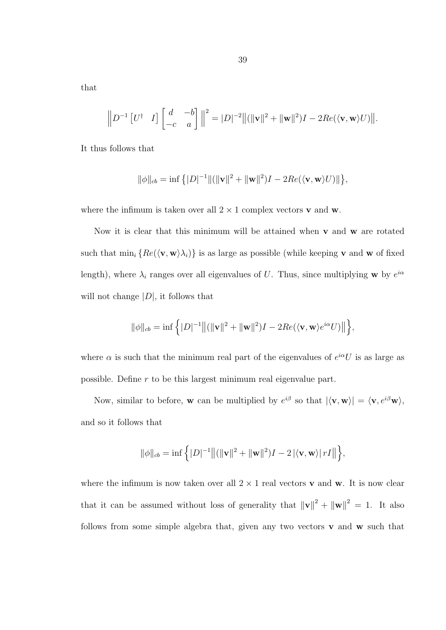that

$$
\left\| D^{-1} \begin{bmatrix} U^{\dagger} & I \end{bmatrix} \begin{bmatrix} d & -b \\ -c & a \end{bmatrix} \right\|^2 = |D|^{-2} \| (\|\mathbf{v}\|^2 + \|\mathbf{w}\|^2) I - 2Re(\langle \mathbf{v}, \mathbf{w} \rangle U) \|.
$$

It thus follows that

$$
\|\phi\|_{cb} = \inf \left\{ |D|^{-1} \| (\|\mathbf{v}\|^2 + \|\mathbf{w}\|^2) I - 2Re(\langle \mathbf{v}, \mathbf{w} \rangle U) \| \right\},\
$$

where the infimum is taken over all  $2 \times 1$  complex vectors **v** and **w**.

Now it is clear that this minimum will be attained when  $\bf{v}$  and  $\bf{w}$  are rotated such that  $\min_i \{Re(\langle \mathbf{v}, \mathbf{w} \rangle \lambda_i)\}\)$  is as large as possible (while keeping **v** and **w** of fixed length), where  $\lambda_i$  ranges over all eigenvalues of U. Thus, since multiplying **w** by  $e^{i\alpha}$ will not change  $|D|$ , it follows that

$$
\|\phi\|_{cb} = \inf \left\{ |D|^{-1} \big\| (\|\mathbf{v}\|^2 + \|\mathbf{w}\|^2) I - 2 Re(\langle \mathbf{v}, \mathbf{w} \rangle e^{i\alpha} U) \big\| \right\},\
$$

where  $\alpha$  is such that the minimum real part of the eigenvalues of  $e^{i\alpha}U$  is as large as possible. Define r to be this largest minimum real eigenvalue part.

Now, similar to before, w can be multiplied by  $e^{i\beta}$  so that  $|\langle v, w \rangle| = \langle v, e^{i\beta}w \rangle$ , and so it follows that

$$
\|\phi\|_{cb} = \inf \left\{ |D|^{-1} \left\| (\|\mathbf{v}\|^2 + \|\mathbf{w}\|^2) I - 2 |\langle \mathbf{v}, \mathbf{w} \rangle | rI| \right\} \right\},\
$$

where the infimum is now taken over all  $2 \times 1$  real vectors **v** and **w**. It is now clear that it can be assumed without loss of generality that  $||\mathbf{v}||^2 + ||\mathbf{w}||^2 = 1$ . It also follows from some simple algebra that, given any two vectors  $\bf{v}$  and  $\bf{w}$  such that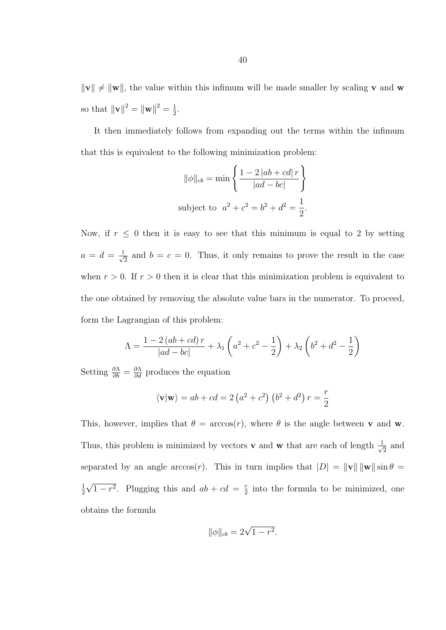$\|\mathbf{v}\| \neq \|\mathbf{w}\|$ , the value within this infimum will be made smaller by scaling **v** and **w** so that  $\|\mathbf{v}\|^2 = \|\mathbf{w}\|^2 = \frac{1}{2}$  $\frac{1}{2}$ .

It then immediately follows from expanding out the terms within the infimum that this is equivalent to the following minimization problem:

$$
\|\phi\|_{cb} = \min\left\{\frac{1 - 2|ab + cd|r}{|ad - bc|}\right\}
$$
  
subject to  $a^2 + c^2 = b^2 + d^2 = \frac{1}{2}$ .

Now, if  $r \leq 0$  then it is easy to see that this minimum is equal to 2 by setting  $a = d = \frac{1}{\sqrt{2}}$  $\frac{1}{2}$  and  $b = c = 0$ . Thus, it only remains to prove the result in the case when  $r > 0$ . If  $r > 0$  then it is clear that this minimization problem is equivalent to the one obtained by removing the absolute value bars in the numerator. To proceed, form the Lagrangian of this problem:

$$
\Lambda = \frac{1 - 2(ab + cd)r}{|ad - bc|} + \lambda_1 \left( a^2 + c^2 - \frac{1}{2} \right) + \lambda_2 \left( b^2 + d^2 - \frac{1}{2} \right)
$$

Setting  $\frac{\partial \Lambda}{\partial b} = \frac{\partial \Lambda}{\partial d}$  produces the equation

$$
\langle \mathbf{v} | \mathbf{w} \rangle = ab + cd = 2 (a^2 + c^2) (b^2 + d^2) r = \frac{r}{2}
$$

This, however, implies that  $\theta = \arccos(r)$ , where  $\theta$  is the angle between **v** and **w**. Thus, this problem is minimized by vectors **v** and **w** that are each of length  $\frac{1}{\sqrt{2}}$  $\overline{2}$  and separated by an angle  $arccos(r)$ . This in turn implies that  $|D| = ||\mathbf{v}|| \, ||\mathbf{w}|| \sin \theta =$ 1 2 √  $\overline{1-r^2}$ . Plugging this and  $ab+cd = \frac{r}{2}$  $\frac{r}{2}$  into the formula to be minimized, one obtains the formula

$$
\|\phi\|_{cb} = 2\sqrt{1 - r^2}.
$$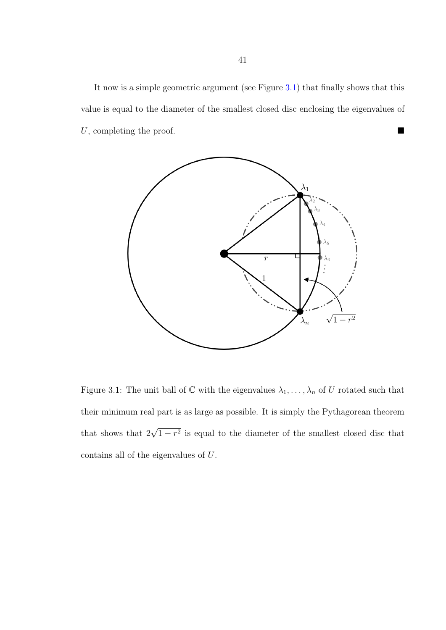It now is a simple geometric argument (see Figure [3.1\)](#page-47-0) that finally shows that this value is equal to the diameter of the smallest closed disc enclosing the eigenvalues of U, completing the proof.



<span id="page-47-0"></span>Figure 3.1: The unit ball of  $\mathbb C$  with the eigenvalues  $\lambda_1, \ldots, \lambda_n$  of U rotated such that their minimum real part is as large as possible. It is simply the Pythagorean theorem that shows that  $2\sqrt{1-r^2}$  is equal to the diameter of the smallest closed disc that contains all of the eigenvalues of U.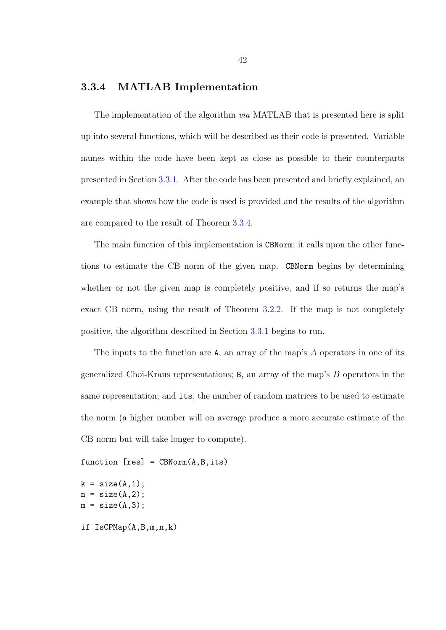### <span id="page-48-0"></span>3.3.4 MATLAB Implementation

The implementation of the algorithm *via* MATLAB that is presented here is split up into several functions, which will be described as their code is presented. Variable names within the code have been kept as close as possible to their counterparts presented in Section [3.3.1.](#page-37-0) After the code has been presented and briefly explained, an example that shows how the code is used is provided and the results of the algorithm are compared to the result of Theorem [3.3.4.](#page-44-0)

The main function of this implementation is CBNorm; it calls upon the other functions to estimate the CB norm of the given map. CBNorm begins by determining whether or not the given map is completely positive, and if so returns the map's exact CB norm, using the result of Theorem [3.2.2.](#page-34-0) If the map is not completely positive, the algorithm described in Section [3.3.1](#page-37-0) begins to run.

The inputs to the function are A, an array of the map's A operators in one of its generalized Choi-Kraus representations; B, an array of the map's B operators in the same representation; and its, the number of random matrices to be used to estimate the norm (a higher number will on average produce a more accurate estimate of the CB norm but will take longer to compute).

```
function [res] = CBNorm(A, B, its)
```

```
k = size(A, 1);n = size(A, 2);m = size(A,3);if IsCPMap(A,B,m,n,k)
```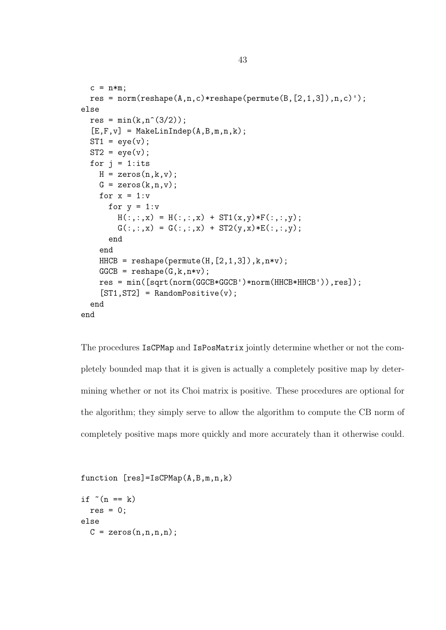```
c = n*m;
  res = norm(reshape(A, n, c)*reshape(permute(B, [2, 1, 3]), n, c)');
else
  res = min(k, n^{(3/2)});[E,F,v] = MakeLinIndep(A,B,m,n,k);ST1 = eye(v);
  ST2 = eye(v);
  for j = 1: its
    H = zeros(n,k,v);G = zeros(k, n, v);for x = 1: vfor y = 1:vH(:,:,x) = H(:,:,x) + ST1(x,y) * F(:,:,y);G(:,:x) = G(:,:x) + ST2(y,x) *E(:,:y);end
    end
    HHCB = reshape(permute(H, [2, 1, 3]), k, n*v);GGCB = reshape(G, k, n*v);res = min([sqrt(norm(GGCB*GGCB')*norm(HHCB*HHCB')),res]);
    [ST1, ST2] = RandomPositive(v);end
end
```
The procedures IsCPMap and IsPosMatrix jointly determine whether or not the completely bounded map that it is given is actually a completely positive map by determining whether or not its Choi matrix is positive. These procedures are optional for the algorithm; they simply serve to allow the algorithm to compute the CB norm of completely positive maps more quickly and more accurately than it otherwise could.

```
function [res]=IsCPMap(A,B,m,n,k)
```

```
if ^{\sim} (n == k)
  res = 0;else
  C = zeros(n, n, n, n);
```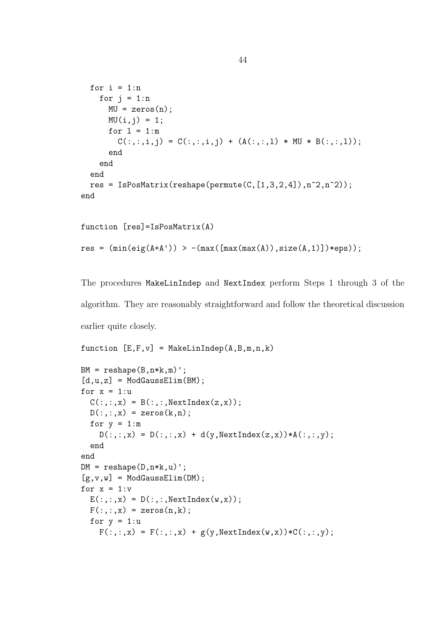```
for i = 1:nfor j = 1:nMU = zeros(n);MU(i, j) = 1;for l = 1:mC(:,:,i,j) = C(:,:,i,j) + (A(:,:,i,1) * MU * B(:,:,i));
      end
    end
 end
 res = IsPosMatrix(reshape(permute(C,[1,3,2,4]),n^2,n^2));
end
```

```
function [res]=IsPosMatrix(A)
res = (min(eig(A+A')) > -(max([max(max(A)),size(A,1)])*eps));
```
The procedures MakeLinIndep and NextIndex perform Steps 1 through 3 of the algorithm. They are reasonably straightforward and follow the theoretical discussion earlier quite closely.

```
function [E, F, v] = MakeLinIndep(A, B, m, n, k)BM = reshape(B, n*k, m)';
[d, u, z] = ModGaussElim(BM);for x = 1:uC(:,:x) = B(:,:,NextIndex(z,x));D(:,:,x) = zeros(k,n);
  for y = 1:mD(:,:x) = D(:,:x) + d(y,NextIndex(z,x)) * A(:,:,y);end
end
DM = reshape(D, n*k, u)';
[g, v, w] = ModGaussElim(DM);for x = 1: vE(:,:,x) = D(:,:,NextIndex(w,x));
 F(:,:,x) = zeros(n,k);
  for y = 1:uF(:,:x) = F(:,:x) + g(y,NextIndex(w,x)) * C(:,:,y);
```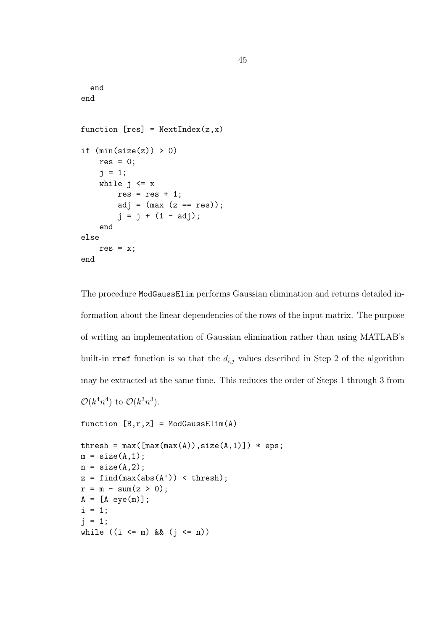```
end
end
function [res] = NextIndex(z, x)if (min(size(z)) > 0)res = 0;j = 1;while j \leq xres = res + 1;adj = (max (z == res));j = j + (1 - adj);end
else
   res = x;end
```
The procedure ModGaussElim performs Gaussian elimination and returns detailed information about the linear dependencies of the rows of the input matrix. The purpose of writing an implementation of Gaussian elimination rather than using MATLAB's built-in rref function is so that the  $d_{i,j}$  values described in Step 2 of the algorithm may be extracted at the same time. This reduces the order of Steps 1 through 3 from  $\mathcal{O}(k^4 n^4)$  to  $\mathcal{O}(k^3 n^3)$ .

```
function [B, r, z] = ModGaussElim(A)
```

```
thresh = max([max(max(A)),size(A,1)]) * eps;
m = size(A, 1);n = size(A, 2);z = \text{find}(\max(\text{abs}(A')) < \text{thresh});r = m - sum(z > 0);A = [A eye(m)],i = 1;j = 1;while ((i \leq m) \& (j \leq n))
```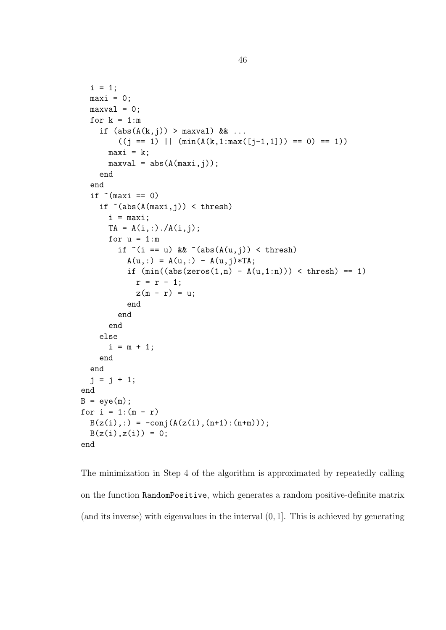```
i = 1;
  maxi = 0;maxval = 0;for k = 1:mif (abs(A(k,j)) > maxval) && ...
        ((j == 1) || (min(A(k,1:max([j-1,1])) == 0) == 1))maxi = k;
      maxval = abs(A(maxi,j));end
  end
  if *(maxi == 0)if \tilde{ } (abs(A(maxi,j)) < thresh)
      i = maxi;TA = A(i,:)./A(i,j);for u = 1:mif \tilde{f} == u) & \tilde{f} (abs(A(u,j)) < thresh)
          A(u,:) = A(u,:) - A(u,j)*TA;if (min((abs(zeros(1, n) - A(u, 1:n))) < thresh) == 1)r = r - 1;z(m - r) = u;end
        end
      end
    else
      i = m + 1;end
  end
  j = j + 1;end
B = eye(m);for i = 1:(m - r)B(z(i),:) = -conj(A(z(i), (n+1):(n+m)));
  B(z(i),z(i)) = 0;end
```
The minimization in Step 4 of the algorithm is approximated by repeatedly calling on the function RandomPositive, which generates a random positive-definite matrix (and its inverse) with eigenvalues in the interval (0, 1]. This is achieved by generating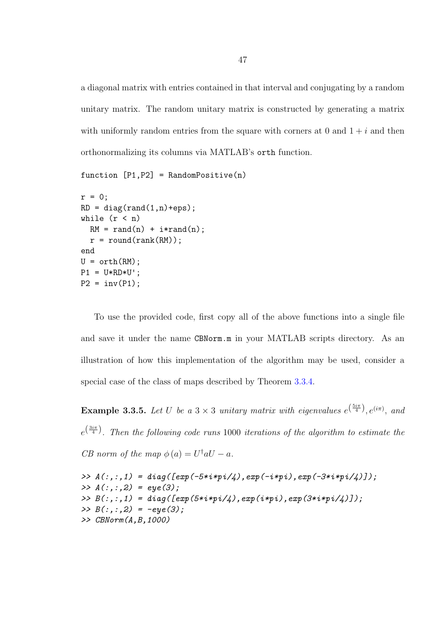a diagonal matrix with entries contained in that interval and conjugating by a random unitary matrix. The random unitary matrix is constructed by generating a matrix with uniformly random entries from the square with corners at 0 and  $1 + i$  and then orthonormalizing its columns via MATLAB's orth function.

```
function [P1, P2] = RandomPositive(n)
```

```
r = 0;
RD = diag(rand(1, n)+eps);
while (r < n)RM = rand(n) + i*rand(n);r = \text{round}(\text{rank}(RM));
end
U = \operatorname{orth}(RM);
P1 = U * RD * U';P2 = inv(P1);
```
To use the provided code, first copy all of the above functions into a single file and save it under the name CBNorm.m in your MATLAB scripts directory. As an illustration of how this implementation of the algorithm may be used, consider a special case of the class of maps described by Theorem [3.3.4.](#page-44-0)

**Example 3.3.5.** Let U be a  $3 \times 3$  unitary matrix with eigenvalues  $e^{(\frac{5i\pi}{4})}$ ,  $e^{(i\pi)}$ , and  $e^{\left(\frac{3i\pi}{4}\right)}$ . Then the following code runs 1000 iterations of the algorithm to estimate the CB norm of the map  $\phi(a) = U^{\dagger} a U - a$ .

```
>> A(:,:,1) = diag([exp(-5 * i * pi / 4), exp(-i * pi), exp(-3 * i * pi / 4)]);\gg A(:,:,2) = eye(3);>> B(:,:,1) = diag([exp(5*ikp)/4),exp(i*pi,kp)/3*ikp)/4]);
\gg B(:,:,2) = -eye(3);>> CBNorm(A,B,1000)
```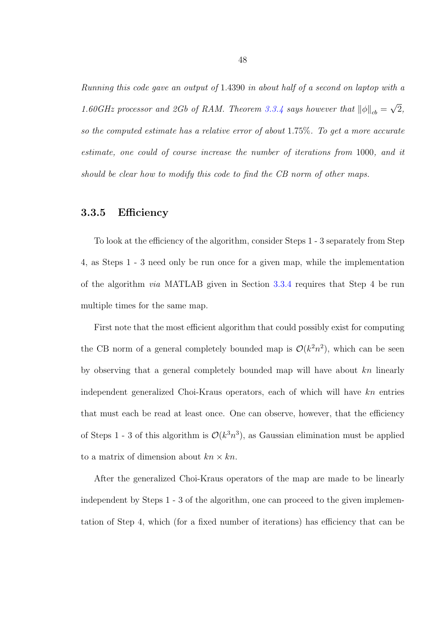Running this code gave an output of 1.4390 in about half of a second on laptop with a 1.60GHz processor and 2Gb of RAM. Theorem [3.3.4](#page-44-0) says however that  $\|\phi\|_{cb} =$ √ 2, so the computed estimate has a relative error of about 1.75%. To get a more accurate estimate, one could of course increase the number of iterations from 1000, and it should be clear how to modify this code to find the CB norm of other maps.

### 3.3.5 Efficiency

To look at the efficiency of the algorithm, consider Steps 1 - 3 separately from Step 4, as Steps 1 - 3 need only be run once for a given map, while the implementation of the algorithm via MATLAB given in Section [3.3.4](#page-48-0) requires that Step 4 be run multiple times for the same map.

First note that the most efficient algorithm that could possibly exist for computing the CB norm of a general completely bounded map is  $\mathcal{O}(k^2n^2)$ , which can be seen by observing that a general completely bounded map will have about kn linearly independent generalized Choi-Kraus operators, each of which will have kn entries that must each be read at least once. One can observe, however, that the efficiency of Steps 1 - 3 of this algorithm is  $\mathcal{O}(k^3 n^3)$ , as Gaussian elimination must be applied to a matrix of dimension about  $kn \times kn$ .

After the generalized Choi-Kraus operators of the map are made to be linearly independent by Steps 1 - 3 of the algorithm, one can proceed to the given implementation of Step 4, which (for a fixed number of iterations) has efficiency that can be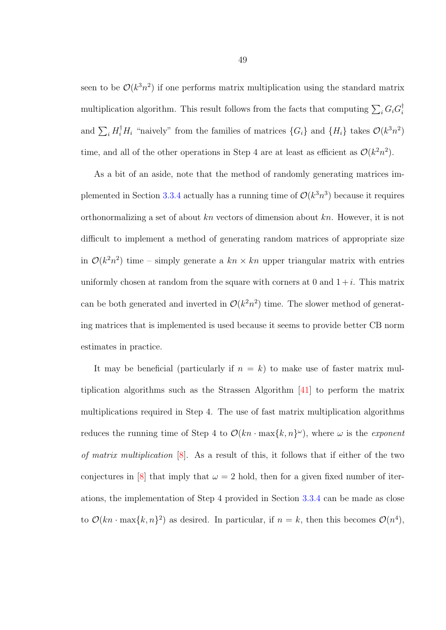seen to be  $\mathcal{O}(k^3 n^2)$  if one performs matrix multiplication using the standard matrix multiplication algorithm. This result follows from the facts that computing  $\sum_i G_i G_i^{\dagger}$ i and  $\sum_i H_i^{\dagger} H_i$  "naively" from the families of matrices  $\{G_i\}$  and  $\{H_i\}$  takes  $\mathcal{O}(k^3 n^2)$ time, and all of the other operations in Step 4 are at least as efficient as  $\mathcal{O}(k^2n^2)$ .

As a bit of an aside, note that the method of randomly generating matrices im-plemented in Section [3.3.4](#page-48-0) actually has a running time of  $\mathcal{O}(k^3 n^3)$  because it requires orthonormalizing a set of about kn vectors of dimension about kn. However, it is not difficult to implement a method of generating random matrices of appropriate size in  $\mathcal{O}(k^2n^2)$  time – simply generate a  $kn \times kn$  upper triangular matrix with entries uniformly chosen at random from the square with corners at 0 and  $1+i$ . This matrix can be both generated and inverted in  $\mathcal{O}(k^2n^2)$  time. The slower method of generating matrices that is implemented is used because it seems to provide better CB norm estimates in practice.

It may be beneficial (particularly if  $n = k$ ) to make use of faster matrix multiplication algorithms such as the Strassen Algorithm [\[41\]](#page-81-0) to perform the matrix multiplications required in Step 4. The use of fast matrix multiplication algorithms reduces the running time of Step 4 to  $\mathcal{O}(kn \cdot \max\{k,n\}^{\omega})$ , where  $\omega$  is the *exponent* of matrix multiplication [\[8\]](#page-78-0). As a result of this, it follows that if either of the two conjectures in [\[8\]](#page-78-0) that imply that  $\omega = 2$  hold, then for a given fixed number of iterations, the implementation of Step 4 provided in Section [3.3.4](#page-48-0) can be made as close to  $\mathcal{O}(kn \cdot \max\{k,n\}^2)$  as desired. In particular, if  $n = k$ , then this becomes  $\mathcal{O}(n^4)$ ,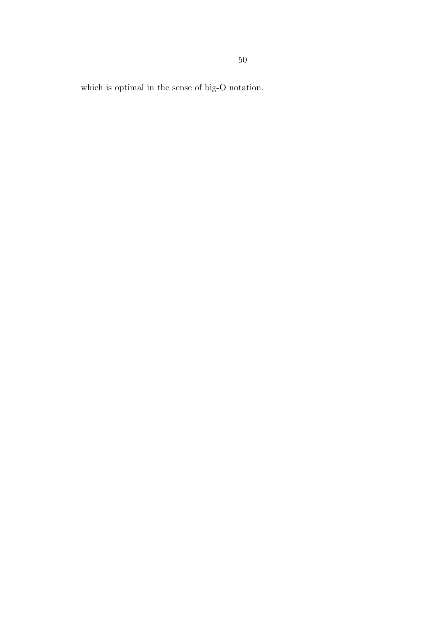which is optimal in the sense of big-O notation.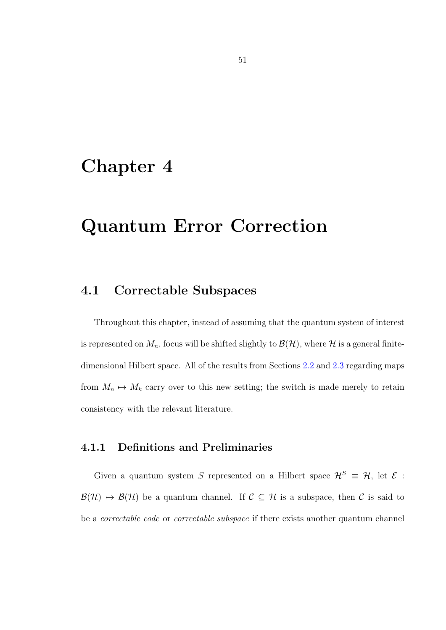## Chapter 4

# Quantum Error Correction

## 4.1 Correctable Subspaces

Throughout this chapter, instead of assuming that the quantum system of interest is represented on  $M_n$ , focus will be shifted slightly to  $\mathcal{B}(\mathcal{H})$ , where  $\mathcal H$  is a general finitedimensional Hilbert space. All of the results from Sections [2.2](#page-13-0) and [2.3](#page-23-0) regarding maps from  $M_n \mapsto M_k$  carry over to this new setting; the switch is made merely to retain consistency with the relevant literature.

### 4.1.1 Definitions and Preliminaries

Given a quantum system S represented on a Hilbert space  $\mathcal{H}^S \equiv \mathcal{H}$ , let  $\mathcal{E}$ :  $\mathcal{B}(\mathcal{H}) \mapsto \mathcal{B}(\mathcal{H})$  be a quantum channel. If  $\mathcal{C} \subseteq \mathcal{H}$  is a subspace, then  $\mathcal{C}$  is said to be a correctable code or correctable subspace if there exists another quantum channel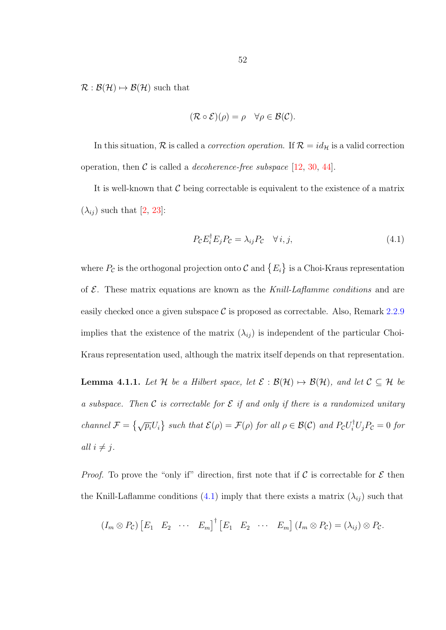$\mathcal{R}: \mathcal{B}(\mathcal{H}) \mapsto \mathcal{B}(\mathcal{H})$  such that

$$
(\mathcal{R} \circ \mathcal{E})(\rho) = \rho \quad \forall \rho \in \mathcal{B}(\mathcal{C}).
$$

In this situation,  $R$  is called a *correction operation*. If  $R = id_H$  is a valid correction operation, then  $\mathcal C$  is called a *decoherence-free subspace* [\[12,](#page-78-1) [30,](#page-80-0) [44\]](#page-82-0).

It is well-known that  $\mathcal C$  being correctable is equivalent to the existence of a matrix  $(\lambda_{ij})$  such that [\[2,](#page-77-2) [23\]](#page-79-1):

<span id="page-58-0"></span>
$$
P_{\mathcal{C}}E_i^{\dagger}E_jP_{\mathcal{C}} = \lambda_{ij}P_{\mathcal{C}} \quad \forall i, j,
$$
\n(4.1)

where  $P_{\mathcal{C}}$  is the orthogonal projection onto  $\mathcal{C}$  and  $\{E_i\}$  is a Choi-Kraus representation of  $\mathcal{E}$ . These matrix equations are known as the Knill-Laflamme conditions and are easily checked once a given subspace  $\mathcal C$  is proposed as correctable. Also, Remark [2.2.9](#page-17-0) implies that the existence of the matrix  $(\lambda_{ij})$  is independent of the particular Choi-Kraus representation used, although the matrix itself depends on that representation.

<span id="page-58-1"></span>**Lemma 4.1.1.** Let H be a Hilbert space, let  $\mathcal{E} : \mathcal{B}(\mathcal{H}) \mapsto \mathcal{B}(\mathcal{H})$ , and let  $\mathcal{C} \subseteq \mathcal{H}$  be a subspace. Then C is correctable for E if and only if there is a randomized unitary channel  $\mathcal{F} = \left\{ \sqrt{p_i} U_i \right\}$  such that  $\mathcal{E}(\rho) = \mathcal{F}(\rho)$  for all  $\rho \in \mathcal{B}(\mathcal{C})$  and  $P_c U_i^{\dagger} U_j P_c = 0$  for all  $i \neq j$ .

*Proof.* To prove the "only if" direction, first note that if C is correctable for  $\mathcal E$  then the Knill-Laflamme conditions [\(4.1\)](#page-58-0) imply that there exists a matrix  $(\lambda_{ij})$  such that

$$
(I_m \otimes P_{\mathcal{C}}) [E_1 \quad E_2 \quad \cdots \quad E_m]^{\dagger} [E_1 \quad E_2 \quad \cdots \quad E_m] (I_m \otimes P_{\mathcal{C}}) = (\lambda_{ij}) \otimes P_{\mathcal{C}}.
$$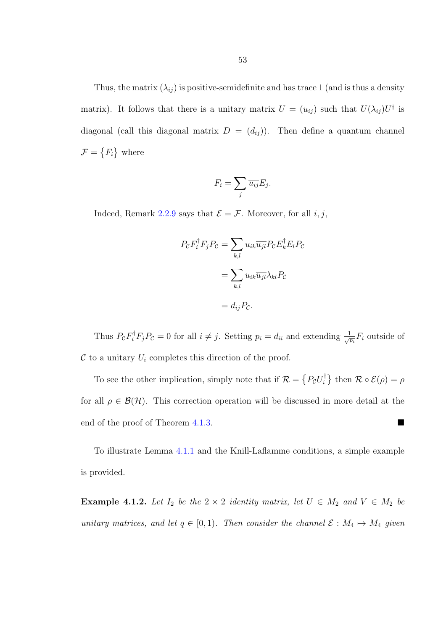Thus, the matrix  $(\lambda_{ij})$  is positive-semidefinite and has trace 1 (and is thus a density matrix). It follows that there is a unitary matrix  $U = (u_{ij})$  such that  $U(\lambda_{ij})U^{\dagger}$  is diagonal (call this diagonal matrix  $D = (d_{ij})$ ). Then define a quantum channel  $\mathcal{F} = \{F_i\}$  where

$$
F_i = \sum_j \overline{u_{ij}} E_j.
$$

Indeed, Remark [2.2.9](#page-17-0) says that  $\mathcal{E} = \mathcal{F}$ . Moreover, for all *i*, *j*,

$$
P_{\mathcal{C}}F_i^{\dagger}F_jP_{\mathcal{C}} = \sum_{k,l} u_{ik}\overline{u_{jl}}P_{\mathcal{C}}E_k^{\dagger}E_lP_{\mathcal{C}}
$$

$$
= \sum_{k,l} u_{ik}\overline{u_{jl}}\lambda_{kl}P_{\mathcal{C}}
$$

$$
= d_{ij}P_{\mathcal{C}}.
$$

Thus  $P_{\mathcal{C}}F_i^{\dagger}F_jP_{\mathcal{C}}=0$  for all  $i \neq j$ . Setting  $p_i = d_{ii}$  and extending  $\frac{1}{\sqrt{p_i}}F_i$  outside of  $\mathcal C$  to a unitary  $U_i$  completes this direction of the proof.

To see the other implication, simply note that if  $\mathcal{R} = \{P_{\mathcal{C}}U_i^{\dagger}$  $\{\vec{r}_i^{\dagger}\}\right\}$  then  $\mathcal{R}\circ\mathcal{E}(\rho)=\rho$ for all  $\rho \in \mathcal{B}(\mathcal{H})$ . This correction operation will be discussed in more detail at the end of the proof of Theorem [4.1.3.](#page-61-0)

To illustrate Lemma [4.1.1](#page-58-1) and the Knill-Laflamme conditions, a simple example is provided.

<span id="page-59-0"></span>**Example 4.1.2.** Let  $I_2$  be the  $2 \times 2$  identity matrix, let  $U \in M_2$  and  $V \in M_2$  be unitary matrices, and let  $q \in [0, 1)$ . Then consider the channel  $\mathcal{E}: M_4 \mapsto M_4$  given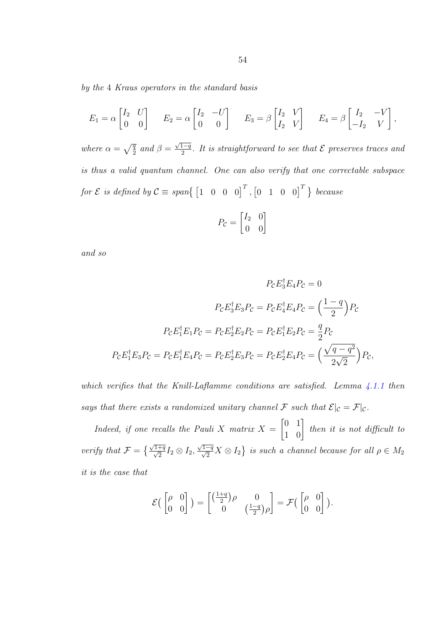by the 4 Kraus operators in the standard basis

$$
E_1 = \alpha \begin{bmatrix} I_2 & U \\ 0 & 0 \end{bmatrix} \qquad E_2 = \alpha \begin{bmatrix} I_2 & -U \\ 0 & 0 \end{bmatrix} \qquad E_3 = \beta \begin{bmatrix} I_2 & V \\ I_2 & V \end{bmatrix} \qquad E_4 = \beta \begin{bmatrix} I_2 & -V \\ -I_2 & V \end{bmatrix},
$$

where  $\alpha = \sqrt{\frac{q}{2}}$  and  $\beta =$  $\sqrt{1-q}$  $\frac{1-q}{2}$ . It is straightforward to see that  ${\cal E}$  preserves traces and is thus a valid quantum channel. One can also verify that one correctable subspace for  $\mathcal E$  is defined by  $\mathcal C \equiv span\{ \begin{bmatrix} 1 & 0 & 0 & 0 \end{bmatrix}^T, \begin{bmatrix} 0 & 1 & 0 & 0 \end{bmatrix}^T \}$  because

$$
P_{\mathcal{C}} = \begin{bmatrix} I_2 & 0 \\ 0 & 0 \end{bmatrix}
$$

and so

$$
P_{\mathcal{C}}E_3^{\dagger}E_4P_{\mathcal{C}} = 0
$$

$$
P_{\mathcal{C}}E_3^{\dagger}E_3P_{\mathcal{C}} = P_{\mathcal{C}}E_4^{\dagger}E_4P_{\mathcal{C}} = \left(\frac{1-q}{2}\right)P_{\mathcal{C}}
$$

$$
P_{\mathcal{C}}E_1^{\dagger}E_1P_{\mathcal{C}} = P_{\mathcal{C}}E_2^{\dagger}E_2P_{\mathcal{C}} = P_{\mathcal{C}}E_1^{\dagger}E_2P_{\mathcal{C}} = \frac{q}{2}P_{\mathcal{C}}
$$

$$
P_{\mathcal{C}}E_1^{\dagger}E_3P_{\mathcal{C}} = P_{\mathcal{C}}E_1^{\dagger}E_4P_{\mathcal{C}} = P_{\mathcal{C}}E_2^{\dagger}E_3P_{\mathcal{C}} = P_{\mathcal{C}}E_2^{\dagger}E_4P_{\mathcal{C}} = \left(\frac{\sqrt{q-q^2}}{2\sqrt{2}}\right)P_{\mathcal{C}},
$$

which verifies that the Knill-Laflamme conditions are satisfied. Lemma  $4.1.1$  then says that there exists a randomized unitary channel F such that  $\mathcal{E}|_{\mathcal{C}} = \mathcal{F}|_{\mathcal{C}}$ .

Indeed, if one recalls the Pauli X matrix  $X =$  $\begin{bmatrix} 0 & 1 \\ 1 & 0 \end{bmatrix}$ then it is not difficult to verify that  $\mathcal{F} = \left\{ \frac{\sqrt{1+q}}{\sqrt{2}} I_2 \otimes I_2, \right.$  $\sqrt{1-q} X \otimes I_2$  is such a channel because for all  $\rho \in M_2$ it is the case that

$$
\mathcal{E}\begin{pmatrix} \begin{bmatrix} \rho & 0 \\ 0 & 0 \end{bmatrix} \end{pmatrix} = \begin{bmatrix} \begin{pmatrix} \frac{1+q}{2} \end{pmatrix} \rho & 0 \\ 0 & \begin{pmatrix} \frac{1-q}{2} \end{pmatrix} \rho \end{bmatrix} = \mathcal{F}\begin{pmatrix} \begin{bmatrix} \rho & 0 \\ 0 & 0 \end{bmatrix} \end{pmatrix}.
$$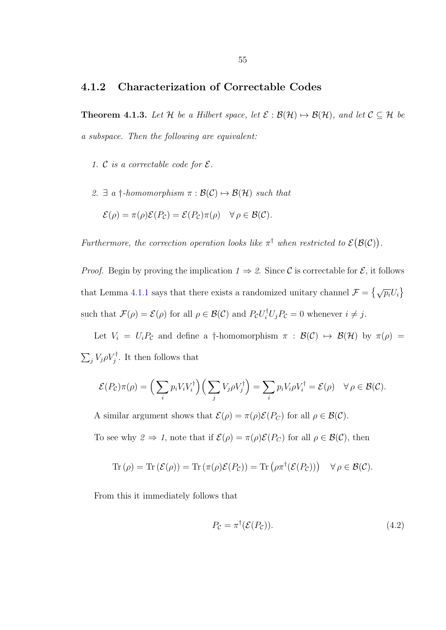### <span id="page-61-0"></span>4.1.2 Characterization of Correctable Codes

**Theorem 4.1.3.** Let H be a Hilbert space, let  $\mathcal{E}: \mathcal{B}(\mathcal{H}) \mapsto \mathcal{B}(\mathcal{H})$ , and let  $\mathcal{C} \subseteq \mathcal{H}$  be a subspace. Then the following are equivalent:

- 1. C is a correctable code for  $\mathcal{E}$ .
- 2.  $\exists$  a  $\dagger$ -homomorphism  $\pi : \mathcal{B}(\mathcal{C}) \mapsto \mathcal{B}(\mathcal{H})$  such that

$$
\mathcal{E}(\rho) = \pi(\rho)\mathcal{E}(P_{\mathcal{C}}) = \mathcal{E}(P_{\mathcal{C}})\pi(\rho) \quad \forall \rho \in \mathcal{B}(\mathcal{C}).
$$

Furthermore, the correction operation looks like  $\pi^{\dagger}$  when restricted to  $\mathcal{E}(\mathcal{B}(\mathcal{C}))$ .

*Proof.* Begin by proving the implication  $1 \Rightarrow 2$ . Since C is correctable for E, it follows that Lemma [4.1.1](#page-58-1) says that there exists a randomized unitary channel  $\mathcal{F} = \{ \sqrt{p_i} U_i \}$ such that  $\mathcal{F}(\rho) = \mathcal{E}(\rho)$  for all  $\rho \in \mathcal{B}(\mathcal{C})$  and  $P_{\mathcal{C}}U_i^{\dagger}U_jP_{\mathcal{C}} = 0$  whenever  $i \neq j$ .

Let  $V_i = U_i P_c$  and define a †-homomorphism  $\pi : \mathcal{B}(\mathcal{C}) \mapsto \mathcal{B}(\mathcal{H})$  by  $\pi(\rho) =$  $\sum_j V_j \rho V_j^{\dagger}$ . It then follows that

$$
\mathcal{E}(P_{\mathcal{C}})\pi(\rho) = \left(\sum_i p_i V_i V_i^{\dagger}\right) \left(\sum_j V_j \rho V_j^{\dagger}\right) = \sum_i p_i V_i \rho V_i^{\dagger} = \mathcal{E}(\rho) \quad \forall \rho \in \mathcal{B}(\mathcal{C}).
$$

A similar argument shows that  $\mathcal{E}(\rho) = \pi(\rho)\mathcal{E}(P_C)$  for all  $\rho \in \mathcal{B}(\mathcal{C})$ .

To see why  $2 \Rightarrow 1$ , note that if  $\mathcal{E}(\rho) = \pi(\rho)\mathcal{E}(P_C)$  for all  $\rho \in \mathcal{B}(\mathcal{C})$ , then

$$
\operatorname{Tr}(\rho) = \operatorname{Tr}(\mathcal{E}(\rho)) = \operatorname{Tr}(\pi(\rho)\mathcal{E}(P_{\mathcal{C}})) = \operatorname{Tr}(\rho\pi^{\dagger}(\mathcal{E}(P_{\mathcal{C}}))) \quad \forall \rho \in \mathcal{B}(\mathcal{C}).
$$

From this it immediately follows that

<span id="page-61-1"></span>
$$
P_{\mathcal{C}} = \pi^{\dagger}(\mathcal{E}(P_{\mathcal{C}})). \tag{4.2}
$$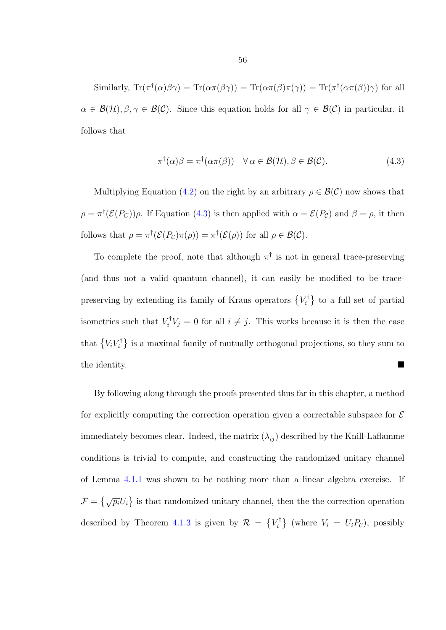Similarly,  $\text{Tr}(\pi^{\dagger}(\alpha)\beta\gamma) = \text{Tr}(\alpha\pi(\beta\gamma)) = \text{Tr}(\alpha\pi(\beta)\pi(\gamma)) = \text{Tr}(\pi^{\dagger}(\alpha\pi(\beta))\gamma)$  for all  $\alpha \in \mathcal{B}(\mathcal{H}), \beta, \gamma \in \mathcal{B}(\mathcal{C})$ . Since this equation holds for all  $\gamma \in \mathcal{B}(\mathcal{C})$  in particular, it follows that

<span id="page-62-0"></span>
$$
\pi^{\dagger}(\alpha)\beta = \pi^{\dagger}(\alpha\pi(\beta)) \quad \forall \alpha \in \mathcal{B}(\mathcal{H}), \beta \in \mathcal{B}(\mathcal{C}). \tag{4.3}
$$

Multiplying Equation [\(4.2\)](#page-61-1) on the right by an arbitrary  $\rho \in \mathcal{B}(\mathcal{C})$  now shows that  $\rho = \pi^{\dagger}(\mathcal{E}(P_C))\rho$ . If Equation [\(4.3\)](#page-62-0) is then applied with  $\alpha = \mathcal{E}(P_C)$  and  $\beta = \rho$ , it then follows that  $\rho = \pi^{\dagger}(\mathcal{E}(P_{\mathcal{C}})\pi(\rho)) = \pi^{\dagger}(\mathcal{E}(\rho))$  for all  $\rho \in \mathcal{B}(\mathcal{C})$ .

To complete the proof, note that although  $\pi^{\dagger}$  is not in general trace-preserving (and thus not a valid quantum channel), it can easily be modified to be tracepreserving by extending its family of Kraus operators  $\{V_i^{\dagger}$  $\{t_i^{\dagger}\}$  to a full set of partial isometries such that  $V_i^{\dagger} V_j = 0$  for all  $i \neq j$ . This works because it is then the case that  $\left\{V_iV_i^{\dagger}\right\}$  $\{i \atop i\}$  is a maximal family of mutually orthogonal projections, so they sum to the identity.

By following along through the proofs presented thus far in this chapter, a method for explicitly computing the correction operation given a correctable subspace for  $\mathcal E$ immediately becomes clear. Indeed, the matrix  $(\lambda_{ij})$  described by the Knill-Laflamme conditions is trivial to compute, and constructing the randomized unitary channel of Lemma [4.1.1](#page-58-1) was shown to be nothing more than a linear algebra exercise. If  $\mathcal{F} = \{\sqrt{p_i}U_i\}$  is that randomized unitary channel, then the the correction operation described by Theorem [4.1.3](#page-61-0) is given by  $\mathcal{R} = \{V_i^{\dagger}$  $\{V_i^{\dagger}\}\$  (where  $V_i = U_i P_c$ ), possibly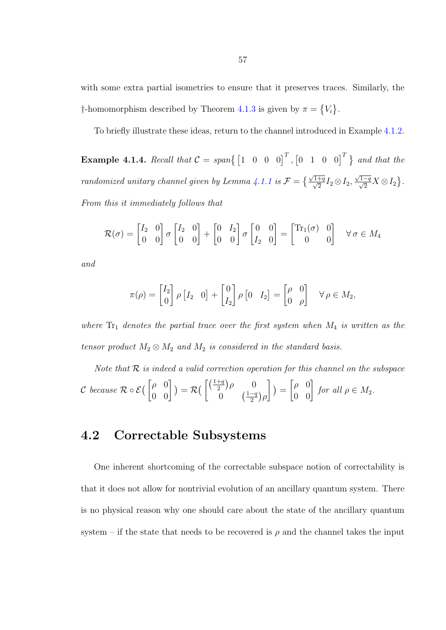with some extra partial isometries to ensure that it preserves traces. Similarly, the †-homomorphism described by Theorem [4.1.3](#page-61-0) is given by  $\pi = \{V_i\}.$ 

To briefly illustrate these ideas, return to the channel introduced in Example [4.1.2.](#page-59-0)

**Example 4.1.4.** Recall that  $C = span\{ \begin{bmatrix} 1 & 0 & 0 & 0 \end{bmatrix}^T, \begin{bmatrix} 0 & 1 & 0 & 0 \end{bmatrix}^T \}$  and that the randomized unitary channel given by Lemma [4.1.1](#page-58-1) is  $\mathcal{F} = \left\{ \frac{\sqrt{1+q}}{\sqrt{2}} I_2 \otimes I_2, \right.$  $\frac{\sqrt{1-q}}{\sqrt{2}}X \otimes I_2$ . From this it immediately follows that

$$
\mathcal{R}(\sigma) = \begin{bmatrix} I_2 & 0 \\ 0 & 0 \end{bmatrix} \sigma \begin{bmatrix} I_2 & 0 \\ 0 & 0 \end{bmatrix} + \begin{bmatrix} 0 & I_2 \\ 0 & 0 \end{bmatrix} \sigma \begin{bmatrix} 0 & 0 \\ I_2 & 0 \end{bmatrix} = \begin{bmatrix} \text{Tr}_1(\sigma) & 0 \\ 0 & 0 \end{bmatrix} \quad \forall \sigma \in M_4
$$

and

$$
\pi(\rho) = \begin{bmatrix} I_2 \\ 0 \end{bmatrix} \rho \begin{bmatrix} I_2 & 0 \end{bmatrix} + \begin{bmatrix} 0 \\ I_2 \end{bmatrix} \rho \begin{bmatrix} 0 & I_2 \end{bmatrix} = \begin{bmatrix} \rho & 0 \\ 0 & \rho \end{bmatrix} \quad \forall \rho \in M_2,
$$

where  $Tr_1$  denotes the partial trace over the first system when  $M_4$  is written as the tensor product  $M_2 \otimes M_2$  and  $M_2$  is considered in the standard basis.

Note that  $R$  is indeed a valid correction operation for this channel on the subspace  $\mathcal C$  because  $\mathcal R\circ\mathcal E\big(\begin{bmatrix} \rho & 0 \ 0 & 0 \end{bmatrix}\big)=\mathcal R\big(\begin{bmatrix} \frac{(1+q)}{2} \ 0 \end{bmatrix}$  $(\frac{+q}{2})\rho = 0$ 0  $\left(\frac{1-q}{2}\right)$  $\frac{-q}{2}\big) \rho$  $\Big\}$ ) =  $\begin{bmatrix} \rho & 0 \\ 0 & 0 \end{bmatrix}$  for all  $\rho \in M_2$ .

## 4.2 Correctable Subsystems

One inherent shortcoming of the correctable subspace notion of correctability is that it does not allow for nontrivial evolution of an ancillary quantum system. There is no physical reason why one should care about the state of the ancillary quantum system – if the state that needs to be recovered is  $\rho$  and the channel takes the input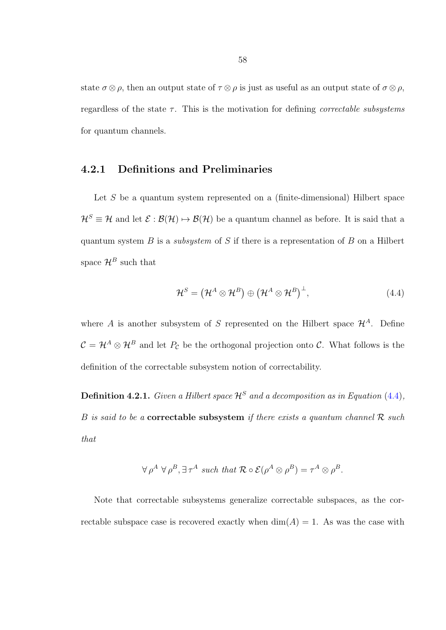state  $\sigma \otimes \rho$ , then an output state of  $\tau \otimes \rho$  is just as useful as an output state of  $\sigma \otimes \rho$ , regardless of the state  $\tau$ . This is the motivation for defining *correctable subsystems* for quantum channels.

### 4.2.1 Definitions and Preliminaries

Let S be a quantum system represented on a (finite-dimensional) Hilbert space  $\mathcal{H}^S \equiv \mathcal{H}$  and let  $\mathcal{E} : \mathcal{B}(\mathcal{H}) \mapsto \mathcal{B}(\mathcal{H})$  be a quantum channel as before. It is said that a quantum system  $B$  is a *subsystem* of  $S$  if there is a representation of  $B$  on a Hilbert space  $\mathcal{H}^B$  such that

<span id="page-64-0"></span>
$$
\mathcal{H}^S = \left(\mathcal{H}^A \otimes \mathcal{H}^B\right) \oplus \left(\mathcal{H}^A \otimes \mathcal{H}^B\right)^\perp,\tag{4.4}
$$

where A is another subsystem of S represented on the Hilbert space  $\mathcal{H}^A$ . Define  $C = H^A \otimes H^B$  and let  $P_{\mathcal{C}}$  be the orthogonal projection onto C. What follows is the definition of the correctable subsystem notion of correctability.

**Definition 4.2.1.** Given a Hilbert space  $\mathcal{H}^S$  and a decomposition as in Equation [\(4.4\)](#page-64-0), B is said to be a **correctable subsystem** if there exists a quantum channel  $\mathcal{R}$  such that

$$
\forall \rho^A \ \forall \rho^B, \exists \tau^A \ \text{such that } \mathcal{R} \circ \mathcal{E}(\rho^A \otimes \rho^B) = \tau^A \otimes \rho^B.
$$

Note that correctable subsystems generalize correctable subspaces, as the correctable subspace case is recovered exactly when  $\dim(A) = 1$ . As was the case with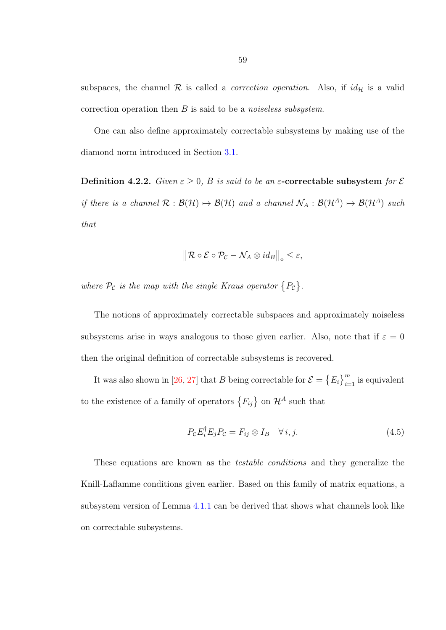subspaces, the channel  $\mathcal R$  is called a *correction operation*. Also, if  $id_{\mathcal H}$  is a valid correction operation then  $B$  is said to be a *noiseless subsystem*.

One can also define approximately correctable subsystems by making use of the diamond norm introduced in Section [3.1.](#page-29-0)

Definition 4.2.2. Given  $\varepsilon \geq 0$ , B is said to be an  $\varepsilon$ -correctable subsystem for  $\varepsilon$ if there is a channel  $\mathcal{R} : \mathcal{B}(\mathcal{H}) \mapsto \mathcal{B}(\mathcal{H})$  and a channel  $\mathcal{N}_A : \mathcal{B}(\mathcal{H}^A) \mapsto \mathcal{B}(\mathcal{H}^A)$  such that

$$
\left\| \mathcal{R} \circ \mathcal{E} \circ \mathcal{P}_{\mathcal{C}} - \mathcal{N}_A \otimes id_B \right\|_{\diamond} \leq \varepsilon,
$$

where  $P_c$  is the map with the single Kraus operator  $\{P_c\}$ .

The notions of approximately correctable subspaces and approximately noiseless subsystems arise in ways analogous to those given earlier. Also, note that if  $\varepsilon = 0$ then the original definition of correctable subsystems is recovered.

It was also shown in [\[26,](#page-80-1) [27\]](#page-80-2) that B being correctable for  $\mathcal{E} = \{E_i\}_{i=1}^m$  is equivalent to the existence of a family of operators  $\{F_{ij}\}\$  on  $\mathcal{H}^A$  such that

<span id="page-65-0"></span>
$$
P_{\mathcal{C}}E_i^{\dagger}E_jP_{\mathcal{C}} = F_{ij} \otimes I_B \quad \forall i, j. \tag{4.5}
$$

These equations are known as the testable conditions and they generalize the Knill-Laflamme conditions given earlier. Based on this family of matrix equations, a subsystem version of Lemma [4.1.1](#page-58-1) can be derived that shows what channels look like on correctable subsystems.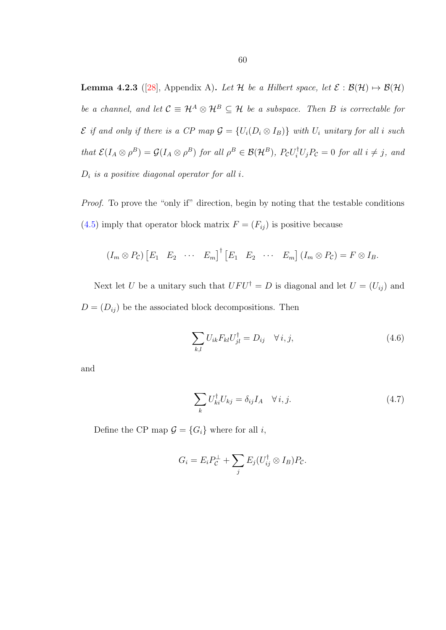<span id="page-66-2"></span>**Lemma 4.2.3** ([\[28\]](#page-80-3), Appendix A). Let H be a Hilbert space, let  $\mathcal{E}: \mathcal{B}(\mathcal{H}) \mapsto \mathcal{B}(\mathcal{H})$ be a channel, and let  $C \equiv \mathcal{H}^A \otimes \mathcal{H}^B \subseteq \mathcal{H}$  be a subspace. Then B is correctable for  $\mathcal E$  if and only if there is a CP map  $\mathcal G = \{U_i(D_i \otimes I_B)\}\$  with  $U_i$  unitary for all i such that  $\mathcal{E}(I_A \otimes \rho^B) = \mathcal{G}(I_A \otimes \rho^B)$  for all  $\rho^B \in \mathcal{B}(\mathcal{H}^B)$ ,  $P_{\mathcal{C}}U_i^{\dagger}U_jP_{\mathcal{C}} = 0$  for all  $i \neq j$ , and  $D_i$  is a positive diagonal operator for all i.

Proof. To prove the "only if" direction, begin by noting that the testable conditions [\(4.5\)](#page-65-0) imply that operator block matrix  $F = (F_{ij})$  is positive because

$$
(I_m \otimes P_{\mathcal{C}}) [E_1 \quad E_2 \quad \cdots \quad E_m]^{\dagger} [E_1 \quad E_2 \quad \cdots \quad E_m] (I_m \otimes P_{\mathcal{C}}) = F \otimes I_B.
$$

Next let U be a unitary such that  $UFU^{\dagger} = D$  is diagonal and let  $U = (U_{ij})$  and  $D = (D_{ij})$  be the associated block decompositions. Then

<span id="page-66-0"></span>
$$
\sum_{k,l} U_{ik} F_{kl} U_{jl}^{\dagger} = D_{ij} \quad \forall i, j,
$$
\n(4.6)

and

<span id="page-66-1"></span>
$$
\sum_{k} U_{ki}^{\dagger} U_{kj} = \delta_{ij} I_A \quad \forall i, j. \tag{4.7}
$$

Define the CP map  $\mathcal{G} = \{G_i\}$  where for all *i*,

$$
G_i = E_i P_C^{\perp} + \sum_j E_j (U_{ij}^{\dagger} \otimes I_B) P_C.
$$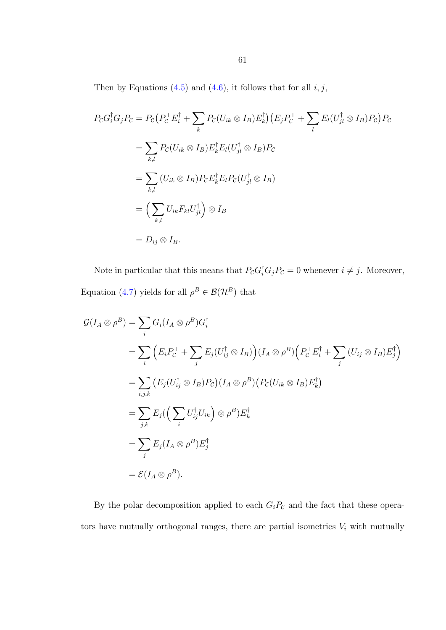Then by Equations [\(4.5\)](#page-65-0) and [\(4.6\)](#page-66-0), it follows that for all  $i, j$ ,

$$
P_{\mathcal{C}}G_i^{\dagger}G_jP_{\mathcal{C}} = P_{\mathcal{C}}(P_{\mathcal{C}}^{\perp}E_i^{\dagger} + \sum_k P_{\mathcal{C}}(U_{ik} \otimes I_B)E_k^{\dagger})(E_jP_{\mathcal{C}}^{\perp} + \sum_l E_l(U_{jl}^{\dagger} \otimes I_B)P_{\mathcal{C}})P_{\mathcal{C}}
$$
  
\n
$$
= \sum_{k,l} P_{\mathcal{C}}(U_{ik} \otimes I_B)E_k^{\dagger}E_l(U_{jl}^{\dagger} \otimes I_B)P_{\mathcal{C}}
$$
  
\n
$$
= \sum_{k,l} (U_{ik} \otimes I_B)P_{\mathcal{C}}E_k^{\dagger}E_lP_{\mathcal{C}}(U_{jl}^{\dagger} \otimes I_B)
$$
  
\n
$$
= \left(\sum_{k,l} U_{ik}F_{kl}U_{jl}^{\dagger}\right) \otimes I_B
$$
  
\n
$$
= D_{ij} \otimes I_B.
$$

Note in particular that this means that  $P_{\mathcal{C}}G_i^{\dagger}G_jP_{\mathcal{C}}=0$  whenever  $i \neq j$ . Moreover, Equation [\(4.7\)](#page-66-1) yields for all  $\rho^B \in \mathcal{B}(\mathcal{H}^B)$  that

$$
\mathcal{G}(I_A \otimes \rho^B) = \sum_i G_i (I_A \otimes \rho^B) G_i^{\dagger}
$$
  
\n
$$
= \sum_i \left( E_i P_C^{\perp} + \sum_j E_j (U_{ij}^{\dagger} \otimes I_B) \right) (I_A \otimes \rho^B) \left( P_C^{\perp} E_i^{\dagger} + \sum_j (U_{ij} \otimes I_B) E_j^{\dagger} \right)
$$
  
\n
$$
= \sum_{i,j,k} \left( E_j (U_{ij}^{\dagger} \otimes I_B) P_C \right) (I_A \otimes \rho^B) \left( P_C (U_{ik} \otimes I_B) E_k^{\dagger} \right)
$$
  
\n
$$
= \sum_{j,k} E_j \left( \sum_i U_{ij}^{\dagger} U_{ik} \right) \otimes \rho^B) E_k^{\dagger}
$$
  
\n
$$
= \sum_j E_j (I_A \otimes \rho^B) E_j^{\dagger}
$$
  
\n
$$
= \mathcal{E}(I_A \otimes \rho^B).
$$

By the polar decomposition applied to each  $G_iP_{\mathcal{C}}$  and the fact that these operators have mutually orthogonal ranges, there are partial isometries  $V_i$  with mutually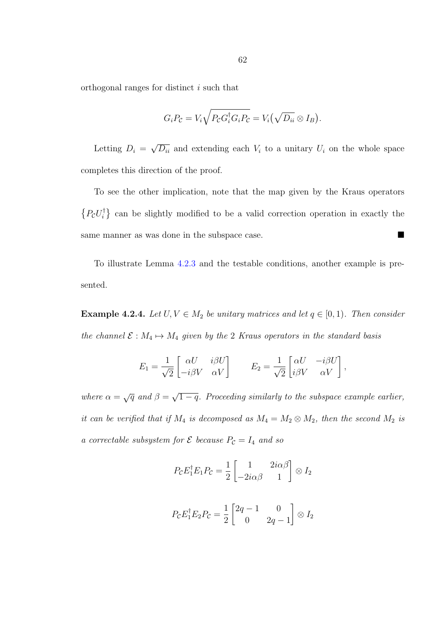orthogonal ranges for distinct i such that

$$
G_i P_{\mathcal{C}} = V_i \sqrt{P_{\mathcal{C}} G_i^{\dagger} G_i P_{\mathcal{C}}} = V_i (\sqrt{D_{ii}} \otimes I_B).
$$

Letting  $D_i =$ √  $\overline{D_{ii}}$  and extending each  $V_i$  to a unitary  $U_i$  on the whole space completes this direction of the proof.

To see the other implication, note that the map given by the Kraus operators  $\{P_{\mathcal{C}}U_i^{\dagger}$  $\binom{1}{i}$  can be slightly modified to be a valid correction operation in exactly the same manner as was done in the subspace case.

To illustrate Lemma [4.2.3](#page-66-2) and the testable conditions, another example is presented.

<span id="page-68-0"></span>**Example 4.2.4.** Let  $U, V \in M_2$  be unitary matrices and let  $q \in [0, 1)$ . Then consider the channel  $\mathcal{E}: M_4 \mapsto M_4$  given by the 2 Kraus operators in the standard basis

$$
E_1 = \frac{1}{\sqrt{2}} \begin{bmatrix} \alpha U & i \beta U \\ -i \beta V & \alpha V \end{bmatrix} \qquad E_2 = \frac{1}{\sqrt{2}} \begin{bmatrix} \alpha U & -i \beta U \\ i \beta V & \alpha V \end{bmatrix},
$$

where  $\alpha = \sqrt{q}$  and  $\beta = \sqrt{q}$  $\overline{1-q}$ . Proceeding similarly to the subspace example earlier, it can be verified that if  $M_4$  is decomposed as  $M_4 = M_2 \otimes M_2$ , then the second  $M_2$  is a correctable subsystem for  $\mathcal E$  because  $P_{\mathcal C} = I_4$  and so

$$
P_{\mathcal{C}}E_1^{\dagger}E_1P_{\mathcal{C}} = \frac{1}{2} \begin{bmatrix} 1 & 2i\alpha\beta \\ -2i\alpha\beta & 1 \end{bmatrix} \otimes I_2
$$

$$
P_{\mathcal{C}}E_1^{\dagger}E_2P_{\mathcal{C}} = \frac{1}{2} \begin{bmatrix} 2q - 1 & 0 \\ 0 & 2q - 1 \end{bmatrix} \otimes I_2
$$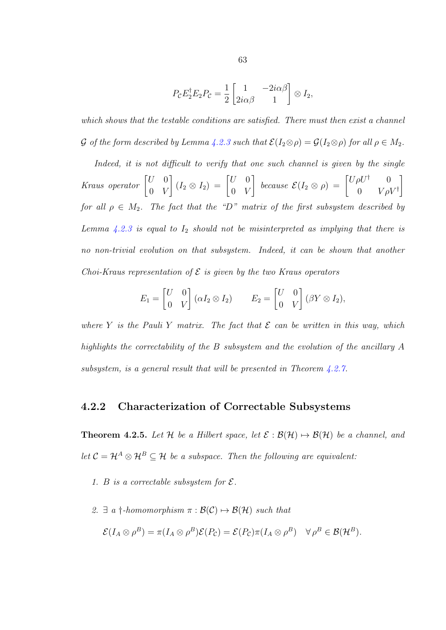$$
P_{\mathcal{C}}E_2^{\dagger}E_2P_{\mathcal{C}} = \frac{1}{2} \begin{bmatrix} 1 & -2i\alpha\beta \\ 2i\alpha\beta & 1 \end{bmatrix} \otimes I_2,
$$

which shows that the testable conditions are satisfied. There must then exist a channel G of the form described by Lemma [4.2.3](#page-66-2) such that  $\mathcal{E}(I_2 \otimes \rho) = \mathcal{G}(I_2 \otimes \rho)$  for all  $\rho \in M_2$ .

Indeed, it is not difficult to verify that one such channel is given by the single Kraus operator  $\begin{bmatrix} U & 0 \\ 0 & V \end{bmatrix}$  $0 V$  $\begin{bmatrix} I_2 \otimes I_2 \end{bmatrix} = \begin{bmatrix} U & 0 \\ 0 & V \end{bmatrix}$  $0 V$  $\left[\begin{array}{cc} because & \mathcal{E}(I_2 \otimes \rho) = \begin{bmatrix} U \rho U^{\dagger} & 0 \\ 0 & V \end{bmatrix}\right]$  $0 \qquad V \rho V^{\dagger}$ 1 for all  $\rho \in M_2$ . The fact that the "D" matrix of the first subsystem described by Lemma [4.2.3](#page-66-2) is equal to  $I_2$  should not be misinterpreted as implying that there is no non-trivial evolution on that subsystem. Indeed, it can be shown that another Choi-Kraus representation of  $\mathcal E$  is given by the two Kraus operators

$$
E_1 = \begin{bmatrix} U & 0 \\ 0 & V \end{bmatrix} (\alpha I_2 \otimes I_2) \qquad E_2 = \begin{bmatrix} U & 0 \\ 0 & V \end{bmatrix} (\beta Y \otimes I_2),
$$

where Y is the Pauli Y matrix. The fact that  $\mathcal E$  can be written in this way, which highlights the correctability of the B subsystem and the evolution of the ancillary A subsystem, is a general result that will be presented in Theorem [4.2.7.](#page-72-0)

#### <span id="page-69-0"></span>4.2.2 Characterization of Correctable Subsystems

**Theorem 4.2.5.** Let H be a Hilbert space, let  $\mathcal{E}: \mathcal{B}(\mathcal{H}) \mapsto \mathcal{B}(\mathcal{H})$  be a channel, and let  $C = H^A \otimes H^B \subseteq \mathcal{H}$  be a subspace. Then the following are equivalent:

- 1. B is a correctable subsystem for  $\mathcal{E}$ .
- 2.  $\exists$  a  $\dagger$ -homomorphism  $\pi : \mathcal{B}(\mathcal{C}) \mapsto \mathcal{B}(\mathcal{H})$  such that

$$
\mathcal{E}(I_A \otimes \rho^B) = \pi(I_A \otimes \rho^B)\mathcal{E}(P_{\mathcal{C}}) = \mathcal{E}(P_{\mathcal{C}})\pi(I_A \otimes \rho^B) \quad \forall \rho^B \in \mathcal{B}(\mathcal{H}^B).
$$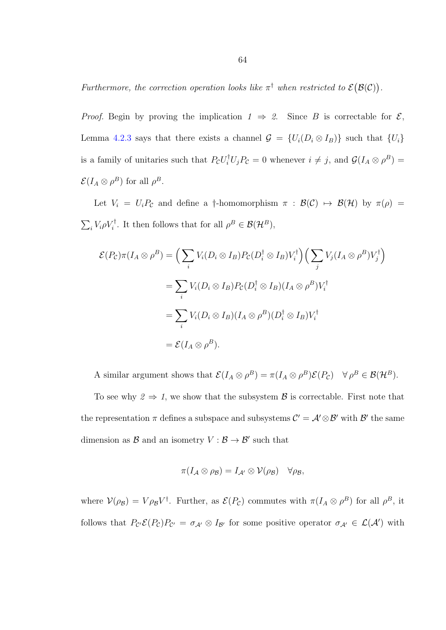Furthermore, the correction operation looks like  $\pi^{\dagger}$  when restricted to  $\mathcal{E}(\mathcal{B}(\mathcal{C}))$ .

*Proof.* Begin by proving the implication  $1 \Rightarrow 2$ . Since B is correctable for  $\mathcal{E}$ , Lemma [4.2.3](#page-66-2) says that there exists a channel  $\mathcal{G} = \{U_i(D_i \otimes I_B)\}\$  such that  $\{U_i\}$ is a family of unitaries such that  $P_{\mathcal{C}}U_i^{\dagger}U_jP_{\mathcal{C}}=0$  whenever  $i \neq j$ , and  $\mathcal{G}(I_A \otimes \rho^B)=$  $\mathcal{E}(I_A \otimes \rho^B)$  for all  $\rho^B$ .

Let  $V_i = U_i P_c$  and define a †-homomorphism  $\pi : \mathcal{B}(\mathcal{C}) \mapsto \mathcal{B}(\mathcal{H})$  by  $\pi(\rho) =$  $\sum_i V_i \rho V_i^{\dagger}$ . It then follows that for all  $\rho^B \in \mathcal{B}(\mathcal{H}^B)$ ,

$$
\mathcal{E}(P_{\mathcal{C}})\pi(I_A \otimes \rho^B) = \Big(\sum_i V_i(D_i \otimes I_B)P_{\mathcal{C}}(D_i^{\dagger} \otimes I_B)V_i^{\dagger}\Big) \Big(\sum_j V_j(I_A \otimes \rho^B)V_j^{\dagger}\Big)
$$
  

$$
= \sum_i V_i(D_i \otimes I_B)P_{\mathcal{C}}(D_i^{\dagger} \otimes I_B)(I_A \otimes \rho^B)V_i^{\dagger}
$$
  

$$
= \sum_i V_i(D_i \otimes I_B)(I_A \otimes \rho^B)(D_i^{\dagger} \otimes I_B)V_i^{\dagger}
$$
  

$$
= \mathcal{E}(I_A \otimes \rho^B).
$$

A similar argument shows that  $\mathcal{E}(I_A \otimes \rho^B) = \pi(I_A \otimes \rho^B)\mathcal{E}(P_{\mathcal{C}}) \quad \forall \rho^B \in \mathcal{B}(\mathcal{H}^B)$ .

To see why  $2 \Rightarrow 1$ , we show that the subsystem  $\beta$  is correctable. First note that the representation  $\pi$  defines a subspace and subsystems  $\mathcal{C}' = \mathcal{A}' \otimes \mathcal{B}'$  with  $\mathcal{B}'$  the same dimension as  $\mathcal{B}$  and an isometry  $V : \mathcal{B} \to \mathcal{B}'$  such that

$$
\pi(I_{\mathcal{A}}\otimes\rho_{\mathcal{B}})=I_{\mathcal{A}'}\otimes\mathcal{V}(\rho_{\mathcal{B}})\quad\forall\rho_{\mathcal{B}},
$$

where  $V(\rho_B) = V \rho_B V^{\dagger}$ . Further, as  $\mathcal{E}(P_{\mathcal{C}})$  commutes with  $\pi(I_A \otimes \rho^B)$  for all  $\rho^B$ , it follows that  $P_{\mathcal{C}'}\mathcal{E}(P_{\mathcal{C}})P_{\mathcal{C}'} = \sigma_{\mathcal{A}'} \otimes I_{\mathcal{B}'}$  for some positive operator  $\sigma_{\mathcal{A}'} \in \mathcal{L}(\mathcal{A}')$  with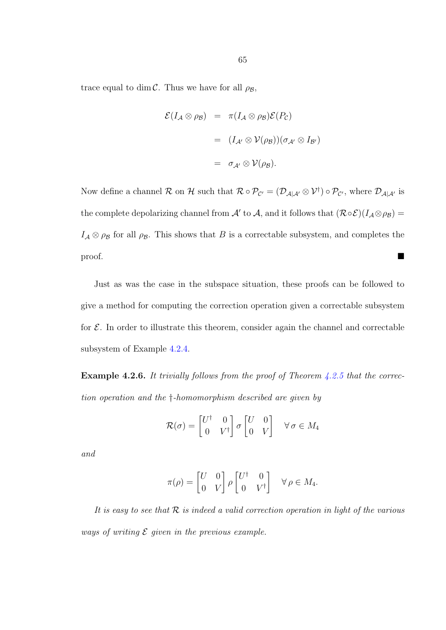trace equal to  $\dim {\mathcal C}.$  Thus we have for all  $\rho_{{\mathcal B}},$ 

$$
\mathcal{E}(I_{\mathcal{A}} \otimes \rho_{\mathcal{B}}) = \pi(I_{\mathcal{A}} \otimes \rho_{\mathcal{B}}) \mathcal{E}(P_{\mathcal{C}})
$$
  

$$
= (I_{\mathcal{A}'} \otimes \mathcal{V}(\rho_{\mathcal{B}})) (\sigma_{\mathcal{A}'} \otimes I_{\mathcal{B}'})
$$
  

$$
= \sigma_{\mathcal{A}'} \otimes \mathcal{V}(\rho_{\mathcal{B}}).
$$

Now define a channel R on H such that  $\mathcal{R} \circ \mathcal{P}_{\mathcal{C}'} = (\mathcal{D}_{\mathcal{A}|\mathcal{A}'} \otimes \mathcal{V}^{\dagger}) \circ \mathcal{P}_{\mathcal{C}'},$  where  $\mathcal{D}_{\mathcal{A}|\mathcal{A}'}$  is the complete depolarizing channel from A' to A, and it follows that  $(\mathcal{R} \circ \mathcal{E})(I_A \otimes \rho_B) =$  $I_A \otimes \rho_B$  for all  $\rho_B$ . This shows that B is a correctable subsystem, and completes the proof.

Just as was the case in the subspace situation, these proofs can be followed to give a method for computing the correction operation given a correctable subsystem for  $\mathcal E$ . In order to illustrate this theorem, consider again the channel and correctable subsystem of Example [4.2.4.](#page-68-0)

**Example 4.2.6.** It trivially follows from the proof of Theorem  $4.2.5$  that the correction operation and the †-homomorphism described are given by

$$
\mathcal{R}(\sigma) = \begin{bmatrix} U^{\dagger} & 0 \\ 0 & V^{\dagger} \end{bmatrix} \sigma \begin{bmatrix} U & 0 \\ 0 & V \end{bmatrix} \quad \forall \sigma \in M_4
$$

and

$$
\pi(\rho) = \begin{bmatrix} U & 0 \\ 0 & V \end{bmatrix} \rho \begin{bmatrix} U^{\dagger} & 0 \\ 0 & V^{\dagger} \end{bmatrix} \quad \forall \rho \in M_4.
$$

It is easy to see that  $R$  is indeed a valid correction operation in light of the various ways of writing  $\mathcal E$  given in the previous example.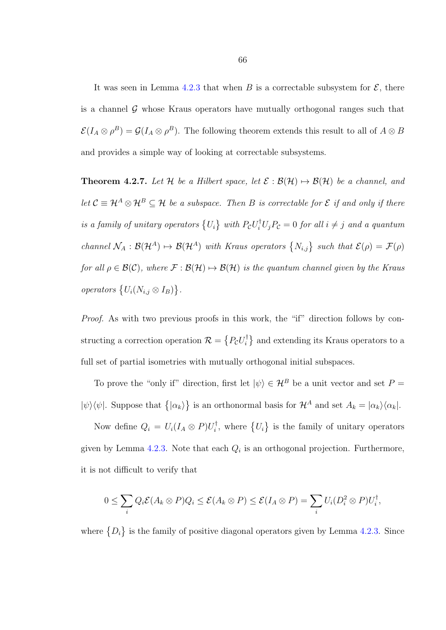It was seen in Lemma [4.2.3](#page-66-0) that when B is a correctable subsystem for  $\mathcal{E}$ , there is a channel  $\mathcal G$  whose Kraus operators have mutually orthogonal ranges such that  $\mathcal{E}(I_A \otimes \rho^B) = \mathcal{G}(I_A \otimes \rho^B)$ . The following theorem extends this result to all of  $A \otimes B$ and provides a simple way of looking at correctable subsystems.

<span id="page-72-0"></span>**Theorem 4.2.7.** Let H be a Hilbert space, let  $\mathcal{E}: \mathcal{B}(\mathcal{H}) \mapsto \mathcal{B}(\mathcal{H})$  be a channel, and let  $C \equiv \mathcal{H}^A \otimes \mathcal{H}^B \subseteq \mathcal{H}$  be a subspace. Then B is correctable for  $\mathcal{E}$  if and only if there is a family of unitary operators  $\{U_i\}$  with  $P_{\mathcal{C}}U_i^{\dagger}U_jP_{\mathcal{C}}=0$  for all  $i \neq j$  and a quantum channel  $\mathcal{N}_A : \mathcal{B}(\mathcal{H}^A) \mapsto \mathcal{B}(\mathcal{H}^A)$  with Kraus operators  $\{N_{i,j}\}\$  such that  $\mathcal{E}(\rho) = \mathcal{F}(\rho)$ for all  $\rho \in \mathcal{B}(\mathcal{C})$ , where  $\mathcal{F} : \mathcal{B}(\mathcal{H}) \mapsto \mathcal{B}(\mathcal{H})$  is the quantum channel given by the Kraus operators  $\{U_i(N_{i,j} \otimes I_B)\}.$ 

Proof. As with two previous proofs in this work, the "if" direction follows by constructing a correction operation  $\mathcal{R} = \{P_{\mathcal{C}}U_i^{\dagger}$  $\binom{1}{i}$  and extending its Kraus operators to a full set of partial isometries with mutually orthogonal initial subspaces.

To prove the "only if" direction, first let  $|\psi\rangle \in \mathcal{H}^B$  be a unit vector and set  $P =$  $|\psi\rangle\langle\psi|$ . Suppose that  $\{|\alpha_k\rangle\}$  is an orthonormal basis for  $\mathcal{H}^A$  and set  $A_k = |\alpha_k\rangle\langle\alpha_k|$ .

Now define  $Q_i = U_i (I_A \otimes P) U_i^{\dagger}$  $\{U_i\}$  is the family of unitary operators given by Lemma [4.2.3.](#page-66-0) Note that each  $Q_i$  is an orthogonal projection. Furthermore, it is not difficult to verify that

$$
0 \leq \sum_i Q_i \mathcal{E}(A_k \otimes P) Q_i \leq \mathcal{E}(A_k \otimes P) \leq \mathcal{E}(I_A \otimes P) = \sum_i U_i (D_i^2 \otimes P) U_i^{\dagger},
$$

where  $\{D_i\}$  is the family of positive diagonal operators given by Lemma [4.2.3.](#page-66-0) Since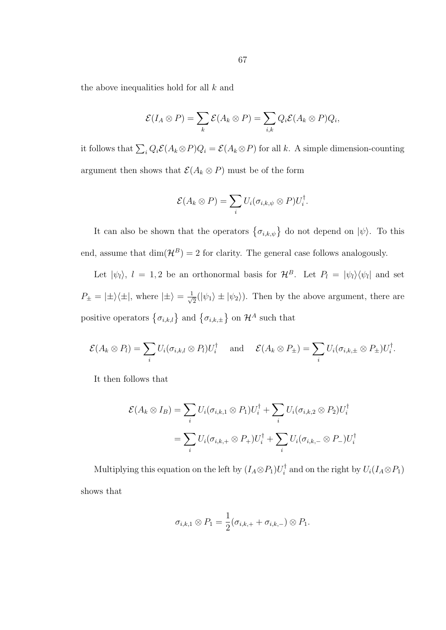the above inequalities hold for all k and

$$
\mathcal{E}(I_A \otimes P) = \sum_{k} \mathcal{E}(A_k \otimes P) = \sum_{i,k} Q_i \mathcal{E}(A_k \otimes P) Q_i,
$$

it follows that  $\sum_i Q_i \mathcal{E}(A_k \otimes P) Q_i = \mathcal{E}(A_k \otimes P)$  for all k. A simple dimension-counting argument then shows that  $\mathcal{E}(A_k \otimes P)$  must be of the form

$$
\mathcal{E}(A_k \otimes P) = \sum_i U_i(\sigma_{i,k,\psi} \otimes P) U_i^{\dagger}.
$$

It can also be shown that the operators  $\{\sigma_{i,k,\psi}\}\$  do not depend on  $|\psi\rangle$ . To this end, assume that  $\dim(\mathcal{H}^B) = 2$  for clarity. The general case follows analogously.

Let  $|\psi_l\rangle$ ,  $l = 1, 2$  be an orthonormal basis for  $\mathcal{H}^B$ . Let  $P_l = |\psi_l\rangle \langle \psi_l|$  and set  $P_{\pm} = |\pm\rangle\langle\pm|$ , where  $|\pm\rangle = \frac{1}{\sqrt{2}}$  $\frac{1}{2}(|\psi_1\rangle \pm |\psi_2\rangle)$ . Then by the above argument, there are positive operators  $\{\sigma_{i,k,l}\}\$ and  $\{\sigma_{i,k,\pm}\}\$ on  $\mathcal{H}^A$  such that

$$
\mathcal{E}(A_k \otimes P_l) = \sum_i U_i(\sigma_{i,k,l} \otimes P_l) U_i^{\dagger} \quad \text{and} \quad \mathcal{E}(A_k \otimes P_{\pm}) = \sum_i U_i(\sigma_{i,k,\pm} \otimes P_{\pm}) U_i^{\dagger}.
$$

It then follows that

$$
\mathcal{E}(A_k \otimes I_B) = \sum_i U_i(\sigma_{i,k,1} \otimes P_1) U_i^{\dagger} + \sum_i U_i(\sigma_{i,k,2} \otimes P_2) U_i^{\dagger}
$$
  
= 
$$
\sum_i U_i(\sigma_{i,k,+} \otimes P_+) U_i^{\dagger} + \sum_i U_i(\sigma_{i,k,-} \otimes P_-) U_i^{\dagger}
$$

Multiplying this equation on the left by  $(I_A \otimes P_1)U_i^{\dagger}$  $i_i^{\dagger}$  and on the right by  $U_i(I_A \otimes P_1)$ shows that

$$
\sigma_{i,k,1}\otimes P_1=\frac{1}{2}(\sigma_{i,k,+}+\sigma_{i,k,-})\otimes P_1.
$$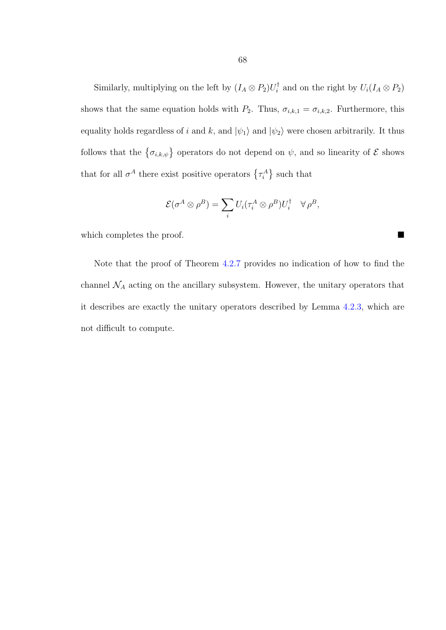Similarly, multiplying on the left by  $(I_A \otimes P_2)U_i^{\dagger}$  $i_i^{\dagger}$  and on the right by  $U_i(I_A \otimes P_2)$ shows that the same equation holds with  $P_2$ . Thus,  $\sigma_{i,k,1} = \sigma_{i,k,2}$ . Furthermore, this equality holds regardless of i and k, and  $|\psi_1\rangle$  and  $|\psi_2\rangle$  were chosen arbitrarily. It thus follows that the  $\{\sigma_{i,k,\psi}\}\$  operators do not depend on  $\psi$ , and so linearity of  $\mathcal E$  shows that for all  $\sigma^A$  there exist positive operators  $\{\tau_i^A\}$  such that

$$
\mathcal{E}(\sigma^A \otimes \rho^B) = \sum_i U_i (\tau_i^A \otimes \rho^B) U_i^{\dagger} \quad \forall \rho^B,
$$

which completes the proof.

Note that the proof of Theorem [4.2.7](#page-72-0) provides no indication of how to find the channel  $\mathcal{N}_A$  acting on the ancillary subsystem. However, the unitary operators that it describes are exactly the unitary operators described by Lemma [4.2.3,](#page-66-0) which are not difficult to compute.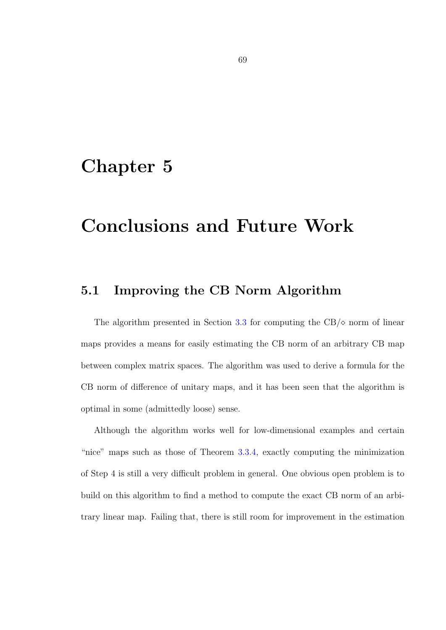### Chapter 5

## Conclusions and Future Work

#### 5.1 Improving the CB Norm Algorithm

The algorithm presented in Section [3.3](#page-37-0) for computing the  $CB/\diamond$  norm of linear maps provides a means for easily estimating the CB norm of an arbitrary CB map between complex matrix spaces. The algorithm was used to derive a formula for the CB norm of difference of unitary maps, and it has been seen that the algorithm is optimal in some (admittedly loose) sense.

Although the algorithm works well for low-dimensional examples and certain "nice" maps such as those of Theorem [3.3.4,](#page-44-0) exactly computing the minimization of Step 4 is still a very difficult problem in general. One obvious open problem is to build on this algorithm to find a method to compute the exact CB norm of an arbitrary linear map. Failing that, there is still room for improvement in the estimation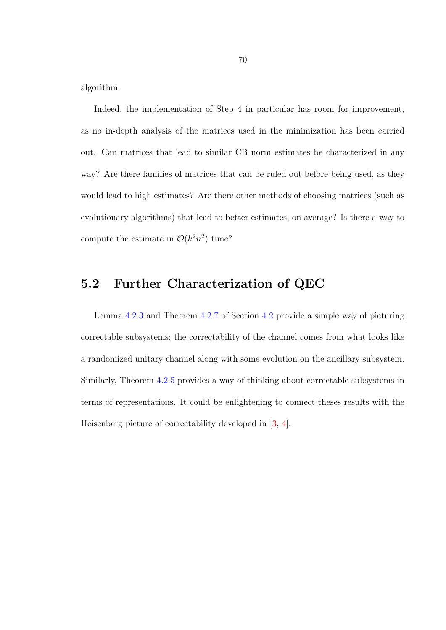<span id="page-76-0"></span>algorithm.

Indeed, the implementation of Step 4 in particular has room for improvement, as no in-depth analysis of the matrices used in the minimization has been carried out. Can matrices that lead to similar CB norm estimates be characterized in any way? Are there families of matrices that can be ruled out before being used, as they would lead to high estimates? Are there other methods of choosing matrices (such as evolutionary algorithms) that lead to better estimates, on average? Is there a way to compute the estimate in  $\mathcal{O}(k^2n^2)$  time?

### 5.2 Further Characterization of QEC

Lemma [4.2.3](#page-66-0) and Theorem [4.2.7](#page-72-0) of Section [4.2](#page-63-0) provide a simple way of picturing correctable subsystems; the correctability of the channel comes from what looks like a randomized unitary channel along with some evolution on the ancillary subsystem. Similarly, Theorem [4.2.5](#page-69-0) provides a way of thinking about correctable subsystems in terms of representations. It could be enlightening to connect theses results with the Heisenberg picture of correctability developed in [\[3,](#page-77-0) [4\]](#page-77-1).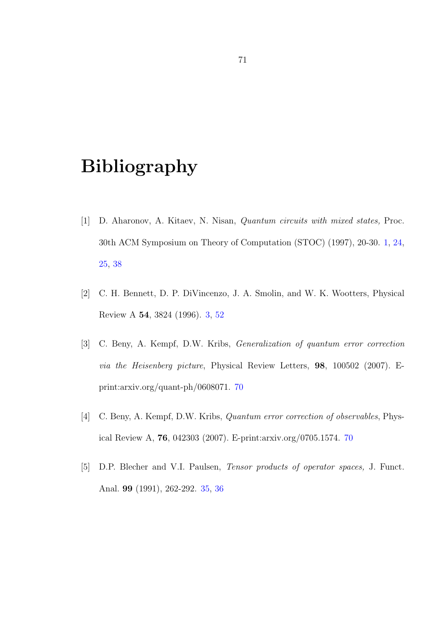# Bibliography

- [1] D. Aharonov, A. Kitaev, N. Nisan, Quantum circuits with mixed states, Proc. 30th ACM Symposium on Theory of Computation (STOC) (1997), 20-30. [1,](#page-0-0) [24,](#page-30-0) [25,](#page-31-0) [38](#page-44-1)
- [2] C. H. Bennett, D. P. DiVincenzo, J. A. Smolin, and W. K. Wootters, Physical Review A 54, 3824 (1996). [3,](#page-9-0) [52](#page-58-0)
- <span id="page-77-0"></span>[3] C. Beny, A. Kempf, D.W. Kribs, Generalization of quantum error correction via the Heisenberg picture, Physical Review Letters, 98, 100502 (2007). Eprint:arxiv.org/quant-ph/0608071. [70](#page-76-0)
- <span id="page-77-1"></span>[4] C. Beny, A. Kempf, D.W. Kribs, Quantum error correction of observables, Physical Review A, 76, 042303 (2007). E-print:arxiv.org/0705.1574. [70](#page-76-0)
- [5] D.P. Blecher and V.I. Paulsen, Tensor products of operator spaces, J. Funct. Anal. 99 (1991), 262-292. [35,](#page-41-0) [36](#page-42-0)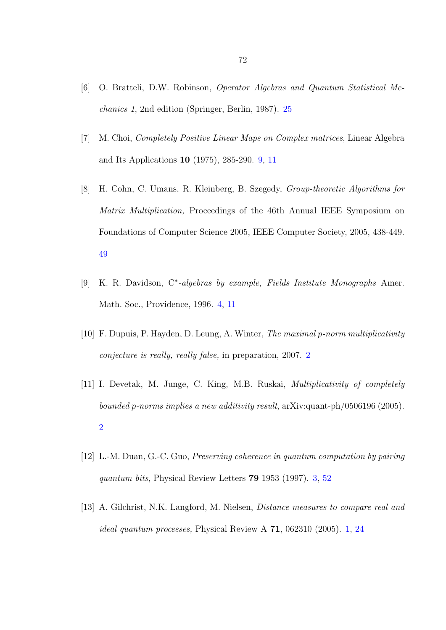- [6] O. Bratteli, D.W. Robinson, Operator Algebras and Quantum Statistical Mechanics 1, 2nd edition (Springer, Berlin, 1987). [25](#page-31-0)
- [7] M. Choi, Completely Positive Linear Maps on Complex matrices, Linear Algebra and Its Applications 10 (1975), 285-290. [9,](#page-15-0) [11](#page-17-0)
- [8] H. Cohn, C. Umans, R. Kleinberg, B. Szegedy, Group-theoretic Algorithms for Matrix Multiplication, Proceedings of the 46th Annual IEEE Symposium on Foundations of Computer Science 2005, IEEE Computer Society, 2005, 438-449. [49](#page-55-0)
- [9] K. R. Davidson, C<sup>\*</sup>-algebras by example, Fields Institute Monographs Amer. Math. Soc., Providence, 1996. [4,](#page-10-0) [11](#page-17-0)
- [10] F. Dupuis, P. Hayden, D. Leung, A. Winter, The maximal p-norm multiplicativity conjecture is really, really false, in preparation, 2007. [2](#page-8-0)
- [11] I. Devetak, M. Junge, C. King, M.B. Ruskai, Multiplicativity of completely bounded p-norms implies a new additivity result, arXiv:quant-ph/0506196 (2005). [2](#page-8-0)
- [12] L.-M. Duan, G.-C. Guo, Preserving coherence in quantum computation by pairing quantum bits, Physical Review Letters 79 1953 (1997). [3,](#page-9-0) [52](#page-58-0)
- [13] A. Gilchrist, N.K. Langford, M. Nielsen, Distance measures to compare real and *ideal quantum processes*, Physical Review A  $71$ , 062310 (2005). [1,](#page-0-0) [24](#page-30-0)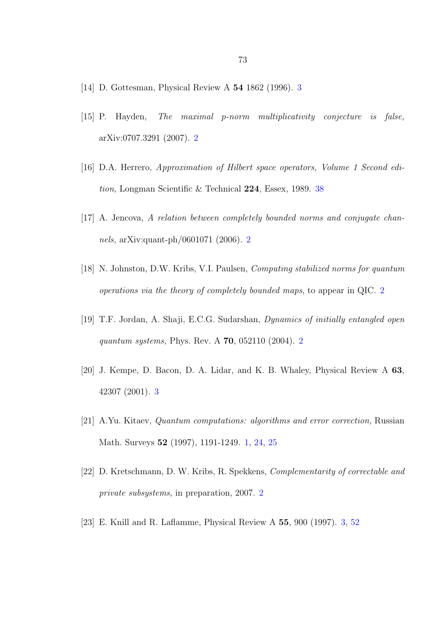- [14] D. Gottesman, Physical Review A 54 1862 (1996). [3](#page-9-0)
- [15] P. Hayden, The maximal p-norm multiplicativity conjecture is false, arXiv:0707.3291 (2007). [2](#page-8-0)
- [16] D.A. Herrero, Approximation of Hilbert space operators, Volume 1 Second edition, Longman Scientific & Technical 224, Essex, 1989. [38](#page-44-1)
- [17] A. Jencova, A relation between completely bounded norms and conjugate channels, arXiv:quant-ph/0601071 (2006). [2](#page-8-0)
- [18] N. Johnston, D.W. Kribs, V.I. Paulsen, Computing stabilized norms for quantum operations via the theory of completely bounded maps, to appear in QIC. [2](#page-8-0)
- [19] T.F. Jordan, A. Shaji, E.C.G. Sudarshan, Dynamics of initially entangled open quantum systems, Phys. Rev. A 70, 052110 (2004). [2](#page-8-0)
- [20] J. Kempe, D. Bacon, D. A. Lidar, and K. B. Whaley, Physical Review A 63, 42307 (2001). [3](#page-9-0)
- [21] A.Yu. Kitaev, Quantum computations: algorithms and error correction, Russian Math. Surveys 52 (1997), 1191-1249. [1,](#page-0-0) [24,](#page-30-0) [25](#page-31-0)
- [22] D. Kretschmann, D. W. Kribs, R. Spekkens, Complementarity of correctable and private subsystems, in preparation, 2007. [2](#page-8-0)
- [23] E. Knill and R. Laflamme, Physical Review A 55, 900 (1997). [3,](#page-9-0) [52](#page-58-0)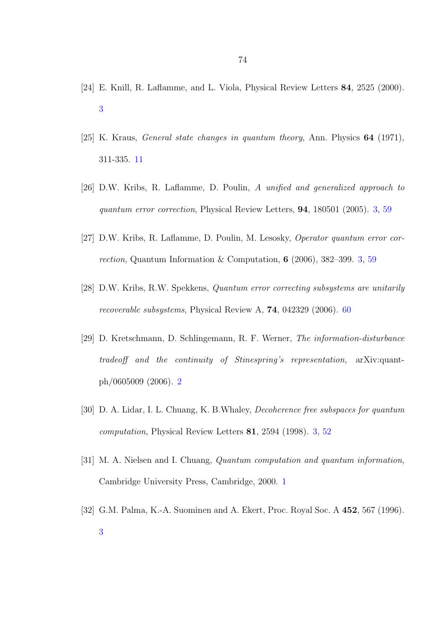- [24] E. Knill, R. Laflamme, and L. Viola, Physical Review Letters 84, 2525 (2000). [3](#page-9-0)
- [25] K. Kraus, General state changes in quantum theory, Ann. Physics 64 (1971), 311-335. [11](#page-17-0)
- [26] D.W. Kribs, R. Laflamme, D. Poulin, A unified and generalized approach to quantum error correction, Physical Review Letters, 94, 180501 (2005). [3,](#page-9-0) [59](#page-65-0)
- [27] D.W. Kribs, R. Laflamme, D. Poulin, M. Lesosky, Operator quantum error correction, Quantum Information & Computation, 6 (2006), 382–399. [3,](#page-9-0) [59](#page-65-0)
- [28] D.W. Kribs, R.W. Spekkens, Quantum error correcting subsystems are unitarily recoverable subsystems, Physical Review A, 74, 042329 (2006). [60](#page-66-1)
- [29] D. Kretschmann, D. Schlingemann, R. F. Werner, The information-disturbance tradeoff and the continuity of Stinespring's representation, arXiv:quantph/0605009 (2006). [2](#page-8-0)
- [30] D. A. Lidar, I. L. Chuang, K. B.Whaley, Decoherence free subspaces for quantum computation, Physical Review Letters 81, 2594 (1998). [3,](#page-9-0) [52](#page-58-0)
- [31] M. A. Nielsen and I. Chuang, Quantum computation and quantum information, Cambridge University Press, Cambridge, 2000. [1](#page-0-0)
- [32] G.M. Palma, K.-A. Suominen and A. Ekert, Proc. Royal Soc. A 452, 567 (1996). [3](#page-9-0)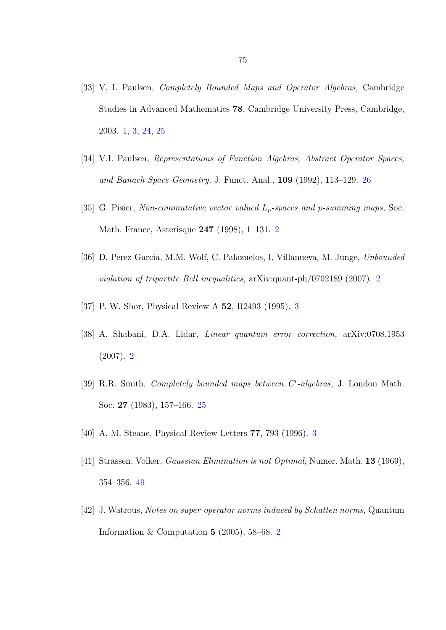- [33] V. I. Paulsen, Completely Bounded Maps and Operator Algebras, Cambridge Studies in Advanced Mathematics 78, Cambridge University Press, Cambridge, 2003. [1,](#page-0-0) [3,](#page-9-0) [24,](#page-30-0) [25](#page-31-0)
- [34] V.I. Paulsen, Representations of Function Algebras, Abstract Operator Spaces, and Banach Space Geometry, J. Funct. Anal., 109 (1992), 113–129. [26](#page-32-0)
- [35] G. Pisier, Non-commutative vector valued  $L_p$ -spaces and p-summing maps, Soc. Math. France, Asterisque 247 (1998), 1–131. [2](#page-8-0)
- [36] D. Perez-Garcia, M.M. Wolf, C. Palazuelos, I. Villanueva, M. Junge, Unbounded violation of tripartite Bell inequalities, arXiv:quant-ph/0702189 (2007). [2](#page-8-0)
- [37] P. W. Shor, Physical Review A 52, R2493 (1995). [3](#page-9-0)
- [38] A. Shabani, D.A. Lidar, Linear quantum error correction, arXiv:0708.1953 (2007). [2](#page-8-0)
- [39] R.R. Smith, *Completely bounded maps between C<sup>∗</sup>-algebras*, J. London Math. Soc. 27 (1983), 157–166. [25](#page-31-0)
- [40] A. M. Steane, Physical Review Letters 77, 793 (1996). [3](#page-9-0)
- [41] Strassen, Volker, Gaussian Elimination is not Optimal, Numer. Math. 13 (1969), 354–356. [49](#page-55-0)
- [42] J. Watrous, Notes on super-operator norms induced by Schatten norms, Quantum Information & Computation  $5$  ([2](#page-8-0)005), 58–68. 2